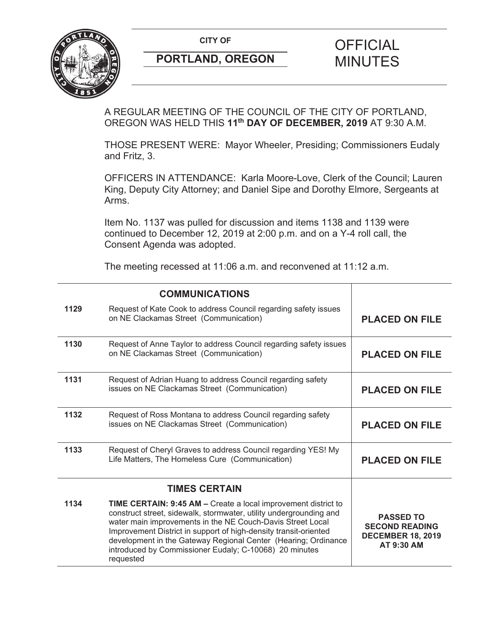CITY OF **CITY OF SALE OF FICIAL** 



# **PORTLAND, OREGON MINUTES**

# A REGULAR MEETING OF THE COUNCIL OF THE CITY OF PORTLAND, OREGON WAS HELD THIS **11th DAY OF DECEMBER, 2019** AT 9:30 A.M.

THOSE PRESENT WERE: Mayor Wheeler, Presiding; Commissioners Eudaly and Fritz, 3.

OFFICERS IN ATTENDANCE: Karla Moore-Love, Clerk of the Council; Lauren King, Deputy City Attorney; and Daniel Sipe and Dorothy Elmore, Sergeants at Arms.

Item No. 1137 was pulled for discussion and items 1138 and 1139 were continued to December 12, 2019 at 2:00 p.m. and on a Y-4 roll call, the Consent Agenda was adopted.

The meeting recessed at 11:06 a.m. and reconvened at 11:12 a.m.

|      | <b>COMMUNICATIONS</b>                                                                                                                                                                                                                                                                                                                                                                                                  |                                                                                     |
|------|------------------------------------------------------------------------------------------------------------------------------------------------------------------------------------------------------------------------------------------------------------------------------------------------------------------------------------------------------------------------------------------------------------------------|-------------------------------------------------------------------------------------|
| 1129 | Request of Kate Cook to address Council regarding safety issues<br>on NE Clackamas Street (Communication)                                                                                                                                                                                                                                                                                                              | <b>PLACED ON FILE</b>                                                               |
| 1130 | Request of Anne Taylor to address Council regarding safety issues<br>on NE Clackamas Street (Communication)                                                                                                                                                                                                                                                                                                            | <b>PLACED ON FILE</b>                                                               |
| 1131 | Request of Adrian Huang to address Council regarding safety<br>issues on NE Clackamas Street (Communication)                                                                                                                                                                                                                                                                                                           | <b>PLACED ON FILE</b>                                                               |
| 1132 | Request of Ross Montana to address Council regarding safety<br>issues on NE Clackamas Street (Communication)                                                                                                                                                                                                                                                                                                           | <b>PLACED ON FILE</b>                                                               |
| 1133 | Request of Cheryl Graves to address Council regarding YES! My<br>Life Matters, The Homeless Cure (Communication)                                                                                                                                                                                                                                                                                                       | <b>PLACED ON FILE</b>                                                               |
|      |                                                                                                                                                                                                                                                                                                                                                                                                                        |                                                                                     |
| 1134 | <b>TIME CERTAIN: 9:45 AM - Create a local improvement district to</b><br>construct street, sidewalk, stormwater, utility undergrounding and<br>water main improvements in the NE Couch-Davis Street Local<br>Improvement District in support of high-density transit-oriented<br>development in the Gateway Regional Center (Hearing; Ordinance<br>introduced by Commissioner Eudaly; C-10068) 20 minutes<br>requested | <b>PASSED TO</b><br><b>SECOND READING</b><br><b>DECEMBER 18, 2019</b><br>AT 9:30 AM |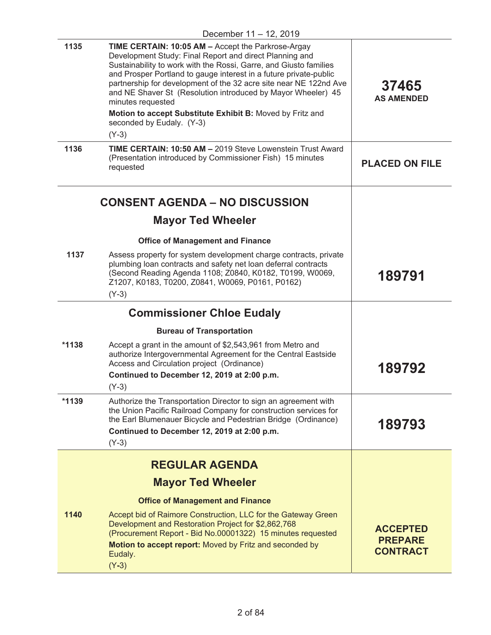|         | .                                                                                                                                                                                                                                                                                                                                                                                                                                                                                                                             |                                                      |
|---------|-------------------------------------------------------------------------------------------------------------------------------------------------------------------------------------------------------------------------------------------------------------------------------------------------------------------------------------------------------------------------------------------------------------------------------------------------------------------------------------------------------------------------------|------------------------------------------------------|
| 1135    | <b>TIME CERTAIN: 10:05 AM - Accept the Parkrose-Argay</b><br>Development Study: Final Report and direct Planning and<br>Sustainability to work with the Rossi, Garre, and Giusto families<br>and Prosper Portland to gauge interest in a future private-public<br>partnership for development of the 32 acre site near NE 122nd Ave<br>and NE Shaver St (Resolution introduced by Mayor Wheeler) 45<br>minutes requested<br>Motion to accept Substitute Exhibit B: Moved by Fritz and<br>seconded by Eudaly. (Y-3)<br>$(Y-3)$ | 37465<br><b>AS AMENDED</b>                           |
| 1136    | <b>TIME CERTAIN: 10:50 AM - 2019 Steve Lowenstein Trust Award</b><br>(Presentation introduced by Commissioner Fish) 15 minutes<br>requested                                                                                                                                                                                                                                                                                                                                                                                   | <b>PLACED ON FILE</b>                                |
|         | <b>CONSENT AGENDA – NO DISCUSSION</b><br><b>Mayor Ted Wheeler</b>                                                                                                                                                                                                                                                                                                                                                                                                                                                             |                                                      |
| 1137    | <b>Office of Management and Finance</b><br>Assess property for system development charge contracts, private<br>plumbing loan contracts and safety net loan deferral contracts<br>(Second Reading Agenda 1108; Z0840, K0182, T0199, W0069,<br>Z1207, K0183, T0200, Z0841, W0069, P0161, P0162)<br>$(Y-3)$                                                                                                                                                                                                                      | 189791                                               |
|         | <b>Commissioner Chloe Eudaly</b>                                                                                                                                                                                                                                                                                                                                                                                                                                                                                              |                                                      |
|         | <b>Bureau of Transportation</b>                                                                                                                                                                                                                                                                                                                                                                                                                                                                                               |                                                      |
| $*1138$ | Accept a grant in the amount of \$2,543,961 from Metro and<br>authorize Intergovernmental Agreement for the Central Eastside<br>Access and Circulation project (Ordinance)<br>Continued to December 12, 2019 at 2:00 p.m.<br>$(Y-3)$                                                                                                                                                                                                                                                                                          | 189792                                               |
| $*1139$ | Authorize the Transportation Director to sign an agreement with<br>the Union Pacific Railroad Company for construction services for<br>the Earl Blumenauer Bicycle and Pedestrian Bridge (Ordinance)<br>Continued to December 12, 2019 at 2:00 p.m.<br>$(Y-3)$                                                                                                                                                                                                                                                                | 189793                                               |
|         | <b>REGULAR AGENDA</b>                                                                                                                                                                                                                                                                                                                                                                                                                                                                                                         |                                                      |
|         | <b>Mayor Ted Wheeler</b>                                                                                                                                                                                                                                                                                                                                                                                                                                                                                                      |                                                      |
|         | <b>Office of Management and Finance</b>                                                                                                                                                                                                                                                                                                                                                                                                                                                                                       |                                                      |
| 1140    | Accept bid of Raimore Construction, LLC for the Gateway Green<br>Development and Restoration Project for \$2,862,768<br>(Procurement Report - Bid No.00001322) 15 minutes requested<br>Motion to accept report: Moved by Fritz and seconded by<br>Eudaly.<br>$(Y-3)$                                                                                                                                                                                                                                                          | <b>ACCEPTED</b><br><b>PREPARE</b><br><b>CONTRACT</b> |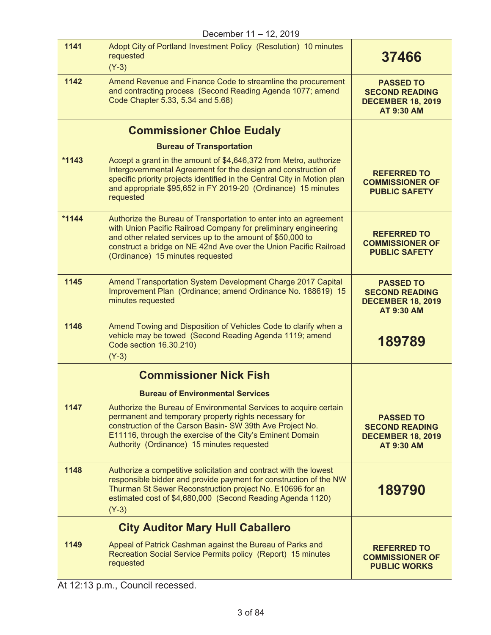| December 11 - 12, 2019        |                                                                                                                                                                                                                                                                                                             |                                                                                            |
|-------------------------------|-------------------------------------------------------------------------------------------------------------------------------------------------------------------------------------------------------------------------------------------------------------------------------------------------------------|--------------------------------------------------------------------------------------------|
| 1141                          | Adopt City of Portland Investment Policy (Resolution) 10 minutes<br>requested<br>$(Y-3)$                                                                                                                                                                                                                    | 37466                                                                                      |
| 1142                          | Amend Revenue and Finance Code to streamline the procurement<br>and contracting process (Second Reading Agenda 1077; amend<br>Code Chapter 5.33, 5.34 and 5.68)                                                                                                                                             | <b>PASSED TO</b><br><b>SECOND READING</b><br><b>DECEMBER 18, 2019</b><br><b>AT 9:30 AM</b> |
|                               | <b>Commissioner Chloe Eudaly</b>                                                                                                                                                                                                                                                                            |                                                                                            |
|                               | <b>Bureau of Transportation</b>                                                                                                                                                                                                                                                                             |                                                                                            |
| $*1143$                       | Accept a grant in the amount of \$4,646,372 from Metro, authorize<br>Intergovernmental Agreement for the design and construction of<br>specific priority projects identified in the Central City in Motion plan<br>and appropriate \$95,652 in FY 2019-20 (Ordinance) 15 minutes<br>requested               | <b>REFERRED TO</b><br><b>COMMISSIONER OF</b><br><b>PUBLIC SAFETY</b>                       |
| $*1144$                       | Authorize the Bureau of Transportation to enter into an agreement<br>with Union Pacific Railroad Company for preliminary engineering<br>and other related services up to the amount of \$50,000 to<br>construct a bridge on NE 42nd Ave over the Union Pacific Railroad<br>(Ordinance) 15 minutes requested | <b>REFERRED TO</b><br><b>COMMISSIONER OF</b><br><b>PUBLIC SAFETY</b>                       |
| 1145                          | Amend Transportation System Development Charge 2017 Capital<br>Improvement Plan (Ordinance; amend Ordinance No. 188619) 15<br>minutes requested                                                                                                                                                             | <b>PASSED TO</b><br><b>SECOND READING</b><br><b>DECEMBER 18, 2019</b><br><b>AT 9:30 AM</b> |
| 1146                          | Amend Towing and Disposition of Vehicles Code to clarify when a<br>vehicle may be towed (Second Reading Agenda 1119; amend<br>Code section 16.30.210)<br>$(Y-3)$                                                                                                                                            | 189789                                                                                     |
| <b>Commissioner Nick Fish</b> |                                                                                                                                                                                                                                                                                                             |                                                                                            |
|                               | <b>Bureau of Environmental Services</b>                                                                                                                                                                                                                                                                     |                                                                                            |
| 1147                          | Authorize the Bureau of Environmental Services to acquire certain<br>permanent and temporary property rights necessary for<br>construction of the Carson Basin- SW 39th Ave Project No.<br>E11116, through the exercise of the City's Eminent Domain<br>Authority (Ordinance) 15 minutes requested          | <b>PASSED TO</b><br><b>SECOND READING</b><br><b>DECEMBER 18, 2019</b><br><b>AT 9:30 AM</b> |
| 1148                          | Authorize a competitive solicitation and contract with the lowest<br>responsible bidder and provide payment for construction of the NW<br>Thurman St Sewer Reconstruction project No. E10696 for an<br>estimated cost of \$4,680,000 (Second Reading Agenda 1120)<br>$(Y-3)$                                | 189790                                                                                     |
|                               | <b>City Auditor Mary Hull Caballero</b>                                                                                                                                                                                                                                                                     |                                                                                            |
| 1149                          | Appeal of Patrick Cashman against the Bureau of Parks and<br>Recreation Social Service Permits policy (Report) 15 minutes<br>requested                                                                                                                                                                      | <b>REFERRED TO</b><br><b>COMMISSIONER OF</b><br><b>PUBLIC WORKS</b>                        |

At 12:13 p.m., Council recessed.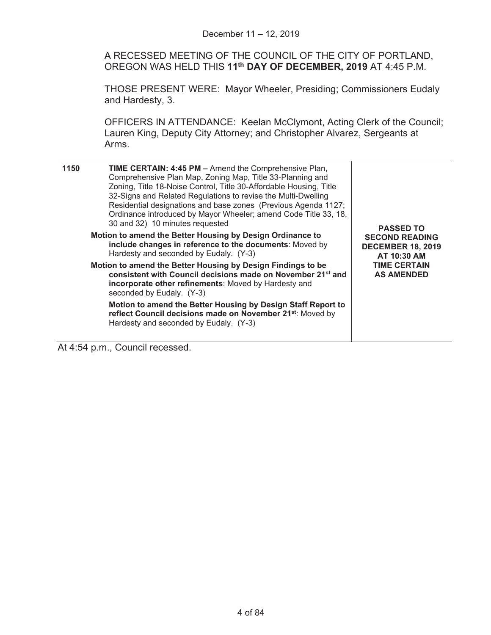A RECESSED MEETING OF THE COUNCIL OF THE CITY OF PORTLAND, OREGON WAS HELD THIS **11th DAY OF DECEMBER, 2019** AT 4:45 P.M.

THOSE PRESENT WERE: Mayor Wheeler, Presiding; Commissioners Eudaly and Hardesty, 3.

OFFICERS IN ATTENDANCE: Keelan McClymont, Acting Clerk of the Council; Lauren King, Deputy City Attorney; and Christopher Alvarez, Sergeants at Arms.

| 1150<br><b>TIME CERTAIN: 4:45 PM - Amend the Comprehensive Plan,</b><br>Comprehensive Plan Map, Zoning Map, Title 33-Planning and<br>Zoning, Title 18-Noise Control, Title 30-Affordable Housing, Title<br>32-Signs and Related Regulations to revise the Multi-Dwelling<br>Residential designations and base zones (Previous Agenda 1127;<br>Ordinance introduced by Mayor Wheeler; amend Code Title 33, 18,<br>30 and 32) 10 minutes requested | <b>PASSED TO</b>                                                 |
|--------------------------------------------------------------------------------------------------------------------------------------------------------------------------------------------------------------------------------------------------------------------------------------------------------------------------------------------------------------------------------------------------------------------------------------------------|------------------------------------------------------------------|
| Motion to amend the Better Housing by Design Ordinance to<br>include changes in reference to the documents: Moved by<br>Hardesty and seconded by Eudaly. (Y-3)                                                                                                                                                                                                                                                                                   | <b>SECOND READING</b><br><b>DECEMBER 18, 2019</b><br>AT 10:30 AM |
| Motion to amend the Better Housing by Design Findings to be<br>consistent with Council decisions made on November 21 <sup>st</sup> and<br>incorporate other refinements: Moved by Hardesty and<br>seconded by Eudaly. (Y-3)                                                                                                                                                                                                                      | <b>TIME CERTAIN</b><br><b>AS AMENDED</b>                         |
| Motion to amend the Better Housing by Design Staff Report to<br>reflect Council decisions made on November 21 <sup>st</sup> : Moved by<br>Hardesty and seconded by Eudaly. (Y-3)                                                                                                                                                                                                                                                                 |                                                                  |

At 4:54 p.m., Council recessed.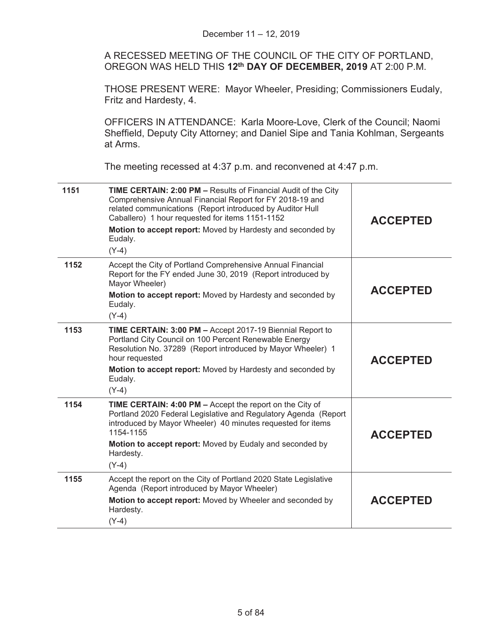A RECESSED MEETING OF THE COUNCIL OF THE CITY OF PORTLAND, OREGON WAS HELD THIS **12th DAY OF DECEMBER, 2019** AT 2:00 P.M.

THOSE PRESENT WERE: Mayor Wheeler, Presiding; Commissioners Eudaly, Fritz and Hardesty, 4.

OFFICERS IN ATTENDANCE: Karla Moore-Love, Clerk of the Council; Naomi Sheffield, Deputy City Attorney; and Daniel Sipe and Tania Kohlman, Sergeants at Arms.

The meeting recessed at 4:37 p.m. and reconvened at 4:47 p.m.

| 1151 | TIME CERTAIN: 2:00 PM - Results of Financial Audit of the City<br>Comprehensive Annual Financial Report for FY 2018-19 and<br>related communications (Report introduced by Auditor Hull<br>Caballero) 1 hour requested for items 1151-1152<br>Motion to accept report: Moved by Hardesty and seconded by<br>Eudaly.<br>$(Y-4)$ | <b>ACCEPTED</b> |
|------|--------------------------------------------------------------------------------------------------------------------------------------------------------------------------------------------------------------------------------------------------------------------------------------------------------------------------------|-----------------|
| 1152 | Accept the City of Portland Comprehensive Annual Financial<br>Report for the FY ended June 30, 2019 (Report introduced by<br>Mayor Wheeler)<br>Motion to accept report: Moved by Hardesty and seconded by<br>Eudaly.<br>$(Y-4)$                                                                                                | <b>ACCEPTED</b> |
| 1153 | TIME CERTAIN: 3:00 PM - Accept 2017-19 Biennial Report to<br>Portland City Council on 100 Percent Renewable Energy<br>Resolution No. 37289 (Report introduced by Mayor Wheeler) 1<br>hour requested<br>Motion to accept report: Moved by Hardesty and seconded by<br>Eudaly.<br>$(Y-4)$                                        | <b>ACCEPTED</b> |
| 1154 | TIME CERTAIN: 4:00 PM - Accept the report on the City of<br>Portland 2020 Federal Legislative and Regulatory Agenda (Report<br>introduced by Mayor Wheeler) 40 minutes requested for items<br>1154-1155<br>Motion to accept report: Moved by Eudaly and seconded by<br>Hardesty.<br>$(Y-4)$                                    | <b>ACCEPTED</b> |
| 1155 | Accept the report on the City of Portland 2020 State Legislative<br>Agenda (Report introduced by Mayor Wheeler)<br>Motion to accept report: Moved by Wheeler and seconded by<br>Hardesty.<br>$(Y-4)$                                                                                                                           | <b>ACCEPTED</b> |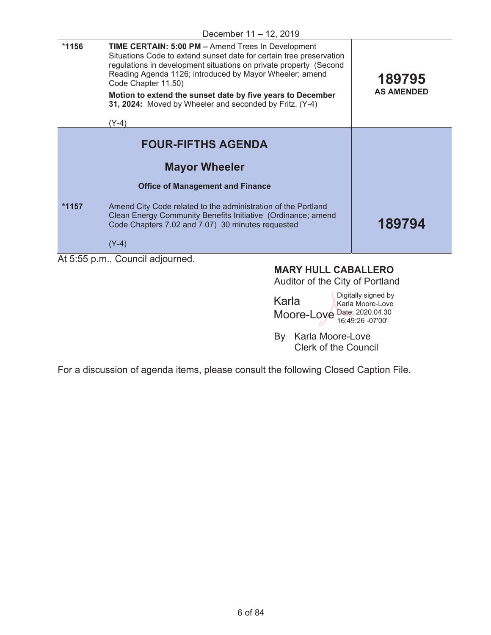| *1156   | <b>TIME CERTAIN: 5:00 PM - Amend Trees In Development</b><br>Situations Code to extend sunset date for certain tree preservation<br>regulations in development situations on private property (Second<br>Reading Agenda 1126; introduced by Mayor Wheeler; amend<br>Code Chapter 11.50)<br>Motion to extend the sunset date by five years to December<br>31, 2024: Moved by Wheeler and seconded by Fritz. (Y-4)<br>$(Y-4)$ | 189795<br><b>AS AMENDED</b> |
|---------|-----------------------------------------------------------------------------------------------------------------------------------------------------------------------------------------------------------------------------------------------------------------------------------------------------------------------------------------------------------------------------------------------------------------------------|-----------------------------|
|         | <b>FOUR-FIFTHS AGENDA</b>                                                                                                                                                                                                                                                                                                                                                                                                   |                             |
|         | <b>Mayor Wheeler</b>                                                                                                                                                                                                                                                                                                                                                                                                        |                             |
|         | <b>Office of Management and Finance</b>                                                                                                                                                                                                                                                                                                                                                                                     |                             |
| $*1157$ | Amend City Code related to the administration of the Portland<br>Clean Energy Community Benefits Initiative (Ordinance; amend<br>Code Chapters 7.02 and 7.07) 30 minutes requested                                                                                                                                                                                                                                          | 189794                      |
|         | $(Y-4)$                                                                                                                                                                                                                                                                                                                                                                                                                     |                             |
|         | At 5:55 p.m., Council adjourned.                                                                                                                                                                                                                                                                                                                                                                                            |                             |

# **MARY HULL CABALLERO**

Auditor of the City of Portland

| Karla                       | Digitally signed by<br>Karla Moore-Love |
|-----------------------------|-----------------------------------------|
| Moore-Loye Date: 2020.04.30 |                                         |

By Karla Moore-Love Clerk of the Council

For a discussion of agenda items, please consult the following Closed Caption File.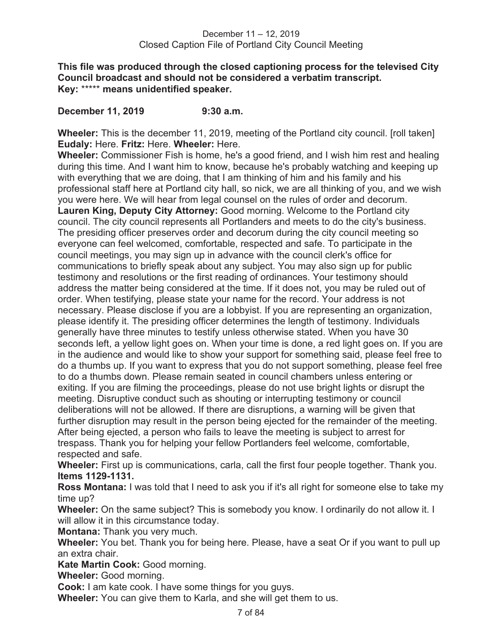**This file was produced through the closed captioning process for the televised City Council broadcast and should not be considered a verbatim transcript. Key:** \*\*\*\*\* **means unidentified speaker.** 

**December 11, 2019 9:30 a.m.** 

**Wheeler:** This is the december 11, 2019, meeting of the Portland city council. [roll taken] **Eudaly:** Here. **Fritz:** Here. **Wheeler:** Here.

**Wheeler:** Commissioner Fish is home, he's a good friend, and I wish him rest and healing during this time. And I want him to know, because he's probably watching and keeping up with everything that we are doing, that I am thinking of him and his family and his professional staff here at Portland city hall, so nick, we are all thinking of you, and we wish you were here. We will hear from legal counsel on the rules of order and decorum. **Lauren King, Deputy City Attorney:** Good morning. Welcome to the Portland city council. The city council represents all Portlanders and meets to do the city's business. The presiding officer preserves order and decorum during the city council meeting so everyone can feel welcomed, comfortable, respected and safe. To participate in the council meetings, you may sign up in advance with the council clerk's office for communications to briefly speak about any subject. You may also sign up for public testimony and resolutions or the first reading of ordinances. Your testimony should address the matter being considered at the time. If it does not, you may be ruled out of order. When testifying, please state your name for the record. Your address is not necessary. Please disclose if you are a lobbyist. If you are representing an organization, please identify it. The presiding officer determines the length of testimony. Individuals generally have three minutes to testify unless otherwise stated. When you have 30 seconds left, a yellow light goes on. When your time is done, a red light goes on. If you are in the audience and would like to show your support for something said, please feel free to do a thumbs up. If you want to express that you do not support something, please feel free to do a thumbs down. Please remain seated in council chambers unless entering or exiting. If you are filming the proceedings, please do not use bright lights or disrupt the meeting. Disruptive conduct such as shouting or interrupting testimony or council deliberations will not be allowed. If there are disruptions, a warning will be given that further disruption may result in the person being ejected for the remainder of the meeting. After being ejected, a person who fails to leave the meeting is subject to arrest for trespass. Thank you for helping your fellow Portlanders feel welcome, comfortable, respected and safe.

**Wheeler:** First up is communications, carla, call the first four people together. Thank you. **Items 1129-1131.** 

**Ross Montana:** I was told that I need to ask you if it's all right for someone else to take my time up?

**Wheeler:** On the same subject? This is somebody you know. I ordinarily do not allow it. I will allow it in this circumstance today.

**Montana:** Thank you very much.

**Wheeler:** You bet. Thank you for being here. Please, have a seat Or if you want to pull up an extra chair.

**Kate Martin Cook:** Good morning.

**Wheeler:** Good morning.

**Cook:** I am kate cook. I have some things for you guys.

**Wheeler:** You can give them to Karla, and she will get them to us.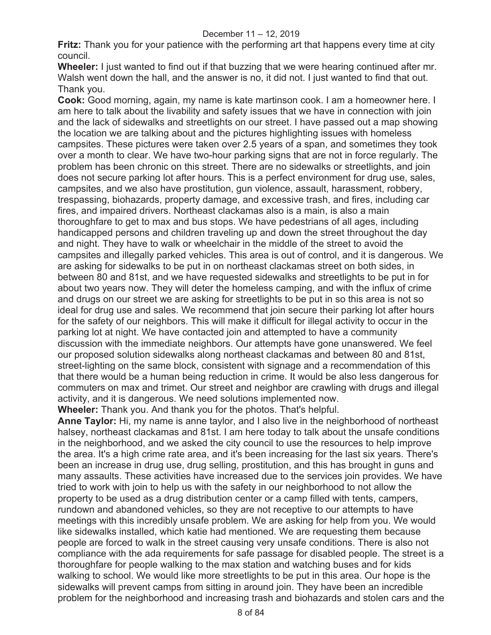**Fritz:** Thank you for your patience with the performing art that happens every time at city council.

**Wheeler:** I just wanted to find out if that buzzing that we were hearing continued after mr. Walsh went down the hall, and the answer is no, it did not. I just wanted to find that out. Thank you.

**Cook:** Good morning, again, my name is kate martinson cook. I am a homeowner here. I am here to talk about the livability and safety issues that we have in connection with join and the lack of sidewalks and streetlights on our street. I have passed out a map showing the location we are talking about and the pictures highlighting issues with homeless campsites. These pictures were taken over 2.5 years of a span, and sometimes they took over a month to clear. We have two-hour parking signs that are not in force regularly. The problem has been chronic on this street. There are no sidewalks or streetlights, and join does not secure parking lot after hours. This is a perfect environment for drug use, sales, campsites, and we also have prostitution, gun violence, assault, harassment, robbery, trespassing, biohazards, property damage, and excessive trash, and fires, including car fires, and impaired drivers. Northeast clackamas also is a main, is also a main thoroughfare to get to max and bus stops. We have pedestrians of all ages, including handicapped persons and children traveling up and down the street throughout the day and night. They have to walk or wheelchair in the middle of the street to avoid the campsites and illegally parked vehicles. This area is out of control, and it is dangerous. We are asking for sidewalks to be put in on northeast clackamas street on both sides, in between 80 and 81st, and we have requested sidewalks and streetlights to be put in for about two years now. They will deter the homeless camping, and with the influx of crime and drugs on our street we are asking for streetlights to be put in so this area is not so ideal for drug use and sales. We recommend that join secure their parking lot after hours for the safety of our neighbors. This will make it difficult for illegal activity to occur in the parking lot at night. We have contacted join and attempted to have a community discussion with the immediate neighbors. Our attempts have gone unanswered. We feel our proposed solution sidewalks along northeast clackamas and between 80 and 81st, street-lighting on the same block, consistent with signage and a recommendation of this that there would be a human being reduction in crime. It would be also less dangerous for commuters on max and trimet. Our street and neighbor are crawling with drugs and illegal activity, and it is dangerous. We need solutions implemented now.

**Wheeler:** Thank you. And thank you for the photos. That's helpful.

**Anne Taylor:** Hi, my name is anne taylor, and I also live in the neighborhood of northeast halsey, northeast clackamas and 81st. I am here today to talk about the unsafe conditions in the neighborhood, and we asked the city council to use the resources to help improve the area. It's a high crime rate area, and it's been increasing for the last six years. There's been an increase in drug use, drug selling, prostitution, and this has brought in guns and many assaults. These activities have increased due to the services join provides. We have tried to work with join to help us with the safety in our neighborhood to not allow the property to be used as a drug distribution center or a camp filled with tents, campers, rundown and abandoned vehicles, so they are not receptive to our attempts to have meetings with this incredibly unsafe problem. We are asking for help from you. We would like sidewalks installed, which katie had mentioned. We are requesting them because people are forced to walk in the street causing very unsafe conditions. There is also not compliance with the ada requirements for safe passage for disabled people. The street is a thoroughfare for people walking to the max station and watching buses and for kids walking to school. We would like more streetlights to be put in this area. Our hope is the sidewalks will prevent camps from sitting in around join. They have been an incredible problem for the neighborhood and increasing trash and biohazards and stolen cars and the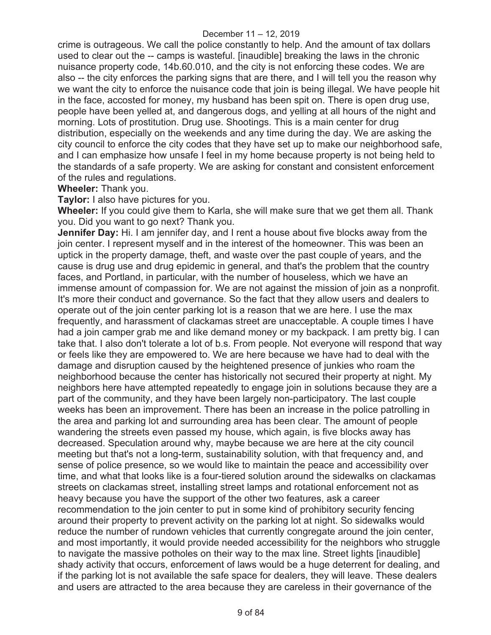crime is outrageous. We call the police constantly to help. And the amount of tax dollars used to clear out the -- camps is wasteful. [inaudible] breaking the laws in the chronic nuisance property code, 14b.60.010, and the city is not enforcing these codes. We are also -- the city enforces the parking signs that are there, and I will tell you the reason why we want the city to enforce the nuisance code that join is being illegal. We have people hit in the face, accosted for money, my husband has been spit on. There is open drug use, people have been yelled at, and dangerous dogs, and yelling at all hours of the night and morning. Lots of prostitution. Drug use. Shootings. This is a main center for drug distribution, especially on the weekends and any time during the day. We are asking the city council to enforce the city codes that they have set up to make our neighborhood safe, and I can emphasize how unsafe I feel in my home because property is not being held to the standards of a safe property. We are asking for constant and consistent enforcement of the rules and regulations.

**Wheeler:** Thank you.

**Taylor:** I also have pictures for you.

**Wheeler:** If you could give them to Karla, she will make sure that we get them all. Thank you. Did you want to go next? Thank you.

**Jennifer Day:** Hi. I am jennifer day, and I rent a house about five blocks away from the join center. I represent myself and in the interest of the homeowner. This was been an uptick in the property damage, theft, and waste over the past couple of years, and the cause is drug use and drug epidemic in general, and that's the problem that the country faces, and Portland, in particular, with the number of houseless, which we have an immense amount of compassion for. We are not against the mission of join as a nonprofit. It's more their conduct and governance. So the fact that they allow users and dealers to operate out of the join center parking lot is a reason that we are here. I use the max frequently, and harassment of clackamas street are unacceptable. A couple times I have had a join camper grab me and like demand money or my backpack. I am pretty big. I can take that. I also don't tolerate a lot of b.s. From people. Not everyone will respond that way or feels like they are empowered to. We are here because we have had to deal with the damage and disruption caused by the heightened presence of junkies who roam the neighborhood because the center has historically not secured their property at night. My neighbors here have attempted repeatedly to engage join in solutions because they are a part of the community, and they have been largely non-participatory. The last couple weeks has been an improvement. There has been an increase in the police patrolling in the area and parking lot and surrounding area has been clear. The amount of people wandering the streets even passed my house, which again, is five blocks away has decreased. Speculation around why, maybe because we are here at the city council meeting but that's not a long-term, sustainability solution, with that frequency and, and sense of police presence, so we would like to maintain the peace and accessibility over time, and what that looks like is a four-tiered solution around the sidewalks on clackamas streets on clackamas street, installing street lamps and rotational enforcement not as heavy because you have the support of the other two features, ask a career recommendation to the join center to put in some kind of prohibitory security fencing around their property to prevent activity on the parking lot at night. So sidewalks would reduce the number of rundown vehicles that currently congregate around the join center, and most importantly, it would provide needed accessibility for the neighbors who struggle to navigate the massive potholes on their way to the max line. Street lights [inaudible] shady activity that occurs, enforcement of laws would be a huge deterrent for dealing, and if the parking lot is not available the safe space for dealers, they will leave. These dealers and users are attracted to the area because they are careless in their governance of the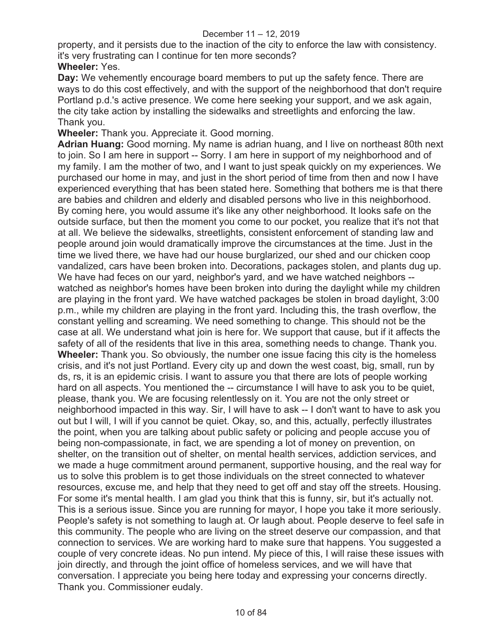property, and it persists due to the inaction of the city to enforce the law with consistency. it's very frustrating can I continue for ten more seconds?

## **Wheeler:** Yes.

**Day:** We vehemently encourage board members to put up the safety fence. There are ways to do this cost effectively, and with the support of the neighborhood that don't require Portland p.d.'s active presence. We come here seeking your support, and we ask again, the city take action by installing the sidewalks and streetlights and enforcing the law. Thank you.

**Wheeler:** Thank you. Appreciate it. Good morning.

**Adrian Huang:** Good morning. My name is adrian huang, and I live on northeast 80th next to join. So I am here in support -- Sorry. I am here in support of my neighborhood and of my family. I am the mother of two, and I want to just speak quickly on my experiences. We purchased our home in may, and just in the short period of time from then and now I have experienced everything that has been stated here. Something that bothers me is that there are babies and children and elderly and disabled persons who live in this neighborhood. By coming here, you would assume it's like any other neighborhood. It looks safe on the outside surface, but then the moment you come to our pocket, you realize that it's not that at all. We believe the sidewalks, streetlights, consistent enforcement of standing law and people around join would dramatically improve the circumstances at the time. Just in the time we lived there, we have had our house burglarized, our shed and our chicken coop vandalized, cars have been broken into. Decorations, packages stolen, and plants dug up. We have had feces on our yard, neighbor's yard, and we have watched neighbors -watched as neighbor's homes have been broken into during the daylight while my children are playing in the front yard. We have watched packages be stolen in broad daylight, 3:00 p.m., while my children are playing in the front yard. Including this, the trash overflow, the constant yelling and screaming. We need something to change. This should not be the case at all. We understand what join is here for. We support that cause, but if it affects the safety of all of the residents that live in this area, something needs to change. Thank you. **Wheeler:** Thank you. So obviously, the number one issue facing this city is the homeless crisis, and it's not just Portland. Every city up and down the west coast, big, small, run by ds, rs, it is an epidemic crisis. I want to assure you that there are lots of people working hard on all aspects. You mentioned the -- circumstance I will have to ask you to be quiet, please, thank you. We are focusing relentlessly on it. You are not the only street or neighborhood impacted in this way. Sir, I will have to ask -- I don't want to have to ask you out but I will, I will if you cannot be quiet. Okay, so, and this, actually, perfectly illustrates the point, when you are talking about public safety or policing and people accuse you of being non-compassionate, in fact, we are spending a lot of money on prevention, on shelter, on the transition out of shelter, on mental health services, addiction services, and we made a huge commitment around permanent, supportive housing, and the real way for us to solve this problem is to get those individuals on the street connected to whatever resources, excuse me, and help that they need to get off and stay off the streets. Housing. For some it's mental health. I am glad you think that this is funny, sir, but it's actually not. This is a serious issue. Since you are running for mayor, I hope you take it more seriously. People's safety is not something to laugh at. Or laugh about. People deserve to feel safe in this community. The people who are living on the street deserve our compassion, and that connection to services. We are working hard to make sure that happens. You suggested a couple of very concrete ideas. No pun intend. My piece of this, I will raise these issues with join directly, and through the joint office of homeless services, and we will have that conversation. I appreciate you being here today and expressing your concerns directly. Thank you. Commissioner eudaly.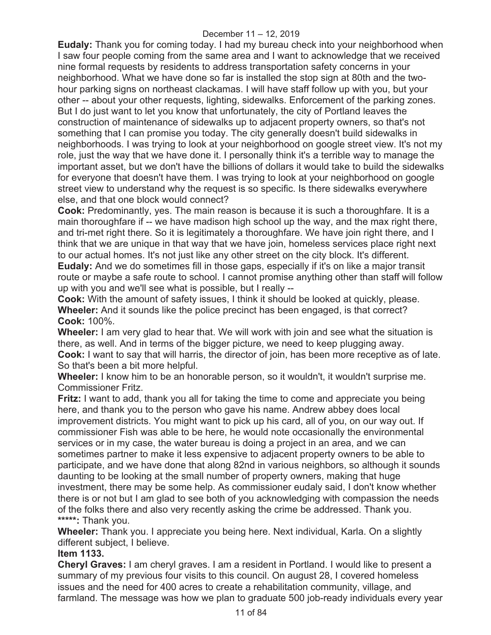**Eudaly:** Thank you for coming today. I had my bureau check into your neighborhood when I saw four people coming from the same area and I want to acknowledge that we received nine formal requests by residents to address transportation safety concerns in your neighborhood. What we have done so far is installed the stop sign at 80th and the twohour parking signs on northeast clackamas. I will have staff follow up with you, but your other -- about your other requests, lighting, sidewalks. Enforcement of the parking zones. But I do just want to let you know that unfortunately, the city of Portland leaves the construction of maintenance of sidewalks up to adjacent property owners, so that's not something that I can promise you today. The city generally doesn't build sidewalks in neighborhoods. I was trying to look at your neighborhood on google street view. It's not my role, just the way that we have done it. I personally think it's a terrible way to manage the important asset, but we don't have the billions of dollars it would take to build the sidewalks for everyone that doesn't have them. I was trying to look at your neighborhood on google street view to understand why the request is so specific. Is there sidewalks everywhere else, and that one block would connect?

**Cook:** Predominantly, yes. The main reason is because it is such a thoroughfare. It is a main thoroughfare if -- we have madison high school up the way, and the max right there, and tri-met right there. So it is legitimately a thoroughfare. We have join right there, and I think that we are unique in that way that we have join, homeless services place right next to our actual homes. It's not just like any other street on the city block. It's different. **Eudaly:** And we do sometimes fill in those gaps, especially if it's on like a major transit route or maybe a safe route to school. I cannot promise anything other than staff will follow up with you and we'll see what is possible, but I really --

**Cook:** With the amount of safety issues, I think it should be looked at quickly, please. **Wheeler:** And it sounds like the police precinct has been engaged, is that correct? **Cook:** 100%.

**Wheeler:** I am very glad to hear that. We will work with join and see what the situation is there, as well. And in terms of the bigger picture, we need to keep plugging away. **Cook:** I want to say that will harris, the director of join, has been more receptive as of late. So that's been a bit more helpful.

**Wheeler:** I know him to be an honorable person, so it wouldn't, it wouldn't surprise me. Commissioner Fritz.

**Fritz:** I want to add, thank you all for taking the time to come and appreciate you being here, and thank you to the person who gave his name. Andrew abbey does local improvement districts. You might want to pick up his card, all of you, on our way out. If commissioner Fish was able to be here, he would note occasionally the environmental services or in my case, the water bureau is doing a project in an area, and we can sometimes partner to make it less expensive to adjacent property owners to be able to participate, and we have done that along 82nd in various neighbors, so although it sounds daunting to be looking at the small number of property owners, making that huge investment, there may be some help. As commissioner eudaly said, I don't know whether there is or not but I am glad to see both of you acknowledging with compassion the needs of the folks there and also very recently asking the crime be addressed. Thank you. **\*\*\*\*\*:** Thank you.

**Wheeler:** Thank you. I appreciate you being here. Next individual, Karla. On a slightly different subject, I believe.

## **Item 1133.**

**Cheryl Graves:** I am cheryl graves. I am a resident in Portland. I would like to present a summary of my previous four visits to this council. On august 28, I covered homeless issues and the need for 400 acres to create a rehabilitation community, village, and farmland. The message was how we plan to graduate 500 job-ready individuals every year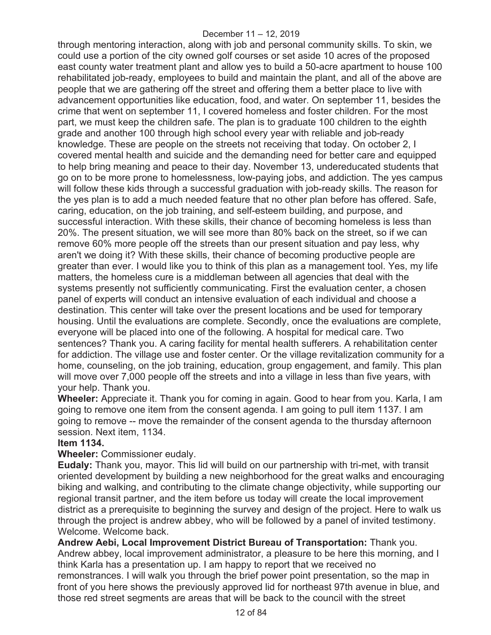through mentoring interaction, along with job and personal community skills. To skin, we could use a portion of the city owned golf courses or set aside 10 acres of the proposed east county water treatment plant and allow yes to build a 50-acre apartment to house 100 rehabilitated job-ready, employees to build and maintain the plant, and all of the above are people that we are gathering off the street and offering them a better place to live with advancement opportunities like education, food, and water. On september 11, besides the crime that went on september 11, I covered homeless and foster children. For the most part, we must keep the children safe. The plan is to graduate 100 children to the eighth grade and another 100 through high school every year with reliable and job-ready knowledge. These are people on the streets not receiving that today. On october 2, I covered mental health and suicide and the demanding need for better care and equipped to help bring meaning and peace to their day. November 13, undereducated students that go on to be more prone to homelessness, low-paying jobs, and addiction. The yes campus will follow these kids through a successful graduation with job-ready skills. The reason for the yes plan is to add a much needed feature that no other plan before has offered. Safe, caring, education, on the job training, and self-esteem building, and purpose, and successful interaction. With these skills, their chance of becoming homeless is less than 20%. The present situation, we will see more than 80% back on the street, so if we can remove 60% more people off the streets than our present situation and pay less, why aren't we doing it? With these skills, their chance of becoming productive people are greater than ever. I would like you to think of this plan as a management tool. Yes, my life matters, the homeless cure is a middleman between all agencies that deal with the systems presently not sufficiently communicating. First the evaluation center, a chosen panel of experts will conduct an intensive evaluation of each individual and choose a destination. This center will take over the present locations and be used for temporary housing. Until the evaluations are complete. Secondly, once the evaluations are complete, everyone will be placed into one of the following. A hospital for medical care. Two sentences? Thank you. A caring facility for mental health sufferers. A rehabilitation center for addiction. The village use and foster center. Or the village revitalization community for a home, counseling, on the job training, education, group engagement, and family. This plan will move over 7,000 people off the streets and into a village in less than five years, with your help. Thank you.

**Wheeler:** Appreciate it. Thank you for coming in again. Good to hear from you. Karla, I am going to remove one item from the consent agenda. I am going to pull item 1137. I am going to remove -- move the remainder of the consent agenda to the thursday afternoon session. Next item, 1134.

## **Item 1134.**

**Wheeler:** Commissioner eudaly.

**Eudaly:** Thank you, mayor. This lid will build on our partnership with tri-met, with transit oriented development by building a new neighborhood for the great walks and encouraging biking and walking, and contributing to the climate change objectivity, while supporting our regional transit partner, and the item before us today will create the local improvement district as a prerequisite to beginning the survey and design of the project. Here to walk us through the project is andrew abbey, who will be followed by a panel of invited testimony. Welcome. Welcome back.

**Andrew Aebi, Local Improvement District Bureau of Transportation:** Thank you. Andrew abbey, local improvement administrator, a pleasure to be here this morning, and I think Karla has a presentation up. I am happy to report that we received no remonstrances. I will walk you through the brief power point presentation, so the map in front of you here shows the previously approved lid for northeast 97th avenue in blue, and those red street segments are areas that will be back to the council with the street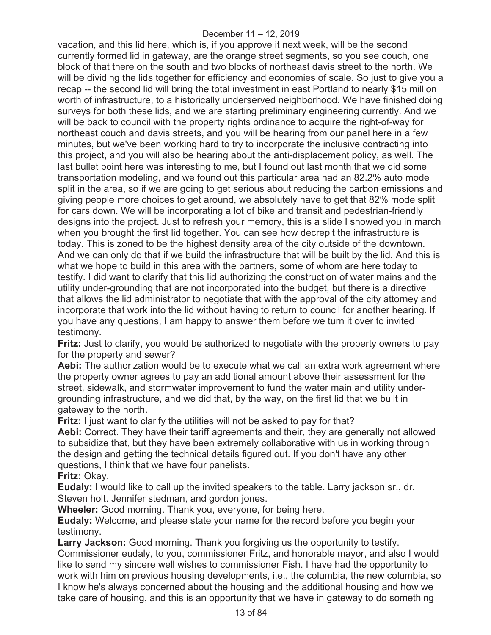vacation, and this lid here, which is, if you approve it next week, will be the second currently formed lid in gateway, are the orange street segments, so you see couch, one block of that there on the south and two blocks of northeast davis street to the north. We will be dividing the lids together for efficiency and economies of scale. So just to give you a recap -- the second lid will bring the total investment in east Portland to nearly \$15 million worth of infrastructure, to a historically underserved neighborhood. We have finished doing surveys for both these lids, and we are starting preliminary engineering currently. And we will be back to council with the property rights ordinance to acquire the right-of-way for northeast couch and davis streets, and you will be hearing from our panel here in a few minutes, but we've been working hard to try to incorporate the inclusive contracting into this project, and you will also be hearing about the anti-displacement policy, as well. The last bullet point here was interesting to me, but I found out last month that we did some transportation modeling, and we found out this particular area had an 82.2% auto mode split in the area, so if we are going to get serious about reducing the carbon emissions and giving people more choices to get around, we absolutely have to get that 82% mode split for cars down. We will be incorporating a lot of bike and transit and pedestrian-friendly designs into the project. Just to refresh your memory, this is a slide I showed you in march when you brought the first lid together. You can see how decrepit the infrastructure is today. This is zoned to be the highest density area of the city outside of the downtown. And we can only do that if we build the infrastructure that will be built by the lid. And this is what we hope to build in this area with the partners, some of whom are here today to testify. I did want to clarify that this lid authorizing the construction of water mains and the utility under-grounding that are not incorporated into the budget, but there is a directive that allows the lid administrator to negotiate that with the approval of the city attorney and incorporate that work into the lid without having to return to council for another hearing. If you have any questions, I am happy to answer them before we turn it over to invited testimony.

**Fritz:** Just to clarify, you would be authorized to negotiate with the property owners to pay for the property and sewer?

**Aebi:** The authorization would be to execute what we call an extra work agreement where the property owner agrees to pay an additional amount above their assessment for the street, sidewalk, and stormwater improvement to fund the water main and utility undergrounding infrastructure, and we did that, by the way, on the first lid that we built in gateway to the north.

**Fritz:** I just want to clarify the utilities will not be asked to pay for that?

**Aebi:** Correct. They have their tariff agreements and their, they are generally not allowed to subsidize that, but they have been extremely collaborative with us in working through the design and getting the technical details figured out. If you don't have any other questions, I think that we have four panelists.

**Fritz:** Okay.

**Eudaly:** I would like to call up the invited speakers to the table. Larry jackson sr., dr. Steven holt. Jennifer stedman, and gordon jones.

**Wheeler:** Good morning. Thank you, everyone, for being here.

**Eudaly:** Welcome, and please state your name for the record before you begin your testimony.

**Larry Jackson:** Good morning. Thank you forgiving us the opportunity to testify. Commissioner eudaly, to you, commissioner Fritz, and honorable mayor, and also I would like to send my sincere well wishes to commissioner Fish. I have had the opportunity to work with him on previous housing developments, i.e., the columbia, the new columbia, so I know he's always concerned about the housing and the additional housing and how we take care of housing, and this is an opportunity that we have in gateway to do something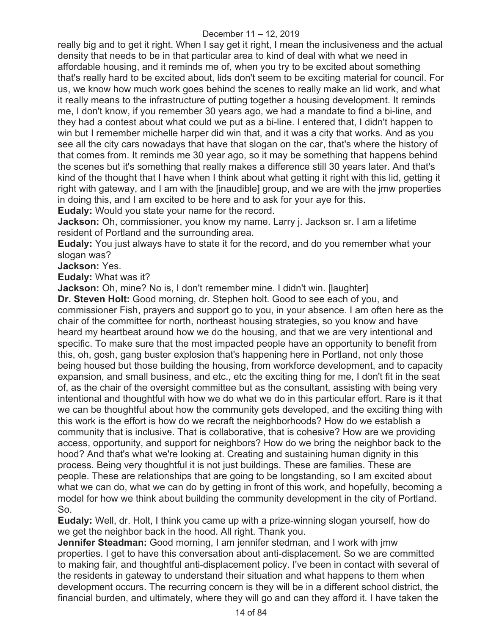really big and to get it right. When I say get it right, I mean the inclusiveness and the actual density that needs to be in that particular area to kind of deal with what we need in affordable housing, and it reminds me of, when you try to be excited about something that's really hard to be excited about, lids don't seem to be exciting material for council. For us, we know how much work goes behind the scenes to really make an lid work, and what it really means to the infrastructure of putting together a housing development. It reminds me, I don't know, if you remember 30 years ago, we had a mandate to find a bi-line, and they had a contest about what could we put as a bi-line. I entered that, I didn't happen to win but I remember michelle harper did win that, and it was a city that works. And as you see all the city cars nowadays that have that slogan on the car, that's where the history of that comes from. It reminds me 30 year ago, so it may be something that happens behind the scenes but it's something that really makes a difference still 30 years later. And that's kind of the thought that I have when I think about what getting it right with this lid, getting it right with gateway, and I am with the [inaudible] group, and we are with the jmw properties in doing this, and I am excited to be here and to ask for your aye for this.

**Eudaly:** Would you state your name for the record.

**Jackson:** Oh, commissioner, you know my name. Larry j. Jackson sr. I am a lifetime resident of Portland and the surrounding area.

**Eudaly:** You just always have to state it for the record, and do you remember what your slogan was?

**Jackson:** Yes.

**Eudaly:** What was it?

**Jackson:** Oh, mine? No is, I don't remember mine. I didn't win. [laughter] **Dr. Steven Holt:** Good morning, dr. Stephen holt. Good to see each of you, and commissioner Fish, prayers and support go to you, in your absence. I am often here as the chair of the committee for north, northeast housing strategies, so you know and have heard my heartbeat around how we do the housing, and that we are very intentional and specific. To make sure that the most impacted people have an opportunity to benefit from this, oh, gosh, gang buster explosion that's happening here in Portland, not only those being housed but those building the housing, from workforce development, and to capacity expansion, and small business, and etc., etc the exciting thing for me, I don't fit in the seat of, as the chair of the oversight committee but as the consultant, assisting with being very intentional and thoughtful with how we do what we do in this particular effort. Rare is it that we can be thoughtful about how the community gets developed, and the exciting thing with this work is the effort is how do we recraft the neighborhoods? How do we establish a community that is inclusive. That is collaborative, that is cohesive? How are we providing access, opportunity, and support for neighbors? How do we bring the neighbor back to the hood? And that's what we're looking at. Creating and sustaining human dignity in this process. Being very thoughtful it is not just buildings. These are families. These are people. These are relationships that are going to be longstanding, so I am excited about what we can do, what we can do by getting in front of this work, and hopefully, becoming a model for how we think about building the community development in the city of Portland. So.

**Eudaly:** Well, dr. Holt, I think you came up with a prize-winning slogan yourself, how do we get the neighbor back in the hood. All right. Thank you.

**Jennifer Steadman:** Good morning, I am jennifer stedman, and I work with jmw properties. I get to have this conversation about anti-displacement. So we are committed to making fair, and thoughtful anti-displacement policy. I've been in contact with several of the residents in gateway to understand their situation and what happens to them when development occurs. The recurring concern is they will be in a different school district, the financial burden, and ultimately, where they will go and can they afford it. I have taken the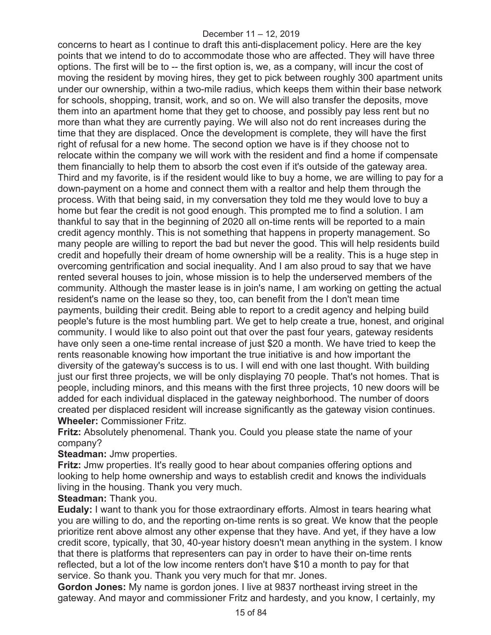concerns to heart as I continue to draft this anti-displacement policy. Here are the key points that we intend to do to accommodate those who are affected. They will have three options. The first will be to -- the first option is, we, as a company, will incur the cost of moving the resident by moving hires, they get to pick between roughly 300 apartment units under our ownership, within a two-mile radius, which keeps them within their base network for schools, shopping, transit, work, and so on. We will also transfer the deposits, move them into an apartment home that they get to choose, and possibly pay less rent but no more than what they are currently paying. We will also not do rent increases during the time that they are displaced. Once the development is complete, they will have the first right of refusal for a new home. The second option we have is if they choose not to relocate within the company we will work with the resident and find a home if compensate them financially to help them to absorb the cost even if it's outside of the gateway area. Third and my favorite, is if the resident would like to buy a home, we are willing to pay for a down-payment on a home and connect them with a realtor and help them through the process. With that being said, in my conversation they told me they would love to buy a home but fear the credit is not good enough. This prompted me to find a solution. I am thankful to say that in the beginning of 2020 all on-time rents will be reported to a main credit agency monthly. This is not something that happens in property management. So many people are willing to report the bad but never the good. This will help residents build credit and hopefully their dream of home ownership will be a reality. This is a huge step in overcoming gentrification and social inequality. And I am also proud to say that we have rented several houses to join, whose mission is to help the underserved members of the community. Although the master lease is in join's name, I am working on getting the actual resident's name on the lease so they, too, can benefit from the I don't mean time payments, building their credit. Being able to report to a credit agency and helping build people's future is the most humbling part. We get to help create a true, honest, and original community. I would like to also point out that over the past four years, gateway residents have only seen a one-time rental increase of just \$20 a month. We have tried to keep the rents reasonable knowing how important the true initiative is and how important the diversity of the gateway's success is to us. I will end with one last thought. With building just our first three projects, we will be only displaying 70 people. That's not homes. That is people, including minors, and this means with the first three projects, 10 new doors will be added for each individual displaced in the gateway neighborhood. The number of doors created per displaced resident will increase significantly as the gateway vision continues. **Wheeler:** Commissioner Fritz.

**Fritz:** Absolutely phenomenal. Thank you. Could you please state the name of your company?

**Steadman:** Jmw properties.

**Fritz:** Jmw properties. It's really good to hear about companies offering options and looking to help home ownership and ways to establish credit and knows the individuals living in the housing. Thank you very much.

**Steadman:** Thank you.

**Eudaly:** I want to thank you for those extraordinary efforts. Almost in tears hearing what you are willing to do, and the reporting on-time rents is so great. We know that the people prioritize rent above almost any other expense that they have. And yet, if they have a low credit score, typically, that 30, 40-year history doesn't mean anything in the system. I know that there is platforms that representers can pay in order to have their on-time rents reflected, but a lot of the low income renters don't have \$10 a month to pay for that service. So thank you. Thank you very much for that mr. Jones.

**Gordon Jones:** My name is gordon jones. I live at 9837 northeast irving street in the gateway. And mayor and commissioner Fritz and hardesty, and you know, I certainly, my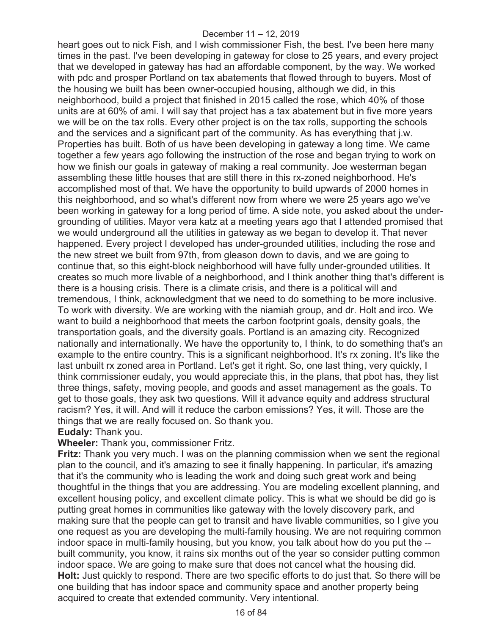heart goes out to nick Fish, and I wish commissioner Fish, the best. I've been here many times in the past. I've been developing in gateway for close to 25 years, and every project that we developed in gateway has had an affordable component, by the way. We worked with pdc and prosper Portland on tax abatements that flowed through to buyers. Most of the housing we built has been owner-occupied housing, although we did, in this neighborhood, build a project that finished in 2015 called the rose, which 40% of those units are at 60% of ami. I will say that project has a tax abatement but in five more years we will be on the tax rolls. Every other project is on the tax rolls, supporting the schools and the services and a significant part of the community. As has everything that j.w. Properties has built. Both of us have been developing in gateway a long time. We came together a few years ago following the instruction of the rose and began trying to work on how we finish our goals in gateway of making a real community. Joe westerman began assembling these little houses that are still there in this rx-zoned neighborhood. He's accomplished most of that. We have the opportunity to build upwards of 2000 homes in this neighborhood, and so what's different now from where we were 25 years ago we've been working in gateway for a long period of time. A side note, you asked about the undergrounding of utilities. Mayor vera katz at a meeting years ago that I attended promised that we would underground all the utilities in gateway as we began to develop it. That never happened. Every project I developed has under-grounded utilities, including the rose and the new street we built from 97th, from gleason down to davis, and we are going to continue that, so this eight-block neighborhood will have fully under-grounded utilities. It creates so much more livable of a neighborhood, and I think another thing that's different is there is a housing crisis. There is a climate crisis, and there is a political will and tremendous, I think, acknowledgment that we need to do something to be more inclusive. To work with diversity. We are working with the niamiah group, and dr. Holt and irco. We want to build a neighborhood that meets the carbon footprint goals, density goals, the transportation goals, and the diversity goals. Portland is an amazing city. Recognized nationally and internationally. We have the opportunity to, I think, to do something that's an example to the entire country. This is a significant neighborhood. It's rx zoning. It's like the last unbuilt rx zoned area in Portland. Let's get it right. So, one last thing, very quickly, I think commissioner eudaly, you would appreciate this, in the plans, that pbot has, they list three things, safety, moving people, and goods and asset management as the goals. To get to those goals, they ask two questions. Will it advance equity and address structural racism? Yes, it will. And will it reduce the carbon emissions? Yes, it will. Those are the things that we are really focused on. So thank you.

#### **Eudaly:** Thank you.

#### **Wheeler:** Thank you, commissioner Fritz.

**Fritz:** Thank you very much. I was on the planning commission when we sent the regional plan to the council, and it's amazing to see it finally happening. In particular, it's amazing that it's the community who is leading the work and doing such great work and being thoughtful in the things that you are addressing. You are modeling excellent planning, and excellent housing policy, and excellent climate policy. This is what we should be did go is putting great homes in communities like gateway with the lovely discovery park, and making sure that the people can get to transit and have livable communities, so I give you one request as you are developing the multi-family housing. We are not requiring common indoor space in multi-family housing, but you know, you talk about how do you put the - built community, you know, it rains six months out of the year so consider putting common indoor space. We are going to make sure that does not cancel what the housing did. **Holt:** Just quickly to respond. There are two specific efforts to do just that. So there will be one building that has indoor space and community space and another property being acquired to create that extended community. Very intentional.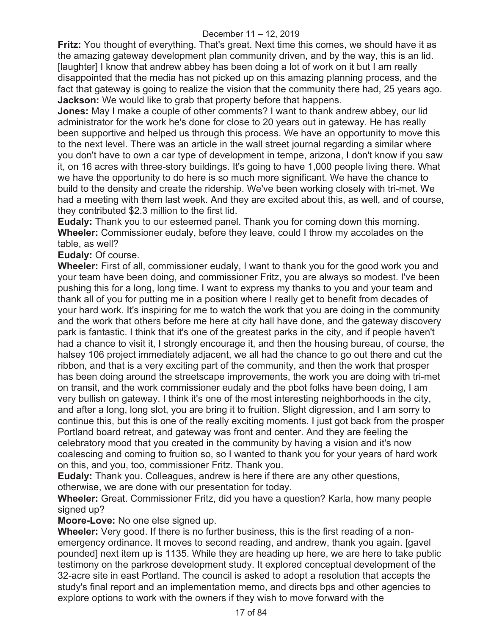**Fritz:** You thought of everything. That's great. Next time this comes, we should have it as the amazing gateway development plan community driven, and by the way, this is an lid. [laughter] I know that andrew abbey has been doing a lot of work on it but I am really disappointed that the media has not picked up on this amazing planning process, and the fact that gateway is going to realize the vision that the community there had, 25 years ago. **Jackson:** We would like to grab that property before that happens.

**Jones:** May I make a couple of other comments? I want to thank andrew abbey, our lid administrator for the work he's done for close to 20 years out in gateway. He has really been supportive and helped us through this process. We have an opportunity to move this to the next level. There was an article in the wall street journal regarding a similar where you don't have to own a car type of development in tempe, arizona, I don't know if you saw it, on 16 acres with three-story buildings. It's going to have 1,000 people living there. What we have the opportunity to do here is so much more significant. We have the chance to build to the density and create the ridership. We've been working closely with tri-met. We had a meeting with them last week. And they are excited about this, as well, and of course, they contributed \$2.3 million to the first lid.

**Eudaly:** Thank you to our esteemed panel. Thank you for coming down this morning. **Wheeler:** Commissioner eudaly, before they leave, could I throw my accolades on the table, as well?

**Eudaly:** Of course.

**Wheeler:** First of all, commissioner eudaly, I want to thank you for the good work you and your team have been doing, and commissioner Fritz, you are always so modest. I've been pushing this for a long, long time. I want to express my thanks to you and your team and thank all of you for putting me in a position where I really get to benefit from decades of your hard work. It's inspiring for me to watch the work that you are doing in the community and the work that others before me here at city hall have done, and the gateway discovery park is fantastic. I think that it's one of the greatest parks in the city, and if people haven't had a chance to visit it, I strongly encourage it, and then the housing bureau, of course, the halsey 106 project immediately adjacent, we all had the chance to go out there and cut the ribbon, and that is a very exciting part of the community, and then the work that prosper has been doing around the streetscape improvements, the work you are doing with tri-met on transit, and the work commissioner eudaly and the pbot folks have been doing, I am very bullish on gateway. I think it's one of the most interesting neighborhoods in the city, and after a long, long slot, you are bring it to fruition. Slight digression, and I am sorry to continue this, but this is one of the really exciting moments. I just got back from the prosper Portland board retreat, and gateway was front and center. And they are feeling the celebratory mood that you created in the community by having a vision and it's now coalescing and coming to fruition so, so I wanted to thank you for your years of hard work on this, and you, too, commissioner Fritz. Thank you.

**Eudaly:** Thank you. Colleagues, andrew is here if there are any other questions,

otherwise, we are done with our presentation for today.

**Wheeler:** Great. Commissioner Fritz, did you have a question? Karla, how many people signed up?

**Moore-Love:** No one else signed up.

**Wheeler:** Very good. If there is no further business, this is the first reading of a nonemergency ordinance. It moves to second reading, and andrew, thank you again. [gavel pounded] next item up is 1135. While they are heading up here, we are here to take public testimony on the parkrose development study. It explored conceptual development of the 32-acre site in east Portland. The council is asked to adopt a resolution that accepts the study's final report and an implementation memo, and directs bps and other agencies to explore options to work with the owners if they wish to move forward with the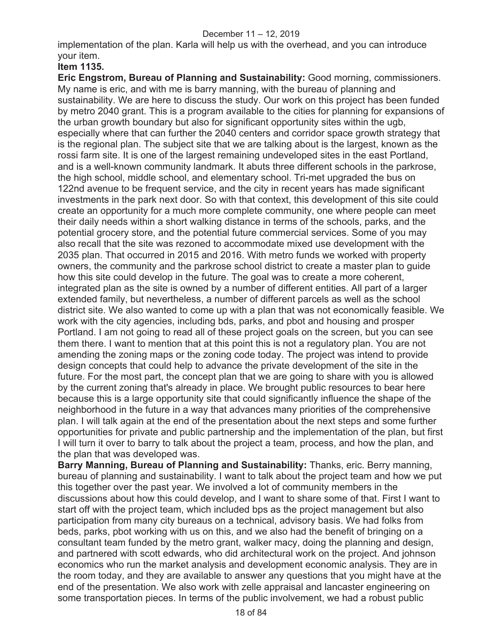implementation of the plan. Karla will help us with the overhead, and you can introduce your item.

# **Item 1135.**

**Eric Engstrom, Bureau of Planning and Sustainability:** Good morning, commissioners. My name is eric, and with me is barry manning, with the bureau of planning and sustainability. We are here to discuss the study. Our work on this project has been funded by metro 2040 grant. This is a program available to the cities for planning for expansions of the urban growth boundary but also for significant opportunity sites within the ugb, especially where that can further the 2040 centers and corridor space growth strategy that is the regional plan. The subject site that we are talking about is the largest, known as the rossi farm site. It is one of the largest remaining undeveloped sites in the east Portland, and is a well-known community landmark. It abuts three different schools in the parkrose, the high school, middle school, and elementary school. Tri-met upgraded the bus on 122nd avenue to be frequent service, and the city in recent years has made significant investments in the park next door. So with that context, this development of this site could create an opportunity for a much more complete community, one where people can meet their daily needs within a short walking distance in terms of the schools, parks, and the potential grocery store, and the potential future commercial services. Some of you may also recall that the site was rezoned to accommodate mixed use development with the 2035 plan. That occurred in 2015 and 2016. With metro funds we worked with property owners, the community and the parkrose school district to create a master plan to guide how this site could develop in the future. The goal was to create a more coherent, integrated plan as the site is owned by a number of different entities. All part of a larger extended family, but nevertheless, a number of different parcels as well as the school district site. We also wanted to come up with a plan that was not economically feasible. We work with the city agencies, including bds, parks, and pbot and housing and prosper Portland. I am not going to read all of these project goals on the screen, but you can see them there. I want to mention that at this point this is not a regulatory plan. You are not amending the zoning maps or the zoning code today. The project was intend to provide design concepts that could help to advance the private development of the site in the future. For the most part, the concept plan that we are going to share with you is allowed by the current zoning that's already in place. We brought public resources to bear here because this is a large opportunity site that could significantly influence the shape of the neighborhood in the future in a way that advances many priorities of the comprehensive plan. I will talk again at the end of the presentation about the next steps and some further opportunities for private and public partnership and the implementation of the plan, but first I will turn it over to barry to talk about the project a team, process, and how the plan, and the plan that was developed was.

**Barry Manning, Bureau of Planning and Sustainability:** Thanks, eric. Berry manning, bureau of planning and sustainability. I want to talk about the project team and how we put this together over the past year. We involved a lot of community members in the discussions about how this could develop, and I want to share some of that. First I want to start off with the project team, which included bps as the project management but also participation from many city bureaus on a technical, advisory basis. We had folks from beds, parks, pbot working with us on this, and we also had the benefit of bringing on a consultant team funded by the metro grant, walker macy, doing the planning and design, and partnered with scott edwards, who did architectural work on the project. And johnson economics who run the market analysis and development economic analysis. They are in the room today, and they are available to answer any questions that you might have at the end of the presentation. We also work with zelle appraisal and lancaster engineering on some transportation pieces. In terms of the public involvement, we had a robust public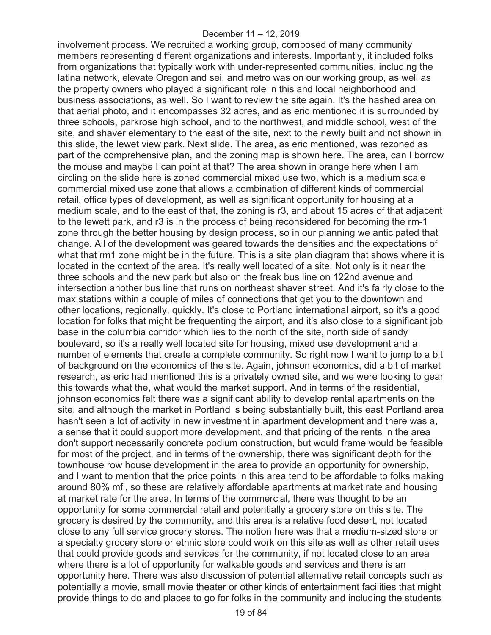involvement process. We recruited a working group, composed of many community members representing different organizations and interests. Importantly, it included folks from organizations that typically work with under-represented communities, including the latina network, elevate Oregon and sei, and metro was on our working group, as well as the property owners who played a significant role in this and local neighborhood and business associations, as well. So I want to review the site again. It's the hashed area on that aerial photo, and it encompasses 32 acres, and as eric mentioned it is surrounded by three schools, parkrose high school, and to the northwest, and middle school, west of the site, and shaver elementary to the east of the site, next to the newly built and not shown in this slide, the lewet view park. Next slide. The area, as eric mentioned, was rezoned as part of the comprehensive plan, and the zoning map is shown here. The area, can I borrow the mouse and maybe I can point at that? The area shown in orange here when I am circling on the slide here is zoned commercial mixed use two, which is a medium scale commercial mixed use zone that allows a combination of different kinds of commercial retail, office types of development, as well as significant opportunity for housing at a medium scale, and to the east of that, the zoning is r3, and about 15 acres of that adjacent to the lewett park, and r3 is in the process of being reconsidered for becoming the rm-1 zone through the better housing by design process, so in our planning we anticipated that change. All of the development was geared towards the densities and the expectations of what that rm1 zone might be in the future. This is a site plan diagram that shows where it is located in the context of the area. It's really well located of a site. Not only is it near the three schools and the new park but also on the freak bus line on 122nd avenue and intersection another bus line that runs on northeast shaver street. And it's fairly close to the max stations within a couple of miles of connections that get you to the downtown and other locations, regionally, quickly. It's close to Portland international airport, so it's a good location for folks that might be frequenting the airport, and it's also close to a significant job base in the columbia corridor which lies to the north of the site, north side of sandy boulevard, so it's a really well located site for housing, mixed use development and a number of elements that create a complete community. So right now I want to jump to a bit of background on the economics of the site. Again, johnson economics, did a bit of market research, as eric had mentioned this is a privately owned site, and we were looking to gear this towards what the, what would the market support. And in terms of the residential, johnson economics felt there was a significant ability to develop rental apartments on the site, and although the market in Portland is being substantially built, this east Portland area hasn't seen a lot of activity in new investment in apartment development and there was a, a sense that it could support more development, and that pricing of the rents in the area don't support necessarily concrete podium construction, but would frame would be feasible for most of the project, and in terms of the ownership, there was significant depth for the townhouse row house development in the area to provide an opportunity for ownership, and I want to mention that the price points in this area tend to be affordable to folks making around 80% mfi, so these are relatively affordable apartments at market rate and housing at market rate for the area. In terms of the commercial, there was thought to be an opportunity for some commercial retail and potentially a grocery store on this site. The grocery is desired by the community, and this area is a relative food desert, not located close to any full service grocery stores. The notion here was that a medium-sized store or a specialty grocery store or ethnic store could work on this site as well as other retail uses that could provide goods and services for the community, if not located close to an area where there is a lot of opportunity for walkable goods and services and there is an opportunity here. There was also discussion of potential alternative retail concepts such as potentially a movie, small movie theater or other kinds of entertainment facilities that might provide things to do and places to go for folks in the community and including the students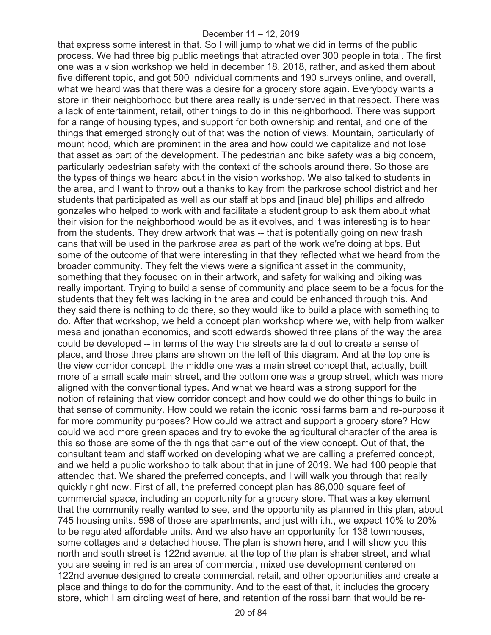that express some interest in that. So I will jump to what we did in terms of the public process. We had three big public meetings that attracted over 300 people in total. The first one was a vision workshop we held in december 18, 2018, rather, and asked them about five different topic, and got 500 individual comments and 190 surveys online, and overall, what we heard was that there was a desire for a grocery store again. Everybody wants a store in their neighborhood but there area really is underserved in that respect. There was a lack of entertainment, retail, other things to do in this neighborhood. There was support for a range of housing types, and support for both ownership and rental, and one of the things that emerged strongly out of that was the notion of views. Mountain, particularly of mount hood, which are prominent in the area and how could we capitalize and not lose that asset as part of the development. The pedestrian and bike safety was a big concern, particularly pedestrian safety with the context of the schools around there. So those are the types of things we heard about in the vision workshop. We also talked to students in the area, and I want to throw out a thanks to kay from the parkrose school district and her students that participated as well as our staff at bps and [inaudible] phillips and alfredo gonzales who helped to work with and facilitate a student group to ask them about what their vision for the neighborhood would be as it evolves, and it was interesting is to hear from the students. They drew artwork that was -- that is potentially going on new trash cans that will be used in the parkrose area as part of the work we're doing at bps. But some of the outcome of that were interesting in that they reflected what we heard from the broader community. They felt the views were a significant asset in the community, something that they focused on in their artwork, and safety for walking and biking was really important. Trying to build a sense of community and place seem to be a focus for the students that they felt was lacking in the area and could be enhanced through this. And they said there is nothing to do there, so they would like to build a place with something to do. After that workshop, we held a concept plan workshop where we, with help from walker mesa and jonathan economics, and scott edwards showed three plans of the way the area could be developed -- in terms of the way the streets are laid out to create a sense of place, and those three plans are shown on the left of this diagram. And at the top one is the view corridor concept, the middle one was a main street concept that, actually, built more of a small scale main street, and the bottom one was a group street, which was more aligned with the conventional types. And what we heard was a strong support for the notion of retaining that view corridor concept and how could we do other things to build in that sense of community. How could we retain the iconic rossi farms barn and re-purpose it for more community purposes? How could we attract and support a grocery store? How could we add more green spaces and try to evoke the agricultural character of the area is this so those are some of the things that came out of the view concept. Out of that, the consultant team and staff worked on developing what we are calling a preferred concept, and we held a public workshop to talk about that in june of 2019. We had 100 people that attended that. We shared the preferred concepts, and I will walk you through that really quickly right now. First of all, the preferred concept plan has 86,000 square feet of commercial space, including an opportunity for a grocery store. That was a key element that the community really wanted to see, and the opportunity as planned in this plan, about 745 housing units. 598 of those are apartments, and just with i.h., we expect 10% to 20% to be regulated affordable units. And we also have an opportunity for 138 townhouses, some cottages and a detached house. The plan is shown here, and I will show you this north and south street is 122nd avenue, at the top of the plan is shaber street, and what you are seeing in red is an area of commercial, mixed use development centered on 122nd avenue designed to create commercial, retail, and other opportunities and create a place and things to do for the community. And to the east of that, it includes the grocery store, which I am circling west of here, and retention of the rossi barn that would be re-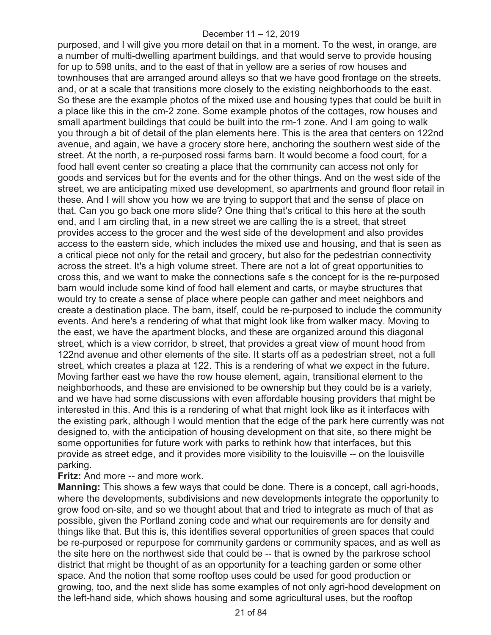purposed, and I will give you more detail on that in a moment. To the west, in orange, are a number of multi-dwelling apartment buildings, and that would serve to provide housing for up to 598 units, and to the east of that in yellow are a series of row houses and townhouses that are arranged around alleys so that we have good frontage on the streets, and, or at a scale that transitions more closely to the existing neighborhoods to the east. So these are the example photos of the mixed use and housing types that could be built in a place like this in the cm-2 zone. Some example photos of the cottages, row houses and small apartment buildings that could be built into the rm-1 zone. And I am going to walk you through a bit of detail of the plan elements here. This is the area that centers on 122nd avenue, and again, we have a grocery store here, anchoring the southern west side of the street. At the north, a re-purposed rossi farms barn. It would become a food court, for a food hall event center so creating a place that the community can access not only for goods and services but for the events and for the other things. And on the west side of the street, we are anticipating mixed use development, so apartments and ground floor retail in these. And I will show you how we are trying to support that and the sense of place on that. Can you go back one more slide? One thing that's critical to this here at the south end, and I am circling that, in a new street we are calling the is a street, that street provides access to the grocer and the west side of the development and also provides access to the eastern side, which includes the mixed use and housing, and that is seen as a critical piece not only for the retail and grocery, but also for the pedestrian connectivity across the street. It's a high volume street. There are not a lot of great opportunities to cross this, and we want to make the connections safe s the concept for is the re-purposed barn would include some kind of food hall element and carts, or maybe structures that would try to create a sense of place where people can gather and meet neighbors and create a destination place. The barn, itself, could be re-purposed to include the community events. And here's a rendering of what that might look like from walker macy. Moving to the east, we have the apartment blocks, and these are organized around this diagonal street, which is a view corridor, b street, that provides a great view of mount hood from 122nd avenue and other elements of the site. It starts off as a pedestrian street, not a full street, which creates a plaza at 122. This is a rendering of what we expect in the future. Moving farther east we have the row house element, again, transitional element to the neighborhoods, and these are envisioned to be ownership but they could be is a variety, and we have had some discussions with even affordable housing providers that might be interested in this. And this is a rendering of what that might look like as it interfaces with the existing park, although I would mention that the edge of the park here currently was not designed to, with the anticipation of housing development on that site, so there might be some opportunities for future work with parks to rethink how that interfaces, but this provide as street edge, and it provides more visibility to the louisville -- on the louisville parking.

**Fritz:** And more -- and more work.

**Manning:** This shows a few ways that could be done. There is a concept, call agri-hoods, where the developments, subdivisions and new developments integrate the opportunity to grow food on-site, and so we thought about that and tried to integrate as much of that as possible, given the Portland zoning code and what our requirements are for density and things like that. But this is, this identifies several opportunities of green spaces that could be re-purposed or repurpose for community gardens or community spaces, and as well as the site here on the northwest side that could be -- that is owned by the parkrose school district that might be thought of as an opportunity for a teaching garden or some other space. And the notion that some rooftop uses could be used for good production or growing, too, and the next slide has some examples of not only agri-hood development on the left-hand side, which shows housing and some agricultural uses, but the rooftop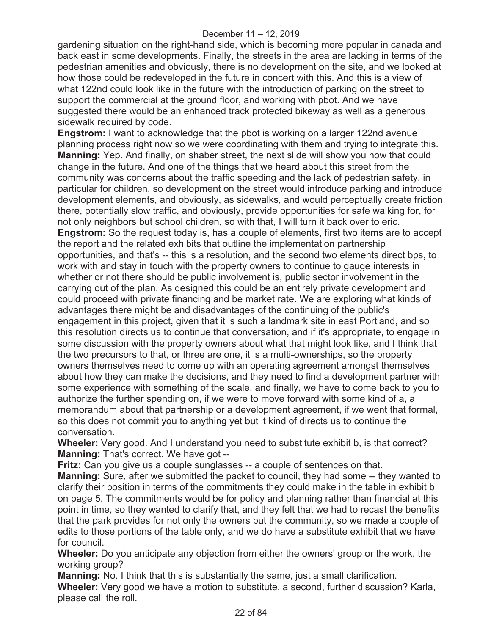gardening situation on the right-hand side, which is becoming more popular in canada and back east in some developments. Finally, the streets in the area are lacking in terms of the pedestrian amenities and obviously, there is no development on the site, and we looked at how those could be redeveloped in the future in concert with this. And this is a view of what 122nd could look like in the future with the introduction of parking on the street to support the commercial at the ground floor, and working with pbot. And we have suggested there would be an enhanced track protected bikeway as well as a generous sidewalk required by code.

**Engstrom:** I want to acknowledge that the pbot is working on a larger 122nd avenue planning process right now so we were coordinating with them and trying to integrate this. **Manning:** Yep. And finally, on shaber street, the next slide will show you how that could change in the future. And one of the things that we heard about this street from the community was concerns about the traffic speeding and the lack of pedestrian safety, in particular for children, so development on the street would introduce parking and introduce development elements, and obviously, as sidewalks, and would perceptually create friction there, potentially slow traffic, and obviously, provide opportunities for safe walking for, for not only neighbors but school children, so with that, I will turn it back over to eric. **Engstrom:** So the request today is, has a couple of elements, first two items are to accept the report and the related exhibits that outline the implementation partnership opportunities, and that's -- this is a resolution, and the second two elements direct bps, to work with and stay in touch with the property owners to continue to gauge interests in whether or not there should be public involvement is, public sector involvement in the carrying out of the plan. As designed this could be an entirely private development and could proceed with private financing and be market rate. We are exploring what kinds of advantages there might be and disadvantages of the continuing of the public's engagement in this project, given that it is such a landmark site in east Portland, and so this resolution directs us to continue that conversation, and if it's appropriate, to engage in some discussion with the property owners about what that might look like, and I think that the two precursors to that, or three are one, it is a multi-ownerships, so the property owners themselves need to come up with an operating agreement amongst themselves about how they can make the decisions, and they need to find a development partner with some experience with something of the scale, and finally, we have to come back to you to authorize the further spending on, if we were to move forward with some kind of a, a memorandum about that partnership or a development agreement, if we went that formal, so this does not commit you to anything yet but it kind of directs us to continue the conversation.

**Wheeler:** Very good. And I understand you need to substitute exhibit b, is that correct? **Manning:** That's correct. We have got --

**Fritz:** Can you give us a couple sunglasses -- a couple of sentences on that.

**Manning:** Sure, after we submitted the packet to council, they had some -- they wanted to clarify their position in terms of the commitments they could make in the table in exhibit b on page 5. The commitments would be for policy and planning rather than financial at this point in time, so they wanted to clarify that, and they felt that we had to recast the benefits that the park provides for not only the owners but the community, so we made a couple of edits to those portions of the table only, and we do have a substitute exhibit that we have for council.

**Wheeler:** Do you anticipate any objection from either the owners' group or the work, the working group?

**Manning:** No. I think that this is substantially the same, just a small clarification. **Wheeler:** Very good we have a motion to substitute, a second, further discussion? Karla, please call the roll.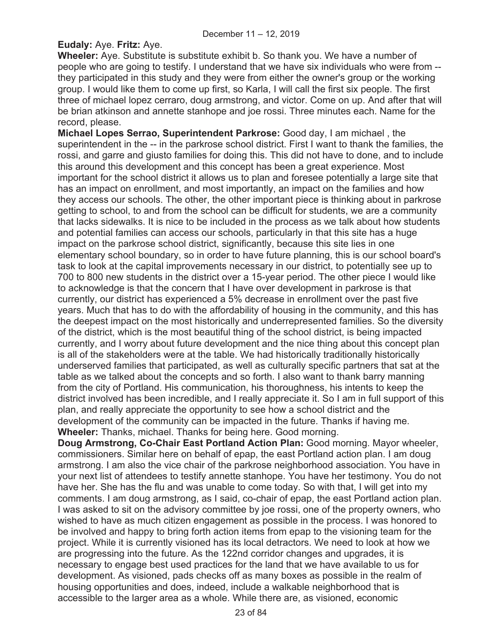# **Eudaly:** Aye. **Fritz:** Aye.

**Wheeler:** Aye. Substitute is substitute exhibit b. So thank you. We have a number of people who are going to testify. I understand that we have six individuals who were from - they participated in this study and they were from either the owner's group or the working group. I would like them to come up first, so Karla, I will call the first six people. The first three of michael lopez cerraro, doug armstrong, and victor. Come on up. And after that will be brian atkinson and annette stanhope and joe rossi. Three minutes each. Name for the record, please.

**Michael Lopes Serrao, Superintendent Parkrose:** Good day, I am michael , the superintendent in the -- in the parkrose school district. First I want to thank the families, the rossi, and garre and giusto families for doing this. This did not have to done, and to include this around this development and this concept has been a great experience. Most important for the school district it allows us to plan and foresee potentially a large site that has an impact on enrollment, and most importantly, an impact on the families and how they access our schools. The other, the other important piece is thinking about in parkrose getting to school, to and from the school can be difficult for students, we are a community that lacks sidewalks. It is nice to be included in the process as we talk about how students and potential families can access our schools, particularly in that this site has a huge impact on the parkrose school district, significantly, because this site lies in one elementary school boundary, so in order to have future planning, this is our school board's task to look at the capital improvements necessary in our district, to potentially see up to 700 to 800 new students in the district over a 15-year period. The other piece I would like to acknowledge is that the concern that I have over development in parkrose is that currently, our district has experienced a 5% decrease in enrollment over the past five years. Much that has to do with the affordability of housing in the community, and this has the deepest impact on the most historically and underrepresented families. So the diversity of the district, which is the most beautiful thing of the school district, is being impacted currently, and I worry about future development and the nice thing about this concept plan is all of the stakeholders were at the table. We had historically traditionally historically underserved families that participated, as well as culturally specific partners that sat at the table as we talked about the concepts and so forth. I also want to thank barry manning from the city of Portland. His communication, his thoroughness, his intents to keep the district involved has been incredible, and I really appreciate it. So I am in full support of this plan, and really appreciate the opportunity to see how a school district and the development of the community can be impacted in the future. Thanks if having me. **Wheeler:** Thanks, michael. Thanks for being here. Good morning.

**Doug Armstrong, Co-Chair East Portland Action Plan:** Good morning. Mayor wheeler, commissioners. Similar here on behalf of epap, the east Portland action plan. I am doug armstrong. I am also the vice chair of the parkrose neighborhood association. You have in your next list of attendees to testify annette stanhope. You have her testimony. You do not have her. She has the flu and was unable to come today. So with that, I will get into my comments. I am doug armstrong, as I said, co-chair of epap, the east Portland action plan. I was asked to sit on the advisory committee by joe rossi, one of the property owners, who wished to have as much citizen engagement as possible in the process. I was honored to be involved and happy to bring forth action items from epap to the visioning team for the project. While it is currently visioned has its local detractors. We need to look at how we are progressing into the future. As the 122nd corridor changes and upgrades, it is necessary to engage best used practices for the land that we have available to us for development. As visioned, pads checks off as many boxes as possible in the realm of housing opportunities and does, indeed, include a walkable neighborhood that is accessible to the larger area as a whole. While there are, as visioned, economic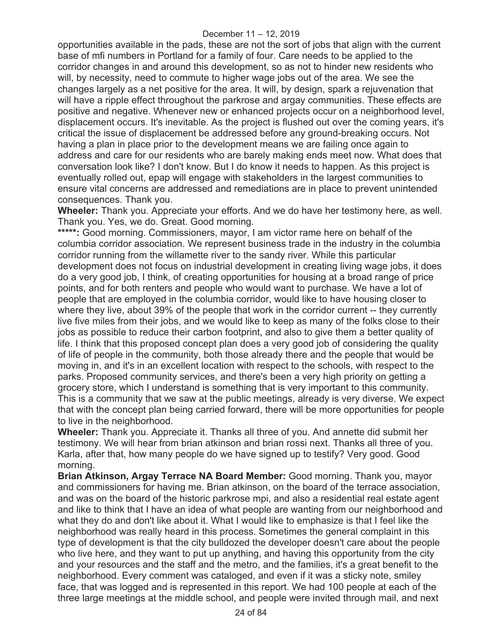opportunities available in the pads, these are not the sort of jobs that align with the current base of mfi numbers in Portland for a family of four. Care needs to be applied to the corridor changes in and around this development, so as not to hinder new residents who will, by necessity, need to commute to higher wage jobs out of the area. We see the changes largely as a net positive for the area. It will, by design, spark a rejuvenation that will have a ripple effect throughout the parkrose and argay communities. These effects are positive and negative. Whenever new or enhanced projects occur on a neighborhood level, displacement occurs. It's inevitable. As the project is flushed out over the coming years, it's critical the issue of displacement be addressed before any ground-breaking occurs. Not having a plan in place prior to the development means we are failing once again to address and care for our residents who are barely making ends meet now. What does that conversation look like? I don't know. But I do know it needs to happen. As this project is eventually rolled out, epap will engage with stakeholders in the largest communities to ensure vital concerns are addressed and remediations are in place to prevent unintended consequences. Thank you.

**Wheeler:** Thank you. Appreciate your efforts. And we do have her testimony here, as well. Thank you. Yes, we do. Great. Good morning.

**\*\*\*\*\*:** Good morning. Commissioners, mayor, I am victor rame here on behalf of the columbia corridor association. We represent business trade in the industry in the columbia corridor running from the willamette river to the sandy river. While this particular development does not focus on industrial development in creating living wage jobs, it does do a very good job, I think, of creating opportunities for housing at a broad range of price points, and for both renters and people who would want to purchase. We have a lot of people that are employed in the columbia corridor, would like to have housing closer to where they live, about 39% of the people that work in the corridor current -- they currently live five miles from their jobs, and we would like to keep as many of the folks close to their jobs as possible to reduce their carbon footprint, and also to give them a better quality of life. I think that this proposed concept plan does a very good job of considering the quality of life of people in the community, both those already there and the people that would be moving in, and it's in an excellent location with respect to the schools, with respect to the parks. Proposed community services, and there's been a very high priority on getting a grocery store, which I understand is something that is very important to this community. This is a community that we saw at the public meetings, already is very diverse. We expect that with the concept plan being carried forward, there will be more opportunities for people to live in the neighborhood.

**Wheeler:** Thank you. Appreciate it. Thanks all three of you. And annette did submit her testimony. We will hear from brian atkinson and brian rossi next. Thanks all three of you. Karla, after that, how many people do we have signed up to testify? Very good. Good morning.

**Brian Atkinson, Argay Terrace NA Board Member:** Good morning. Thank you, mayor and commissioners for having me. Brian atkinson, on the board of the terrace association, and was on the board of the historic parkrose mpi, and also a residential real estate agent and like to think that I have an idea of what people are wanting from our neighborhood and what they do and don't like about it. What I would like to emphasize is that I feel like the neighborhood was really heard in this process. Sometimes the general complaint in this type of development is that the city bulldozed the developer doesn't care about the people who live here, and they want to put up anything, and having this opportunity from the city and your resources and the staff and the metro, and the families, it's a great benefit to the neighborhood. Every comment was cataloged, and even if it was a sticky note, smiley face, that was logged and is represented in this report. We had 100 people at each of the three large meetings at the middle school, and people were invited through mail, and next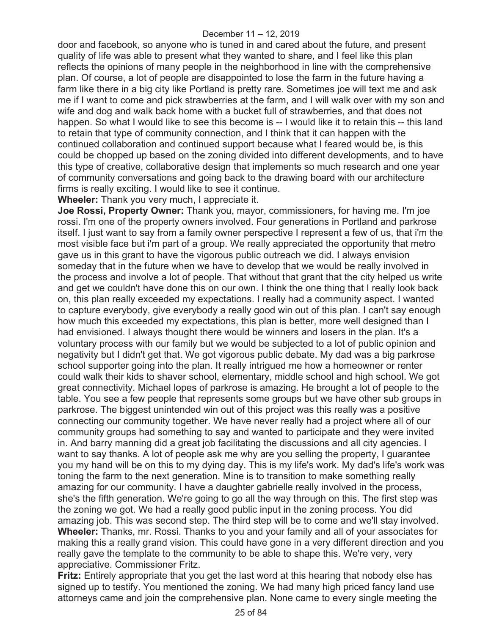door and facebook, so anyone who is tuned in and cared about the future, and present quality of life was able to present what they wanted to share, and I feel like this plan reflects the opinions of many people in the neighborhood in line with the comprehensive plan. Of course, a lot of people are disappointed to lose the farm in the future having a farm like there in a big city like Portland is pretty rare. Sometimes joe will text me and ask me if I want to come and pick strawberries at the farm, and I will walk over with my son and wife and dog and walk back home with a bucket full of strawberries, and that does not happen. So what I would like to see this become is -- I would like it to retain this -- this land to retain that type of community connection, and I think that it can happen with the continued collaboration and continued support because what I feared would be, is this could be chopped up based on the zoning divided into different developments, and to have this type of creative, collaborative design that implements so much research and one year of community conversations and going back to the drawing board with our architecture firms is really exciting. I would like to see it continue.

**Wheeler:** Thank you very much, I appreciate it.

**Joe Rossi, Property Owner:** Thank you, mayor, commissioners, for having me. I'm joe rossi. I'm one of the property owners involved. Four generations in Portland and parkrose itself. I just want to say from a family owner perspective I represent a few of us, that i'm the most visible face but i'm part of a group. We really appreciated the opportunity that metro gave us in this grant to have the vigorous public outreach we did. I always envision someday that in the future when we have to develop that we would be really involved in the process and involve a lot of people. That without that grant that the city helped us write and get we couldn't have done this on our own. I think the one thing that I really look back on, this plan really exceeded my expectations. I really had a community aspect. I wanted to capture everybody, give everybody a really good win out of this plan. I can't say enough how much this exceeded my expectations, this plan is better, more well designed than I had envisioned. I always thought there would be winners and losers in the plan. It's a voluntary process with our family but we would be subjected to a lot of public opinion and negativity but I didn't get that. We got vigorous public debate. My dad was a big parkrose school supporter going into the plan. It really intrigued me how a homeowner or renter could walk their kids to shaver school, elementary, middle school and high school. We got great connectivity. Michael lopes of parkrose is amazing. He brought a lot of people to the table. You see a few people that represents some groups but we have other sub groups in parkrose. The biggest unintended win out of this project was this really was a positive connecting our community together. We have never really had a project where all of our community groups had something to say and wanted to participate and they were invited in. And barry manning did a great job facilitating the discussions and all city agencies. I want to say thanks. A lot of people ask me why are you selling the property, I guarantee you my hand will be on this to my dying day. This is my life's work. My dad's life's work was toning the farm to the next generation. Mine is to transition to make something really amazing for our community. I have a daughter gabrielle really involved in the process, she's the fifth generation. We're going to go all the way through on this. The first step was the zoning we got. We had a really good public input in the zoning process. You did amazing job. This was second step. The third step will be to come and we'll stay involved. **Wheeler:** Thanks, mr. Rossi. Thanks to you and your family and all of your associates for making this a really grand vision. This could have gone in a very different direction and you really gave the template to the community to be able to shape this. We're very, very appreciative. Commissioner Fritz.

**Fritz:** Entirely appropriate that you get the last word at this hearing that nobody else has signed up to testify. You mentioned the zoning. We had many high priced fancy land use attorneys came and join the comprehensive plan. None came to every single meeting the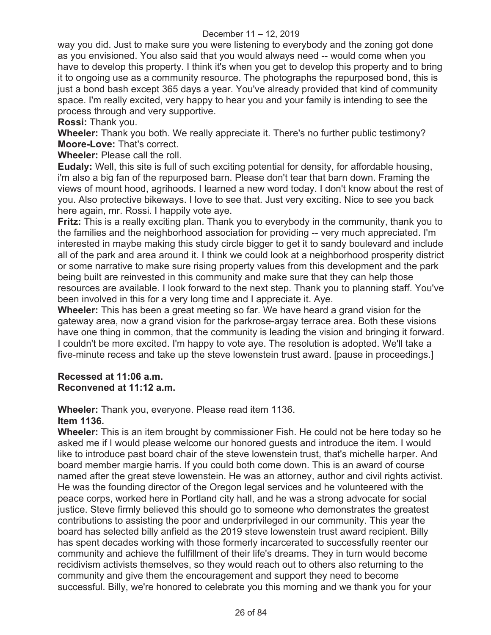way you did. Just to make sure you were listening to everybody and the zoning got done as you envisioned. You also said that you would always need -- would come when you have to develop this property. I think it's when you get to develop this property and to bring it to ongoing use as a community resource. The photographs the repurposed bond, this is just a bond bash except 365 days a year. You've already provided that kind of community space. I'm really excited, very happy to hear you and your family is intending to see the process through and very supportive.

**Rossi:** Thank you.

**Wheeler:** Thank you both. We really appreciate it. There's no further public testimony? **Moore-Love:** That's correct.

**Wheeler:** Please call the roll.

**Eudaly:** Well, this site is full of such exciting potential for density, for affordable housing, i'm also a big fan of the repurposed barn. Please don't tear that barn down. Framing the views of mount hood, agrihoods. I learned a new word today. I don't know about the rest of you. Also protective bikeways. I love to see that. Just very exciting. Nice to see you back here again, mr. Rossi. I happily vote aye.

**Fritz:** This is a really exciting plan. Thank you to everybody in the community, thank you to the families and the neighborhood association for providing -- very much appreciated. I'm interested in maybe making this study circle bigger to get it to sandy boulevard and include all of the park and area around it. I think we could look at a neighborhood prosperity district or some narrative to make sure rising property values from this development and the park being built are reinvested in this community and make sure that they can help those resources are available. I look forward to the next step. Thank you to planning staff. You've been involved in this for a very long time and I appreciate it. Aye.

**Wheeler:** This has been a great meeting so far. We have heard a grand vision for the gateway area, now a grand vision for the parkrose-argay terrace area. Both these visions have one thing in common, that the community is leading the vision and bringing it forward. I couldn't be more excited. I'm happy to vote aye. The resolution is adopted. We'll take a five-minute recess and take up the steve lowenstein trust award. [pause in proceedings.]

#### **Recessed at 11:06 a.m. Reconvened at 11:12 a.m.**

**Wheeler:** Thank you, everyone. Please read item 1136.

## **Item 1136.**

**Wheeler:** This is an item brought by commissioner Fish. He could not be here today so he asked me if I would please welcome our honored guests and introduce the item. I would like to introduce past board chair of the steve lowenstein trust, that's michelle harper. And board member margie harris. If you could both come down. This is an award of course named after the great steve lowenstein. He was an attorney, author and civil rights activist. He was the founding director of the Oregon legal services and he volunteered with the peace corps, worked here in Portland city hall, and he was a strong advocate for social justice. Steve firmly believed this should go to someone who demonstrates the greatest contributions to assisting the poor and underprivileged in our community. This year the board has selected billy anfield as the 2019 steve lowenstein trust award recipient. Billy has spent decades working with those formerly incarcerated to successfully reenter our community and achieve the fulfillment of their life's dreams. They in turn would become recidivism activists themselves, so they would reach out to others also returning to the community and give them the encouragement and support they need to become successful. Billy, we're honored to celebrate you this morning and we thank you for your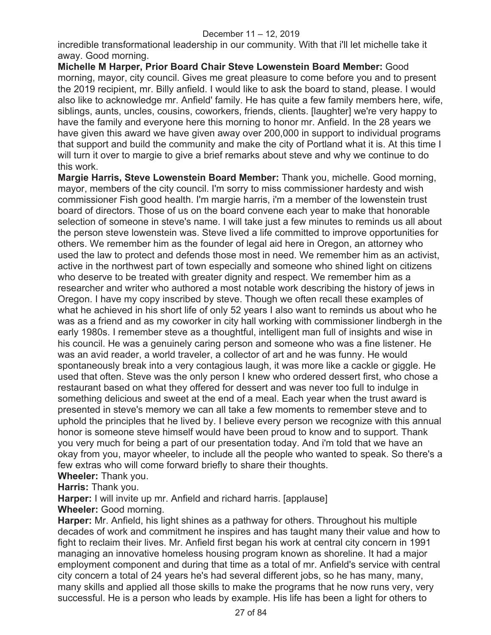incredible transformational leadership in our community. With that i'll let michelle take it away. Good morning.

**Michelle M Harper, Prior Board Chair Steve Lowenstein Board Member:** Good morning, mayor, city council. Gives me great pleasure to come before you and to present the 2019 recipient, mr. Billy anfield. I would like to ask the board to stand, please. I would also like to acknowledge mr. Anfield' family. He has quite a few family members here, wife, siblings, aunts, uncles, cousins, coworkers, friends, clients. [laughter] we're very happy to have the family and everyone here this morning to honor mr. Anfield. In the 28 years we have given this award we have given away over 200,000 in support to individual programs that support and build the community and make the city of Portland what it is. At this time I will turn it over to margie to give a brief remarks about steve and why we continue to do this work.

**Margie Harris, Steve Lowenstein Board Member:** Thank you, michelle. Good morning, mayor, members of the city council. I'm sorry to miss commissioner hardesty and wish commissioner Fish good health. I'm margie harris, i'm a member of the lowenstein trust board of directors. Those of us on the board convene each year to make that honorable selection of someone in steve's name. I will take just a few minutes to reminds us all about the person steve lowenstein was. Steve lived a life committed to improve opportunities for others. We remember him as the founder of legal aid here in Oregon, an attorney who used the law to protect and defends those most in need. We remember him as an activist, active in the northwest part of town especially and someone who shined light on citizens who deserve to be treated with greater dignity and respect. We remember him as a researcher and writer who authored a most notable work describing the history of jews in Oregon. I have my copy inscribed by steve. Though we often recall these examples of what he achieved in his short life of only 52 years I also want to reminds us about who he was as a friend and as my coworker in city hall working with commissioner lindbergh in the early 1980s. I remember steve as a thoughtful, intelligent man full of insights and wise in his council. He was a genuinely caring person and someone who was a fine listener. He was an avid reader, a world traveler, a collector of art and he was funny. He would spontaneously break into a very contagious laugh, it was more like a cackle or giggle. He used that often. Steve was the only person I knew who ordered dessert first, who chose a restaurant based on what they offered for dessert and was never too full to indulge in something delicious and sweet at the end of a meal. Each year when the trust award is presented in steve's memory we can all take a few moments to remember steve and to uphold the principles that he lived by. I believe every person we recognize with this annual honor is someone steve himself would have been proud to know and to support. Thank you very much for being a part of our presentation today. And i'm told that we have an okay from you, mayor wheeler, to include all the people who wanted to speak. So there's a few extras who will come forward briefly to share their thoughts.

**Wheeler:** Thank you.

**Harris:** Thank you.

**Harper:** I will invite up mr. Anfield and richard harris. [applause]

**Wheeler:** Good morning.

**Harper:** Mr. Anfield, his light shines as a pathway for others. Throughout his multiple decades of work and commitment he inspires and has taught many their value and how to fight to reclaim their lives. Mr. Anfield first began his work at central city concern in 1991 managing an innovative homeless housing program known as shoreline. It had a major employment component and during that time as a total of mr. Anfield's service with central city concern a total of 24 years he's had several different jobs, so he has many, many, many skills and applied all those skills to make the programs that he now runs very, very successful. He is a person who leads by example. His life has been a light for others to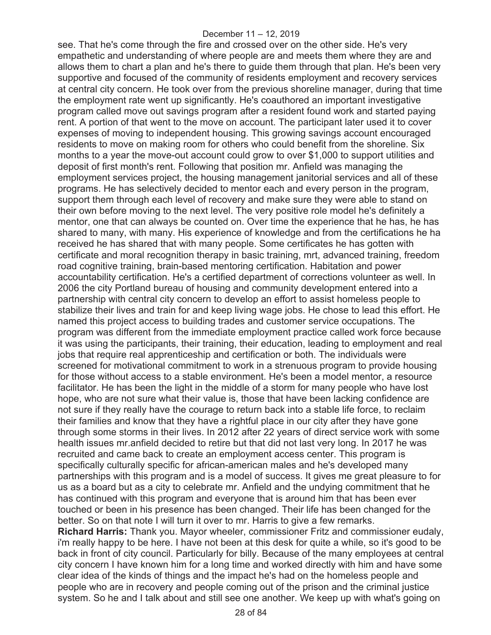see. That he's come through the fire and crossed over on the other side. He's very empathetic and understanding of where people are and meets them where they are and allows them to chart a plan and he's there to guide them through that plan. He's been very supportive and focused of the community of residents employment and recovery services at central city concern. He took over from the previous shoreline manager, during that time the employment rate went up significantly. He's coauthored an important investigative program called move out savings program after a resident found work and started paying rent. A portion of that went to the move on account. The participant later used it to cover expenses of moving to independent housing. This growing savings account encouraged residents to move on making room for others who could benefit from the shoreline. Six months to a year the move-out account could grow to over \$1,000 to support utilities and deposit of first month's rent. Following that position mr. Anfield was managing the employment services project, the housing management janitorial services and all of these programs. He has selectively decided to mentor each and every person in the program, support them through each level of recovery and make sure they were able to stand on their own before moving to the next level. The very positive role model he's definitely a mentor, one that can always be counted on. Over time the experience that he has, he has shared to many, with many. His experience of knowledge and from the certifications he ha received he has shared that with many people. Some certificates he has gotten with certificate and moral recognition therapy in basic training, mrt, advanced training, freedom road cognitive training, brain-based mentoring certification. Habitation and power accountability certification. He's a certified department of corrections volunteer as well. In 2006 the city Portland bureau of housing and community development entered into a partnership with central city concern to develop an effort to assist homeless people to stabilize their lives and train for and keep living wage jobs. He chose to lead this effort. He named this project access to building trades and customer service occupations. The program was different from the immediate employment practice called work force because it was using the participants, their training, their education, leading to employment and real jobs that require real apprenticeship and certification or both. The individuals were screened for motivational commitment to work in a strenuous program to provide housing for those without access to a stable environment. He's been a model mentor, a resource facilitator. He has been the light in the middle of a storm for many people who have lost hope, who are not sure what their value is, those that have been lacking confidence are not sure if they really have the courage to return back into a stable life force, to reclaim their families and know that they have a rightful place in our city after they have gone through some storms in their lives. In 2012 after 22 years of direct service work with some health issues mr.anfield decided to retire but that did not last very long. In 2017 he was recruited and came back to create an employment access center. This program is specifically culturally specific for african-american males and he's developed many partnerships with this program and is a model of success. It gives me great pleasure to for us as a board but as a city to celebrate mr. Anfield and the undying commitment that he has continued with this program and everyone that is around him that has been ever touched or been in his presence has been changed. Their life has been changed for the better. So on that note I will turn it over to mr. Harris to give a few remarks. **Richard Harris:** Thank you. Mayor wheeler, commissioner Fritz and commissioner eudaly, i'm really happy to be here. I have not been at this desk for quite a while, so it's good to be back in front of city council. Particularly for billy. Because of the many employees at central city concern I have known him for a long time and worked directly with him and have some clear idea of the kinds of things and the impact he's had on the homeless people and people who are in recovery and people coming out of the prison and the criminal justice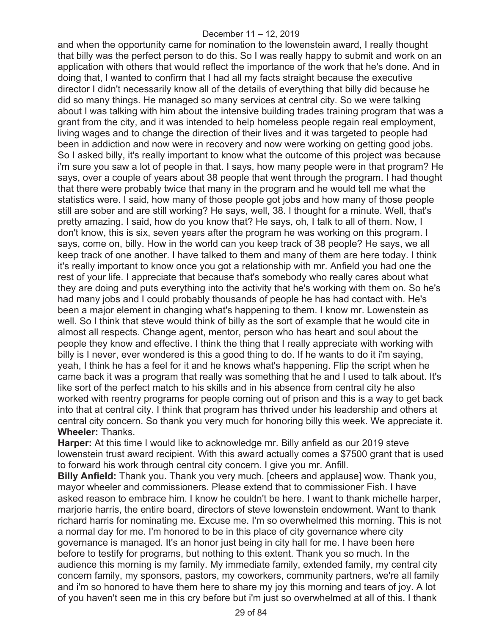and when the opportunity came for nomination to the lowenstein award, I really thought that billy was the perfect person to do this. So I was really happy to submit and work on an application with others that would reflect the importance of the work that he's done. And in doing that, I wanted to confirm that I had all my facts straight because the executive director I didn't necessarily know all of the details of everything that billy did because he did so many things. He managed so many services at central city. So we were talking about I was talking with him about the intensive building trades training program that was a grant from the city, and it was intended to help homeless people regain real employment, living wages and to change the direction of their lives and it was targeted to people had been in addiction and now were in recovery and now were working on getting good jobs. So I asked billy, it's really important to know what the outcome of this project was because i'm sure you saw a lot of people in that. I says, how many people were in that program? He says, over a couple of years about 38 people that went through the program. I had thought that there were probably twice that many in the program and he would tell me what the statistics were. I said, how many of those people got jobs and how many of those people still are sober and are still working? He says, well, 38. I thought for a minute. Well, that's pretty amazing. I said, how do you know that? He says, oh, I talk to all of them. Now, I don't know, this is six, seven years after the program he was working on this program. I says, come on, billy. How in the world can you keep track of 38 people? He says, we all keep track of one another. I have talked to them and many of them are here today. I think it's really important to know once you got a relationship with mr. Anfield you had one the rest of your life. I appreciate that because that's somebody who really cares about what they are doing and puts everything into the activity that he's working with them on. So he's had many jobs and I could probably thousands of people he has had contact with. He's been a major element in changing what's happening to them. I know mr. Lowenstein as well. So I think that steve would think of billy as the sort of example that he would cite in almost all respects. Change agent, mentor, person who has heart and soul about the people they know and effective. I think the thing that I really appreciate with working with billy is I never, ever wondered is this a good thing to do. If he wants to do it i'm saying, yeah, I think he has a feel for it and he knows what's happening. Flip the script when he came back it was a program that really was something that he and I used to talk about. It's like sort of the perfect match to his skills and in his absence from central city he also worked with reentry programs for people coming out of prison and this is a way to get back into that at central city. I think that program has thrived under his leadership and others at central city concern. So thank you very much for honoring billy this week. We appreciate it. **Wheeler:** Thanks.

**Harper:** At this time I would like to acknowledge mr. Billy anfield as our 2019 steve lowenstein trust award recipient. With this award actually comes a \$7500 grant that is used to forward his work through central city concern. I give you mr. Anfill.

**Billy Anfield:** Thank you. Thank you very much. [cheers and applause] wow. Thank you, mayor wheeler and commissioners. Please extend that to commissioner Fish. I have asked reason to embrace him. I know he couldn't be here. I want to thank michelle harper, marjorie harris, the entire board, directors of steve lowenstein endowment. Want to thank richard harris for nominating me. Excuse me. I'm so overwhelmed this morning. This is not a normal day for me. I'm honored to be in this place of city governance where city governance is managed. It's an honor just being in city hall for me. I have been here before to testify for programs, but nothing to this extent. Thank you so much. In the audience this morning is my family. My immediate family, extended family, my central city concern family, my sponsors, pastors, my coworkers, community partners, we're all family and i'm so honored to have them here to share my joy this morning and tears of joy. A lot of you haven't seen me in this cry before but i'm just so overwhelmed at all of this. I thank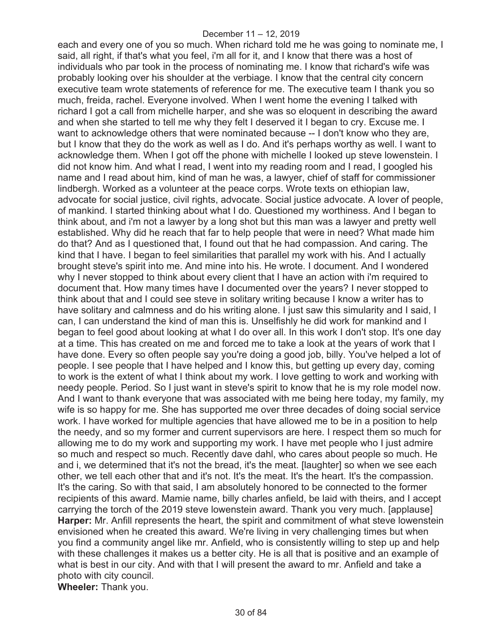each and every one of you so much. When richard told me he was going to nominate me, I said, all right, if that's what you feel, i'm all for it, and I know that there was a host of individuals who par took in the process of nominating me. I know that richard's wife was probably looking over his shoulder at the verbiage. I know that the central city concern executive team wrote statements of reference for me. The executive team I thank you so much, freida, rachel. Everyone involved. When I went home the evening I talked with richard I got a call from michelle harper, and she was so eloquent in describing the award and when she started to tell me why they felt I deserved it I began to cry. Excuse me. I want to acknowledge others that were nominated because -- I don't know who they are, but I know that they do the work as well as I do. And it's perhaps worthy as well. I want to acknowledge them. When I got off the phone with michelle I looked up steve lowenstein. I did not know him. And what I read, I went into my reading room and I read, I googled his name and I read about him, kind of man he was, a lawyer, chief of staff for commissioner lindbergh. Worked as a volunteer at the peace corps. Wrote texts on ethiopian law, advocate for social justice, civil rights, advocate. Social justice advocate. A lover of people, of mankind. I started thinking about what I do. Questioned my worthiness. And I began to think about, and i'm not a lawyer by a long shot but this man was a lawyer and pretty well established. Why did he reach that far to help people that were in need? What made him do that? And as I questioned that, I found out that he had compassion. And caring. The kind that I have. I began to feel similarities that parallel my work with his. And I actually brought steve's spirit into me. And mine into his. He wrote. I document. And I wondered why I never stopped to think about every client that I have an action with i'm required to document that. How many times have I documented over the years? I never stopped to think about that and I could see steve in solitary writing because I know a writer has to have solitary and calmness and do his writing alone. I just saw this simularity and I said, I can, I can understand the kind of man this is. Unselfishly he did work for mankind and I began to feel good about looking at what I do over all. In this work I don't stop. It's one day at a time. This has created on me and forced me to take a look at the years of work that I have done. Every so often people say you're doing a good job, billy. You've helped a lot of people. I see people that I have helped and I know this, but getting up every day, coming to work is the extent of what I think about my work. I love getting to work and working with needy people. Period. So I just want in steve's spirit to know that he is my role model now. And I want to thank everyone that was associated with me being here today, my family, my wife is so happy for me. She has supported me over three decades of doing social service work. I have worked for multiple agencies that have allowed me to be in a position to help the needy, and so my former and current supervisors are here. I respect them so much for allowing me to do my work and supporting my work. I have met people who I just admire so much and respect so much. Recently dave dahl, who cares about people so much. He and i, we determined that it's not the bread, it's the meat. [laughter] so when we see each other, we tell each other that and it's not. It's the meat. It's the heart. It's the compassion. It's the caring. So with that said, I am absolutely honored to be connected to the former recipients of this award. Mamie name, billy charles anfield, be laid with theirs, and I accept carrying the torch of the 2019 steve lowenstein award. Thank you very much. [applause] **Harper:** Mr. Anfill represents the heart, the spirit and commitment of what steve lowenstein envisioned when he created this award. We're living in very challenging times but when you find a community angel like mr. Anfield, who is consistently willing to step up and help with these challenges it makes us a better city. He is all that is positive and an example of what is best in our city. And with that I will present the award to mr. Anfield and take a photo with city council. **Wheeler:** Thank you.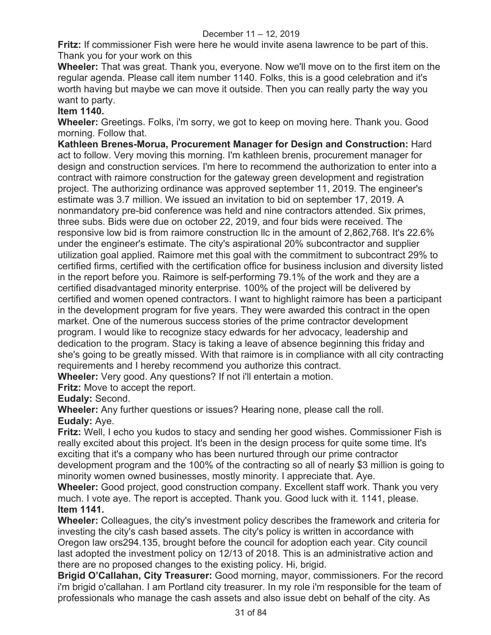**Fritz:** If commissioner Fish were here he would invite asena lawrence to be part of this. Thank you for your work on this

**Wheeler:** That was great. Thank you, everyone. Now we'll move on to the first item on the regular agenda. Please call item number 1140. Folks, this is a good celebration and it's worth having but maybe we can move it outside. Then you can really party the way you want to party.

# **Item 1140.**

**Wheeler:** Greetings. Folks, i'm sorry, we got to keep on moving here. Thank you. Good morning. Follow that.

**Kathleen Brenes-Morua, Procurement Manager for Design and Construction:** Hard act to follow. Very moving this morning. I'm kathleen brenis, procurement manager for design and construction services. I'm here to recommend the authorization to enter into a contract with raimore construction for the gateway green development and registration project. The authorizing ordinance was approved september 11, 2019. The engineer's estimate was 3.7 million. We issued an invitation to bid on september 17, 2019. A nonmandatory pre-bid conference was held and nine contractors attended. Six primes, three subs. Bids were due on october 22, 2019, and four bids were received. The responsive low bid is from raimore construction llc in the amount of 2,862,768. It's 22.6% under the engineer's estimate. The city's aspirational 20% subcontractor and supplier utilization goal applied. Raimore met this goal with the commitment to subcontract 29% to certified firms, certified with the certification office for business inclusion and diversity listed in the report before you. Raimore is self-performing 79.1% of the work and they are a certified disadvantaged minority enterprise. 100% of the project will be delivered by certified and women opened contractors. I want to highlight raimore has been a participant in the development program for five years. They were awarded this contract in the open market. One of the numerous success stories of the prime contractor development program. I would like to recognize stacy edwards for her advocacy, leadership and dedication to the program. Stacy is taking a leave of absence beginning this friday and she's going to be greatly missed. With that raimore is in compliance with all city contracting requirements and I hereby recommend you authorize this contract.

**Wheeler:** Very good. Any questions? If not i'll entertain a motion.

**Fritz:** Move to accept the report.

**Eudaly:** Second.

**Wheeler:** Any further questions or issues? Hearing none, please call the roll. **Eudaly:** Aye.

**Fritz:** Well, I echo you kudos to stacy and sending her good wishes. Commissioner Fish is really excited about this project. It's been in the design process for quite some time. It's exciting that it's a company who has been nurtured through our prime contractor development program and the 100% of the contracting so all of nearly \$3 million is going to minority women owned businesses, mostly minority. I appreciate that. Aye.

**Wheeler:** Good project, good construction company. Excellent staff work. Thank you very much. I vote aye. The report is accepted. Thank you. Good luck with it. 1141, please. **Item 1141.** 

**Wheeler:** Colleagues, the city's investment policy describes the framework and criteria for investing the city's cash based assets. The city's policy is written in accordance with Oregon law ors294.135, brought before the council for adoption each year. City council last adopted the investment policy on 12/13 of 2018. This is an administrative action and there are no proposed changes to the existing policy. Hi, brigid.

**Brigid O'Callahan, City Treasurer:** Good morning, mayor, commissioners. For the record i'm brigid o'callahan. I am Portland city treasurer. In my role i'm responsible for the team of professionals who manage the cash assets and also issue debt on behalf of the city. As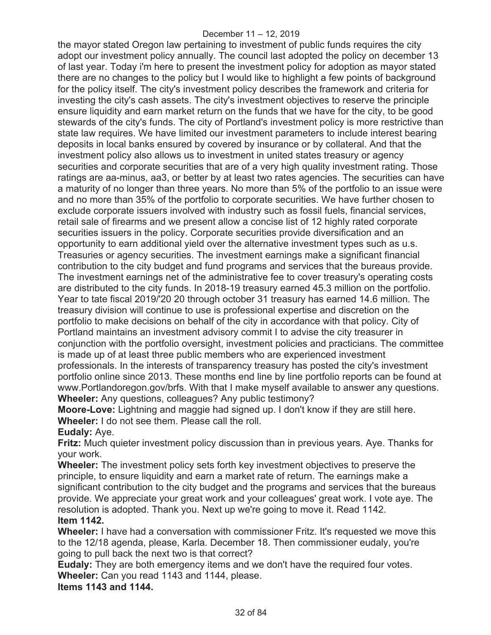the mayor stated Oregon law pertaining to investment of public funds requires the city adopt our investment policy annually. The council last adopted the policy on december 13 of last year. Today i'm here to present the investment policy for adoption as mayor stated there are no changes to the policy but I would like to highlight a few points of background for the policy itself. The city's investment policy describes the framework and criteria for investing the city's cash assets. The city's investment objectives to reserve the principle ensure liquidity and earn market return on the funds that we have for the city, to be good stewards of the city's funds. The city of Portland's investment policy is more restrictive than state law requires. We have limited our investment parameters to include interest bearing deposits in local banks ensured by covered by insurance or by collateral. And that the investment policy also allows us to investment in united states treasury or agency securities and corporate securities that are of a very high quality investment rating. Those ratings are aa-minus, aa3, or better by at least two rates agencies. The securities can have a maturity of no longer than three years. No more than 5% of the portfolio to an issue were and no more than 35% of the portfolio to corporate securities. We have further chosen to exclude corporate issuers involved with industry such as fossil fuels, financial services, retail sale of firearms and we present allow a concise list of 12 highly rated corporate securities issuers in the policy. Corporate securities provide diversification and an opportunity to earn additional yield over the alternative investment types such as u.s. Treasuries or agency securities. The investment earnings make a significant financial contribution to the city budget and fund programs and services that the bureaus provide. The investment earnings net of the administrative fee to cover treasury's operating costs are distributed to the city funds. In 2018-19 treasury earned 45.3 million on the portfolio. Year to tate fiscal 2019/'20 20 through october 31 treasury has earned 14.6 million. The treasury division will continue to use is professional expertise and discretion on the portfolio to make decisions on behalf of the city in accordance with that policy. City of Portland maintains an investment advisory commit I to advise the city treasurer in conjunction with the portfolio oversight, investment policies and practicians. The committee is made up of at least three public members who are experienced investment professionals. In the interests of transparency treasury has posted the city's investment portfolio online since 2013. These months end line by line portfolio reports can be found at www.Portlandoregon.gov/brfs. With that I make myself available to answer any questions. **Wheeler:** Any questions, colleagues? Any public testimony?

**Moore-Love:** Lightning and maggie had signed up. I don't know if they are still here. **Wheeler:** I do not see them. Please call the roll.

**Eudaly:** Aye.

**Fritz:** Much quieter investment policy discussion than in previous years. Aye. Thanks for your work.

**Wheeler:** The investment policy sets forth key investment objectives to preserve the principle, to ensure liquidity and earn a market rate of return. The earnings make a significant contribution to the city budget and the programs and services that the bureaus provide. We appreciate your great work and your colleagues' great work. I vote aye. The resolution is adopted. Thank you. Next up we're going to move it. Read 1142. **Item 1142.** 

**Wheeler:** I have had a conversation with commissioner Fritz. It's requested we move this to the 12/18 agenda, please, Karla. December 18. Then commissioner eudaly, you're going to pull back the next two is that correct?

**Eudaly:** They are both emergency items and we don't have the required four votes. **Wheeler:** Can you read 1143 and 1144, please.

**Items 1143 and 1144.**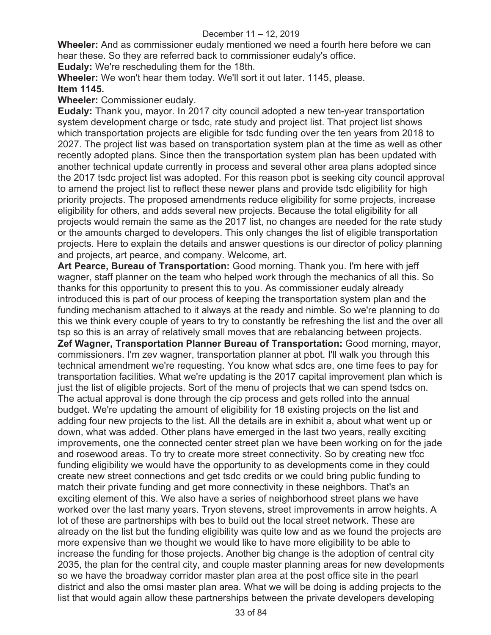**Wheeler:** And as commissioner eudaly mentioned we need a fourth here before we can hear these. So they are referred back to commissioner eudaly's office.

**Eudaly:** We're rescheduling them for the 18th.

**Wheeler:** We won't hear them today. We'll sort it out later. 1145, please.

# **Item 1145.**

**Wheeler:** Commissioner eudaly.

**Eudaly:** Thank you, mayor. In 2017 city council adopted a new ten-year transportation system development charge or tsdc, rate study and project list. That project list shows which transportation projects are eligible for tsdc funding over the ten years from 2018 to 2027. The project list was based on transportation system plan at the time as well as other recently adopted plans. Since then the transportation system plan has been updated with another technical update currently in process and several other area plans adopted since the 2017 tsdc project list was adopted. For this reason pbot is seeking city council approval to amend the project list to reflect these newer plans and provide tsdc eligibility for high priority projects. The proposed amendments reduce eligibility for some projects, increase eligibility for others, and adds several new projects. Because the total eligibility for all projects would remain the same as the 2017 list, no changes are needed for the rate study or the amounts charged to developers. This only changes the list of eligible transportation projects. Here to explain the details and answer questions is our director of policy planning and projects, art pearce, and company. Welcome, art.

**Art Pearce, Bureau of Transportation:** Good morning. Thank you. I'm here with jeff wagner, staff planner on the team who helped work through the mechanics of all this. So thanks for this opportunity to present this to you. As commissioner eudaly already introduced this is part of our process of keeping the transportation system plan and the funding mechanism attached to it always at the ready and nimble. So we're planning to do this we think every couple of years to try to constantly be refreshing the list and the over all tsp so this is an array of relatively small moves that are rebalancing between projects. **Zef Wagner, Transportation Planner Bureau of Transportation:** Good morning, mayor, commissioners. I'm zev wagner, transportation planner at pbot. I'll walk you through this technical amendment we're requesting. You know what sdcs are, one time fees to pay for transportation facilities. What we're updating is the 2017 capital improvement plan which is just the list of eligible projects. Sort of the menu of projects that we can spend tsdcs on. The actual approval is done through the cip process and gets rolled into the annual budget. We're updating the amount of eligibility for 18 existing projects on the list and adding four new projects to the list. All the details are in exhibit a, about what went up or down, what was added. Other plans have emerged in the last two years, really exciting improvements, one the connected center street plan we have been working on for the jade and rosewood areas. To try to create more street connectivity. So by creating new tfcc funding eligibility we would have the opportunity to as developments come in they could create new street connections and get tsdc credits or we could bring public funding to match their private funding and get more connectivity in these neighbors. That's an exciting element of this. We also have a series of neighborhood street plans we have worked over the last many years. Tryon stevens, street improvements in arrow heights. A lot of these are partnerships with bes to build out the local street network. These are already on the list but the funding eligibility was quite low and as we found the projects are more expensive than we thought we would like to have more eligibility to be able to increase the funding for those projects. Another big change is the adoption of central city 2035, the plan for the central city, and couple master planning areas for new developments so we have the broadway corridor master plan area at the post office site in the pearl district and also the omsi master plan area. What we will be doing is adding projects to the list that would again allow these partnerships between the private developers developing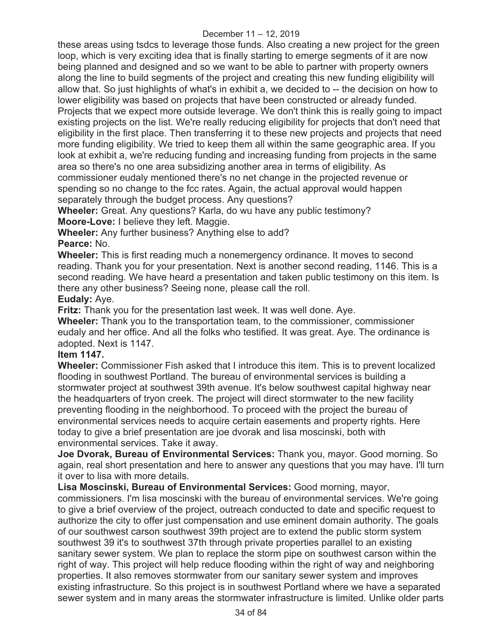these areas using tsdcs to leverage those funds. Also creating a new project for the green loop, which is very exciting idea that is finally starting to emerge segments of it are now being planned and designed and so we want to be able to partner with property owners along the line to build segments of the project and creating this new funding eligibility will allow that. So just highlights of what's in exhibit a, we decided to -- the decision on how to lower eligibility was based on projects that have been constructed or already funded. Projects that we expect more outside leverage. We don't think this is really going to impact existing projects on the list. We're really reducing eligibility for projects that don't need that eligibility in the first place. Then transferring it to these new projects and projects that need more funding eligibility. We tried to keep them all within the same geographic area. If you look at exhibit a, we're reducing funding and increasing funding from projects in the same area so there's no one area subsidizing another area in terms of eligibility. As commissioner eudaly mentioned there's no net change in the projected revenue or spending so no change to the fcc rates. Again, the actual approval would happen separately through the budget process. Any questions?

**Wheeler:** Great. Any questions? Karla, do wu have any public testimony?

**Moore-Love:** I believe they left. Maggie.

**Wheeler:** Any further business? Anything else to add?

# **Pearce:** No.

**Wheeler:** This is first reading much a nonemergency ordinance. It moves to second reading. Thank you for your presentation. Next is another second reading, 1146. This is a second reading. We have heard a presentation and taken public testimony on this item. Is there any other business? Seeing none, please call the roll. **Eudaly:** Aye.

**Fritz:** Thank you for the presentation last week. It was well done. Aye.

**Wheeler:** Thank you to the transportation team, to the commissioner, commissioner eudaly and her office. And all the folks who testified. It was great. Aye. The ordinance is adopted. Next is 1147.

## **Item 1147.**

**Wheeler:** Commissioner Fish asked that I introduce this item. This is to prevent localized flooding in southwest Portland. The bureau of environmental services is building a stormwater project at southwest 39th avenue. It's below southwest capital highway near the headquarters of tryon creek. The project will direct stormwater to the new facility preventing flooding in the neighborhood. To proceed with the project the bureau of environmental services needs to acquire certain easements and property rights. Here today to give a brief presentation are joe dvorak and lisa moscinski, both with environmental services. Take it away.

**Joe Dvorak, Bureau of Environmental Services:** Thank you, mayor. Good morning. So again, real short presentation and here to answer any questions that you may have. I'll turn it over to lisa with more details.

**Lisa Moscinski, Bureau of Environmental Services:** Good morning, mayor, commissioners. I'm lisa moscinski with the bureau of environmental services. We're going to give a brief overview of the project, outreach conducted to date and specific request to authorize the city to offer just compensation and use eminent domain authority. The goals of our southwest carson southwest 39th project are to extend the public storm system southwest 39 it's to southwest 37th through private properties parallel to an existing sanitary sewer system. We plan to replace the storm pipe on southwest carson within the right of way. This project will help reduce flooding within the right of way and neighboring properties. It also removes stormwater from our sanitary sewer system and improves existing infrastructure. So this project is in southwest Portland where we have a separated sewer system and in many areas the stormwater infrastructure is limited. Unlike older parts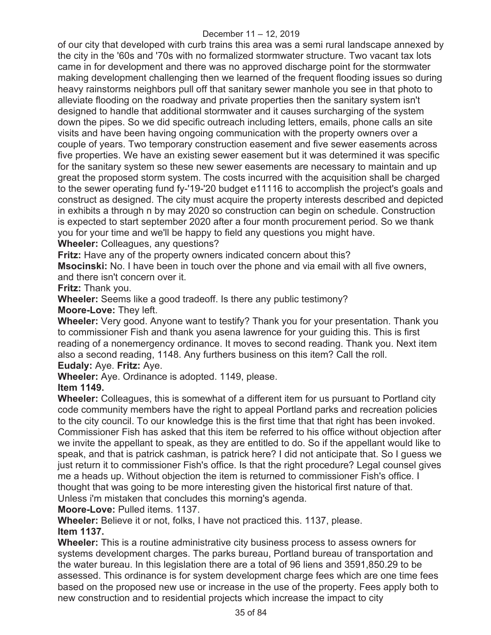of our city that developed with curb trains this area was a semi rural landscape annexed by the city in the '60s and '70s with no formalized stormwater structure. Two vacant tax lots came in for development and there was no approved discharge point for the stormwater making development challenging then we learned of the frequent flooding issues so during heavy rainstorms neighbors pull off that sanitary sewer manhole you see in that photo to alleviate flooding on the roadway and private properties then the sanitary system isn't designed to handle that additional stormwater and it causes surcharging of the system down the pipes. So we did specific outreach including letters, emails, phone calls an site visits and have been having ongoing communication with the property owners over a couple of years. Two temporary construction easement and five sewer easements across five properties. We have an existing sewer easement but it was determined it was specific for the sanitary system so these new sewer easements are necessary to maintain and up great the proposed storm system. The costs incurred with the acquisition shall be charged to the sewer operating fund fy-'19-'20 budget e11116 to accomplish the project's goals and construct as designed. The city must acquire the property interests described and depicted in exhibits a through n by may 2020 so construction can begin on schedule. Construction is expected to start september 2020 after a four month procurement period. So we thank you for your time and we'll be happy to field any questions you might have.

**Wheeler:** Colleagues, any questions?

**Fritz:** Have any of the property owners indicated concern about this?

**Msocinski:** No. I have been in touch over the phone and via email with all five owners, and there isn't concern over it.

**Fritz:** Thank you.

**Wheeler:** Seems like a good tradeoff. Is there any public testimony?

**Moore-Love:** They left.

**Wheeler:** Very good. Anyone want to testify? Thank you for your presentation. Thank you to commissioner Fish and thank you asena lawrence for your guiding this. This is first reading of a nonemergency ordinance. It moves to second reading. Thank you. Next item also a second reading, 1148. Any furthers business on this item? Call the roll.

## **Eudaly:** Aye. **Fritz:** Aye.

**Wheeler:** Aye. Ordinance is adopted. 1149, please.

# **Item 1149.**

**Wheeler:** Colleagues, this is somewhat of a different item for us pursuant to Portland city code community members have the right to appeal Portland parks and recreation policies to the city council. To our knowledge this is the first time that that right has been invoked. Commissioner Fish has asked that this item be referred to his office without objection after we invite the appellant to speak, as they are entitled to do. So if the appellant would like to speak, and that is patrick cashman, is patrick here? I did not anticipate that. So I guess we just return it to commissioner Fish's office. Is that the right procedure? Legal counsel gives me a heads up. Without objection the item is returned to commissioner Fish's office. I thought that was going to be more interesting given the historical first nature of that. Unless i'm mistaken that concludes this morning's agenda.

**Moore-Love:** Pulled items. 1137.

**Wheeler:** Believe it or not, folks, I have not practiced this. 1137, please. **Item 1137.** 

**Wheeler:** This is a routine administrative city business process to assess owners for systems development charges. The parks bureau, Portland bureau of transportation and the water bureau. In this legislation there are a total of 96 liens and 3591,850.29 to be assessed. This ordinance is for system development charge fees which are one time fees based on the proposed new use or increase in the use of the property. Fees apply both to new construction and to residential projects which increase the impact to city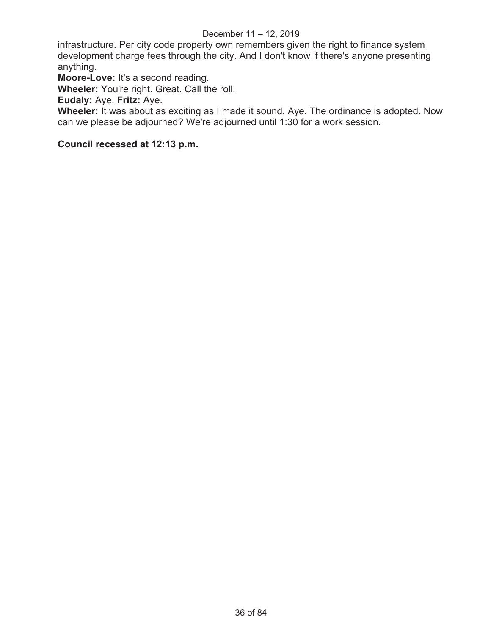infrastructure. Per city code property own remembers given the right to finance system development charge fees through the city. And I don't know if there's anyone presenting anything.

**Moore-Love:** It's a second reading.

**Wheeler:** You're right. Great. Call the roll.

**Eudaly:** Aye. **Fritz:** Aye.

**Wheeler:** It was about as exciting as I made it sound. Aye. The ordinance is adopted. Now can we please be adjourned? We're adjourned until 1:30 for a work session.

# **Council recessed at 12:13 p.m.**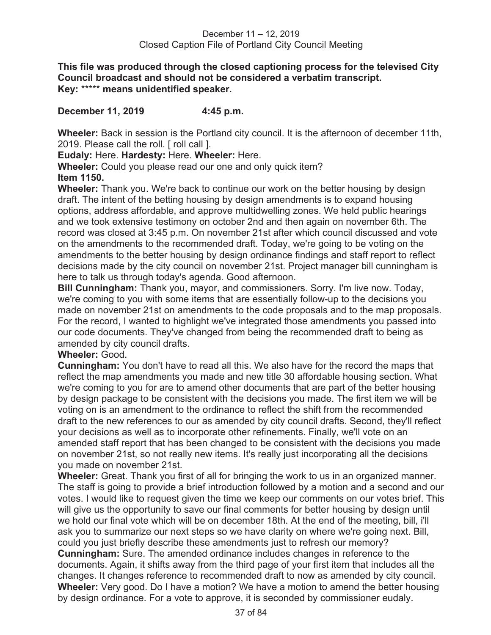**This file was produced through the closed captioning process for the televised City Council broadcast and should not be considered a verbatim transcript. Key:** \*\*\*\*\* **means unidentified speaker.** 

#### **December 11, 2019 4:45 p.m.**

**Wheeler:** Back in session is the Portland city council. It is the afternoon of december 11th, 2019. Please call the roll. [ roll call ].

**Eudaly:** Here. **Hardesty:** Here. **Wheeler:** Here.

**Wheeler:** Could you please read our one and only quick item?

#### **Item 1150.**

**Wheeler:** Thank you. We're back to continue our work on the better housing by design draft. The intent of the betting housing by design amendments is to expand housing options, address affordable, and approve multidwelling zones. We held public hearings and we took extensive testimony on october 2nd and then again on november 6th. The record was closed at 3:45 p.m. On november 21st after which council discussed and vote on the amendments to the recommended draft. Today, we're going to be voting on the amendments to the better housing by design ordinance findings and staff report to reflect decisions made by the city council on november 21st. Project manager bill cunningham is here to talk us through today's agenda. Good afternoon.

**Bill Cunningham:** Thank you, mayor, and commissioners. Sorry. I'm live now. Today, we're coming to you with some items that are essentially follow-up to the decisions you made on november 21st on amendments to the code proposals and to the map proposals. For the record, I wanted to highlight we've integrated those amendments you passed into our code documents. They've changed from being the recommended draft to being as amended by city council drafts.

## **Wheeler:** Good.

**Cunningham:** You don't have to read all this. We also have for the record the maps that reflect the map amendments you made and new title 30 affordable housing section. What we're coming to you for are to amend other documents that are part of the better housing by design package to be consistent with the decisions you made. The first item we will be voting on is an amendment to the ordinance to reflect the shift from the recommended draft to the new references to our as amended by city council drafts. Second, they'll reflect your decisions as well as to incorporate other refinements. Finally, we'll vote on an amended staff report that has been changed to be consistent with the decisions you made on november 21st, so not really new items. It's really just incorporating all the decisions you made on november 21st.

**Wheeler:** Great. Thank you first of all for bringing the work to us in an organized manner. The staff is going to provide a brief introduction followed by a motion and a second and our votes. I would like to request given the time we keep our comments on our votes brief. This will give us the opportunity to save our final comments for better housing by design until we hold our final vote which will be on december 18th. At the end of the meeting, bill, i'll ask you to summarize our next steps so we have clarity on where we're going next. Bill, could you just briefly describe these amendments just to refresh our memory? **Cunningham:** Sure. The amended ordinance includes changes in reference to the documents. Again, it shifts away from the third page of your first item that includes all the changes. It changes reference to recommended draft to now as amended by city council. **Wheeler:** Very good. Do I have a motion? We have a motion to amend the better housing by design ordinance. For a vote to approve, it is seconded by commissioner eudaly.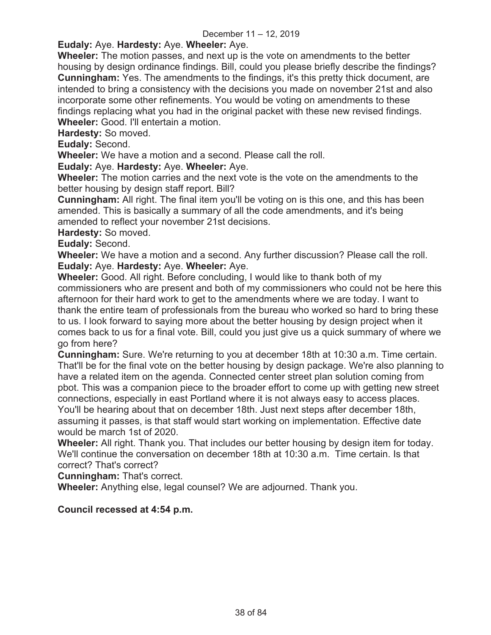# **Eudaly:** Aye. **Hardesty:** Aye. **Wheeler:** Aye.

**Wheeler:** The motion passes, and next up is the vote on amendments to the better housing by design ordinance findings. Bill, could you please briefly describe the findings? **Cunningham:** Yes. The amendments to the findings, it's this pretty thick document, are intended to bring a consistency with the decisions you made on november 21st and also incorporate some other refinements. You would be voting on amendments to these findings replacing what you had in the original packet with these new revised findings. **Wheeler:** Good. I'll entertain a motion.

**Hardesty:** So moved.

**Eudaly:** Second.

**Wheeler:** We have a motion and a second. Please call the roll.

**Eudaly:** Aye. **Hardesty:** Aye. **Wheeler:** Aye.

**Wheeler:** The motion carries and the next vote is the vote on the amendments to the better housing by design staff report. Bill?

**Cunningham:** All right. The final item you'll be voting on is this one, and this has been amended. This is basically a summary of all the code amendments, and it's being amended to reflect your november 21st decisions.

**Hardesty:** So moved.

**Eudaly:** Second.

**Wheeler:** We have a motion and a second. Any further discussion? Please call the roll. **Eudaly:** Aye. **Hardesty:** Aye. **Wheeler:** Aye.

**Wheeler:** Good. All right. Before concluding, I would like to thank both of my commissioners who are present and both of my commissioners who could not be here this afternoon for their hard work to get to the amendments where we are today. I want to thank the entire team of professionals from the bureau who worked so hard to bring these to us. I look forward to saying more about the better housing by design project when it comes back to us for a final vote. Bill, could you just give us a quick summary of where we go from here?

**Cunningham:** Sure. We're returning to you at december 18th at 10:30 a.m. Time certain. That'll be for the final vote on the better housing by design package. We're also planning to have a related item on the agenda. Connected center street plan solution coming from pbot. This was a companion piece to the broader effort to come up with getting new street connections, especially in east Portland where it is not always easy to access places. You'll be hearing about that on december 18th. Just next steps after december 18th, assuming it passes, is that staff would start working on implementation. Effective date would be march 1st of 2020.

**Wheeler:** All right. Thank you. That includes our better housing by design item for today. We'll continue the conversation on december 18th at 10:30 a.m. Time certain. Is that correct? That's correct?

**Cunningham:** That's correct.

**Wheeler:** Anything else, legal counsel? We are adjourned. Thank you.

## **Council recessed at 4:54 p.m.**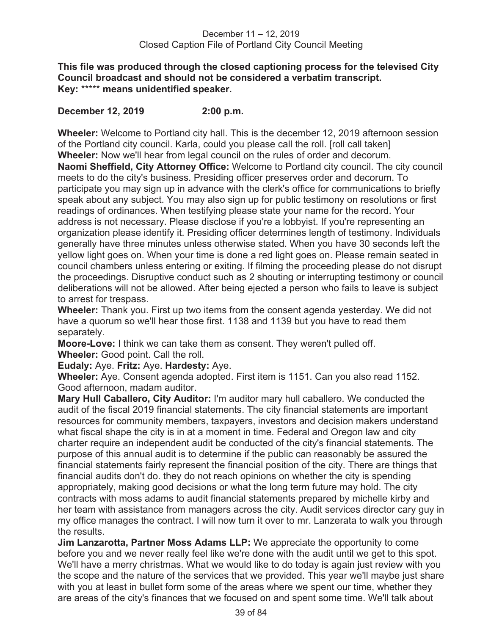**This file was produced through the closed captioning process for the televised City Council broadcast and should not be considered a verbatim transcript. Key:** \*\*\*\*\* **means unidentified speaker.** 

## **December 12, 2019 2:00 p.m.**

**Wheeler:** Welcome to Portland city hall. This is the december 12, 2019 afternoon session of the Portland city council. Karla, could you please call the roll. [roll call taken] **Wheeler:** Now we'll hear from legal council on the rules of order and decorum. **Naomi Sheffield, City Attorney Office:** Welcome to Portland city council. The city council meets to do the city's business. Presiding officer preserves order and decorum. To participate you may sign up in advance with the clerk's office for communications to briefly speak about any subject. You may also sign up for public testimony on resolutions or first readings of ordinances. When testifying please state your name for the record. Your address is not necessary. Please disclose if you're a lobbyist. If you're representing an organization please identify it. Presiding officer determines length of testimony. Individuals generally have three minutes unless otherwise stated. When you have 30 seconds left the yellow light goes on. When your time is done a red light goes on. Please remain seated in council chambers unless entering or exiting. If filming the proceeding please do not disrupt the proceedings. Disruptive conduct such as 2 shouting or interrupting testimony or council deliberations will not be allowed. After being ejected a person who fails to leave is subject to arrest for trespass.

**Wheeler:** Thank you. First up two items from the consent agenda yesterday. We did not have a quorum so we'll hear those first. 1138 and 1139 but you have to read them separately.

**Moore-Love:** I think we can take them as consent. They weren't pulled off. **Wheeler:** Good point. Call the roll.

**Eudaly:** Aye. **Fritz:** Aye. **Hardesty:** Aye.

**Wheeler:** Aye. Consent agenda adopted. First item is 1151. Can you also read 1152. Good afternoon, madam auditor.

**Mary Hull Caballero, City Auditor:** I'm auditor mary hull caballero. We conducted the audit of the fiscal 2019 financial statements. The city financial statements are important resources for community members, taxpayers, investors and decision makers understand what fiscal shape the city is in at a moment in time. Federal and Oregon law and city charter require an independent audit be conducted of the city's financial statements. The purpose of this annual audit is to determine if the public can reasonably be assured the financial statements fairly represent the financial position of the city. There are things that financial audits don't do. they do not reach opinions on whether the city is spending appropriately, making good decisions or what the long term future may hold. The city contracts with moss adams to audit financial statements prepared by michelle kirby and her team with assistance from managers across the city. Audit services director cary guy in my office manages the contract. I will now turn it over to mr. Lanzerata to walk you through the results.

**Jim Lanzarotta, Partner Moss Adams LLP:** We appreciate the opportunity to come before you and we never really feel like we're done with the audit until we get to this spot. We'll have a merry christmas. What we would like to do today is again just review with you the scope and the nature of the services that we provided. This year we'll maybe just share with you at least in bullet form some of the areas where we spent our time, whether they are areas of the city's finances that we focused on and spent some time. We'll talk about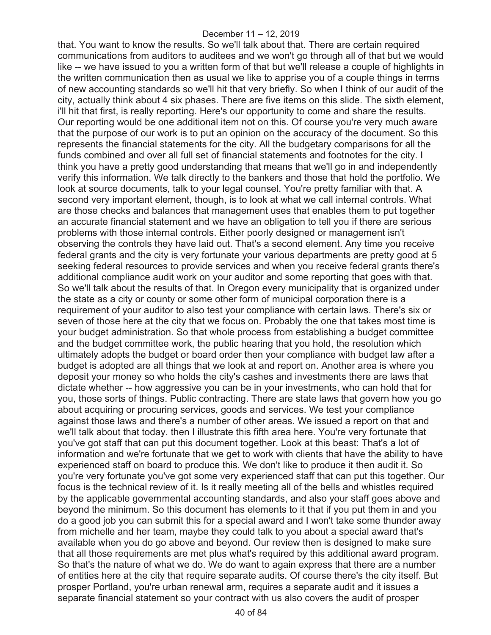that. You want to know the results. So we'll talk about that. There are certain required communications from auditors to auditees and we won't go through all of that but we would like -- we have issued to you a written form of that but we'll release a couple of highlights in the written communication then as usual we like to apprise you of a couple things in terms of new accounting standards so we'll hit that very briefly. So when I think of our audit of the city, actually think about 4 six phases. There are five items on this slide. The sixth element, i'll hit that first, is really reporting. Here's our opportunity to come and share the results. Our reporting would be one additional item not on this. Of course you're very much aware that the purpose of our work is to put an opinion on the accuracy of the document. So this represents the financial statements for the city. All the budgetary comparisons for all the funds combined and over all full set of financial statements and footnotes for the city. I think you have a pretty good understanding that means that we'll go in and independently verify this information. We talk directly to the bankers and those that hold the portfolio. We look at source documents, talk to your legal counsel. You're pretty familiar with that. A second very important element, though, is to look at what we call internal controls. What are those checks and balances that management uses that enables them to put together an accurate financial statement and we have an obligation to tell you if there are serious problems with those internal controls. Either poorly designed or management isn't observing the controls they have laid out. That's a second element. Any time you receive federal grants and the city is very fortunate your various departments are pretty good at 5 seeking federal resources to provide services and when you receive federal grants there's additional compliance audit work on your auditor and some reporting that goes with that. So we'll talk about the results of that. In Oregon every municipality that is organized under the state as a city or county or some other form of municipal corporation there is a requirement of your auditor to also test your compliance with certain laws. There's six or seven of those here at the city that we focus on. Probably the one that takes most time is your budget administration. So that whole process from establishing a budget committee and the budget committee work, the public hearing that you hold, the resolution which ultimately adopts the budget or board order then your compliance with budget law after a budget is adopted are all things that we look at and report on. Another area is where you deposit your money so who holds the city's cashes and investments there are laws that dictate whether -- how aggressive you can be in your investments, who can hold that for you, those sorts of things. Public contracting. There are state laws that govern how you go about acquiring or procuring services, goods and services. We test your compliance against those laws and there's a number of other areas. We issued a report on that and we'll talk about that today. then I illustrate this fifth area here. You're very fortunate that you've got staff that can put this document together. Look at this beast: That's a lot of information and we're fortunate that we get to work with clients that have the ability to have experienced staff on board to produce this. We don't like to produce it then audit it. So you're very fortunate you've got some very experienced staff that can put this together. Our focus is the technical review of it. Is it really meeting all of the bells and whistles required by the applicable governmental accounting standards, and also your staff goes above and beyond the minimum. So this document has elements to it that if you put them in and you do a good job you can submit this for a special award and I won't take some thunder away from michelle and her team, maybe they could talk to you about a special award that's available when you do go above and beyond. Our review then is designed to make sure that all those requirements are met plus what's required by this additional award program. So that's the nature of what we do. We do want to again express that there are a number of entities here at the city that require separate audits. Of course there's the city itself. But prosper Portland, you're urban renewal arm, requires a separate audit and it issues a separate financial statement so your contract with us also covers the audit of prosper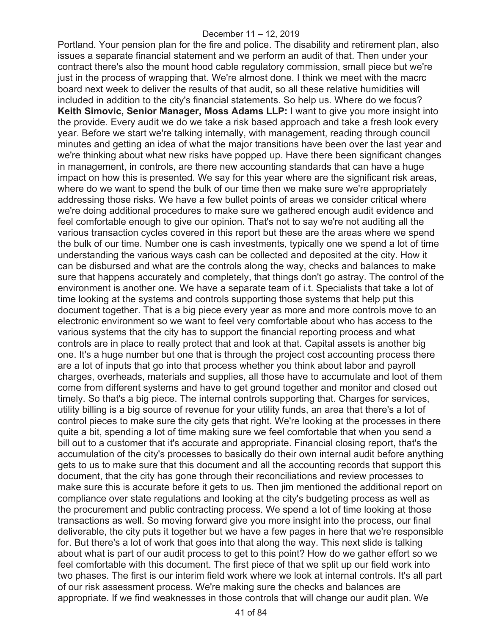Portland. Your pension plan for the fire and police. The disability and retirement plan, also issues a separate financial statement and we perform an audit of that. Then under your contract there's also the mount hood cable regulatory commission, small piece but we're just in the process of wrapping that. We're almost done. I think we meet with the macrc board next week to deliver the results of that audit, so all these relative humidities will included in addition to the city's financial statements. So help us. Where do we focus? **Keith Simovic, Senior Manager, Moss Adams LLP:** I want to give you more insight into the provide. Every audit we do we take a risk based approach and take a fresh look every year. Before we start we're talking internally, with management, reading through council minutes and getting an idea of what the major transitions have been over the last year and we're thinking about what new risks have popped up. Have there been significant changes in management, in controls, are there new accounting standards that can have a huge impact on how this is presented. We say for this year where are the significant risk areas, where do we want to spend the bulk of our time then we make sure we're appropriately addressing those risks. We have a few bullet points of areas we consider critical where we're doing additional procedures to make sure we gathered enough audit evidence and feel comfortable enough to give our opinion. That's not to say we're not auditing all the various transaction cycles covered in this report but these are the areas where we spend the bulk of our time. Number one is cash investments, typically one we spend a lot of time understanding the various ways cash can be collected and deposited at the city. How it can be disbursed and what are the controls along the way, checks and balances to make sure that happens accurately and completely, that things don't go astray. The control of the environment is another one. We have a separate team of i.t. Specialists that take a lot of time looking at the systems and controls supporting those systems that help put this document together. That is a big piece every year as more and more controls move to an electronic environment so we want to feel very comfortable about who has access to the various systems that the city has to support the financial reporting process and what controls are in place to really protect that and look at that. Capital assets is another big one. It's a huge number but one that is through the project cost accounting process there are a lot of inputs that go into that process whether you think about labor and payroll charges, overheads, materials and supplies, all those have to accumulate and loot of them come from different systems and have to get ground together and monitor and closed out timely. So that's a big piece. The internal controls supporting that. Charges for services, utility billing is a big source of revenue for your utility funds, an area that there's a lot of control pieces to make sure the city gets that right. We're looking at the processes in there quite a bit, spending a lot of time making sure we feel comfortable that when you send a bill out to a customer that it's accurate and appropriate. Financial closing report, that's the accumulation of the city's processes to basically do their own internal audit before anything gets to us to make sure that this document and all the accounting records that support this document, that the city has gone through their reconciliations and review processes to make sure this is accurate before it gets to us. Then jim mentioned the additional report on compliance over state regulations and looking at the city's budgeting process as well as the procurement and public contracting process. We spend a lot of time looking at those transactions as well. So moving forward give you more insight into the process, our final deliverable, the city puts it together but we have a few pages in here that we're responsible for. But there's a lot of work that goes into that along the way. This next slide is talking about what is part of our audit process to get to this point? How do we gather effort so we feel comfortable with this document. The first piece of that we split up our field work into two phases. The first is our interim field work where we look at internal controls. It's all part of our risk assessment process. We're making sure the checks and balances are appropriate. If we find weaknesses in those controls that will change our audit plan. We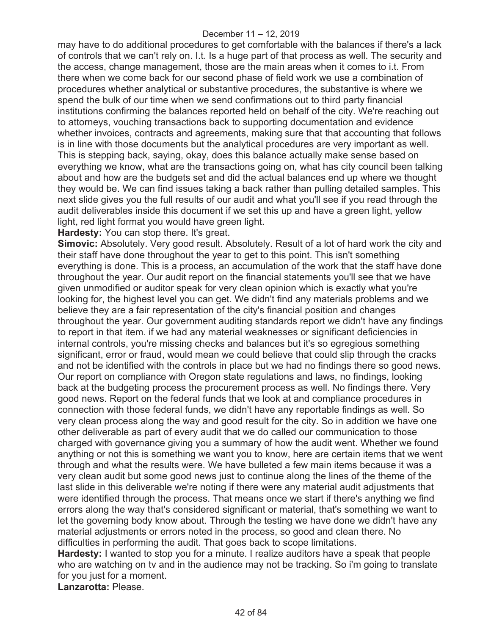may have to do additional procedures to get comfortable with the balances if there's a lack of controls that we can't rely on. I.t. Is a huge part of that process as well. The security and the access, change management, those are the main areas when it comes to i.t. From there when we come back for our second phase of field work we use a combination of procedures whether analytical or substantive procedures, the substantive is where we spend the bulk of our time when we send confirmations out to third party financial institutions confirming the balances reported held on behalf of the city. We're reaching out to attorneys, vouching transactions back to supporting documentation and evidence whether invoices, contracts and agreements, making sure that that accounting that follows is in line with those documents but the analytical procedures are very important as well. This is stepping back, saying, okay, does this balance actually make sense based on everything we know, what are the transactions going on, what has city council been talking about and how are the budgets set and did the actual balances end up where we thought they would be. We can find issues taking a back rather than pulling detailed samples. This next slide gives you the full results of our audit and what you'll see if you read through the audit deliverables inside this document if we set this up and have a green light, yellow light, red light format you would have green light.

**Hardesty:** You can stop there. It's great.

**Simovic:** Absolutely. Very good result. Absolutely. Result of a lot of hard work the city and their staff have done throughout the year to get to this point. This isn't something everything is done. This is a process, an accumulation of the work that the staff have done throughout the year. Our audit report on the financial statements you'll see that we have given unmodified or auditor speak for very clean opinion which is exactly what you're looking for, the highest level you can get. We didn't find any materials problems and we believe they are a fair representation of the city's financial position and changes throughout the year. Our government auditing standards report we didn't have any findings to report in that item. if we had any material weaknesses or significant deficiencies in internal controls, you're missing checks and balances but it's so egregious something significant, error or fraud, would mean we could believe that could slip through the cracks and not be identified with the controls in place but we had no findings there so good news. Our report on compliance with Oregon state regulations and laws, no findings, looking back at the budgeting process the procurement process as well. No findings there. Very good news. Report on the federal funds that we look at and compliance procedures in connection with those federal funds, we didn't have any reportable findings as well. So very clean process along the way and good result for the city. So in addition we have one other deliverable as part of every audit that we do called our communication to those charged with governance giving you a summary of how the audit went. Whether we found anything or not this is something we want you to know, here are certain items that we went through and what the results were. We have bulleted a few main items because it was a very clean audit but some good news just to continue along the lines of the theme of the last slide in this deliverable we're noting if there were any material audit adjustments that were identified through the process. That means once we start if there's anything we find errors along the way that's considered significant or material, that's something we want to let the governing body know about. Through the testing we have done we didn't have any material adjustments or errors noted in the process, so good and clean there. No difficulties in performing the audit. That goes back to scope limitations.

**Hardesty:** I wanted to stop you for a minute. I realize auditors have a speak that people who are watching on tv and in the audience may not be tracking. So i'm going to translate for you just for a moment.

**Lanzarotta:** Please.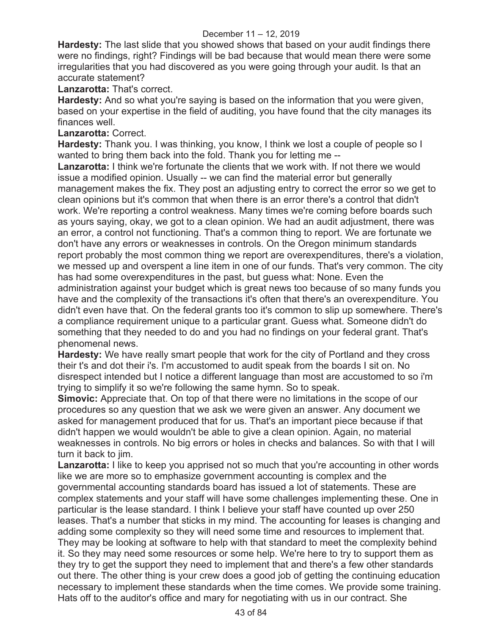**Hardesty:** The last slide that you showed shows that based on your audit findings there were no findings, right? Findings will be bad because that would mean there were some irregularities that you had discovered as you were going through your audit. Is that an accurate statement?

## **Lanzarotta:** That's correct.

**Hardesty:** And so what you're saying is based on the information that you were given, based on your expertise in the field of auditing, you have found that the city manages its finances well.

## **Lanzarotta:** Correct.

**Hardesty:** Thank you. I was thinking, you know, I think we lost a couple of people so I wanted to bring them back into the fold. Thank you for letting me --

**Lanzarotta:** I think we're fortunate the clients that we work with. If not there we would issue a modified opinion. Usually -- we can find the material error but generally management makes the fix. They post an adjusting entry to correct the error so we get to clean opinions but it's common that when there is an error there's a control that didn't work. We're reporting a control weakness. Many times we're coming before boards such as yours saying, okay, we got to a clean opinion. We had an audit adjustment, there was an error, a control not functioning. That's a common thing to report. We are fortunate we don't have any errors or weaknesses in controls. On the Oregon minimum standards report probably the most common thing we report are overexpenditures, there's a violation, we messed up and overspent a line item in one of our funds. That's very common. The city has had some overexpenditures in the past, but guess what: None. Even the administration against your budget which is great news too because of so many funds you have and the complexity of the transactions it's often that there's an overexpenditure. You didn't even have that. On the federal grants too it's common to slip up somewhere. There's a compliance requirement unique to a particular grant. Guess what. Someone didn't do something that they needed to do and you had no findings on your federal grant. That's phenomenal news.

**Hardesty:** We have really smart people that work for the city of Portland and they cross their t's and dot their i's. I'm accustomed to audit speak from the boards I sit on. No disrespect intended but I notice a different language than most are accustomed to so i'm trying to simplify it so we're following the same hymn. So to speak.

**Simovic:** Appreciate that. On top of that there were no limitations in the scope of our procedures so any question that we ask we were given an answer. Any document we asked for management produced that for us. That's an important piece because if that didn't happen we would wouldn't be able to give a clean opinion. Again, no material weaknesses in controls. No big errors or holes in checks and balances. So with that I will turn it back to jim.

**Lanzarotta:** I like to keep you apprised not so much that you're accounting in other words like we are more so to emphasize government accounting is complex and the governmental accounting standards board has issued a lot of statements. These are complex statements and your staff will have some challenges implementing these. One in particular is the lease standard. I think I believe your staff have counted up over 250 leases. That's a number that sticks in my mind. The accounting for leases is changing and adding some complexity so they will need some time and resources to implement that. They may be looking at software to help with that standard to meet the complexity behind it. So they may need some resources or some help. We're here to try to support them as they try to get the support they need to implement that and there's a few other standards out there. The other thing is your crew does a good job of getting the continuing education necessary to implement these standards when the time comes. We provide some training. Hats off to the auditor's office and mary for negotiating with us in our contract. She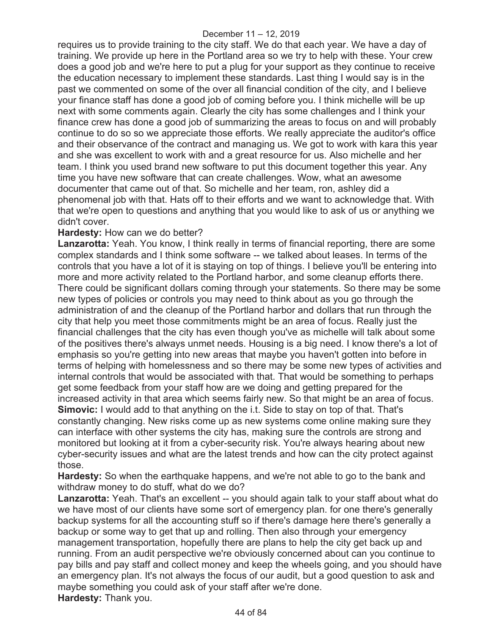requires us to provide training to the city staff. We do that each year. We have a day of training. We provide up here in the Portland area so we try to help with these. Your crew does a good job and we're here to put a plug for your support as they continue to receive the education necessary to implement these standards. Last thing I would say is in the past we commented on some of the over all financial condition of the city, and I believe your finance staff has done a good job of coming before you. I think michelle will be up next with some comments again. Clearly the city has some challenges and I think your finance crew has done a good job of summarizing the areas to focus on and will probably continue to do so so we appreciate those efforts. We really appreciate the auditor's office and their observance of the contract and managing us. We got to work with kara this year and she was excellent to work with and a great resource for us. Also michelle and her team. I think you used brand new software to put this document together this year. Any time you have new software that can create challenges. Wow, what an awesome documenter that came out of that. So michelle and her team, ron, ashley did a phenomenal job with that. Hats off to their efforts and we want to acknowledge that. With that we're open to questions and anything that you would like to ask of us or anything we didn't cover.

#### **Hardesty:** How can we do better?

**Lanzarotta:** Yeah. You know, I think really in terms of financial reporting, there are some complex standards and I think some software -- we talked about leases. In terms of the controls that you have a lot of it is staying on top of things. I believe you'll be entering into more and more activity related to the Portland harbor, and some cleanup efforts there. There could be significant dollars coming through your statements. So there may be some new types of policies or controls you may need to think about as you go through the administration of and the cleanup of the Portland harbor and dollars that run through the city that help you meet those commitments might be an area of focus. Really just the financial challenges that the city has even though you've as michelle will talk about some of the positives there's always unmet needs. Housing is a big need. I know there's a lot of emphasis so you're getting into new areas that maybe you haven't gotten into before in terms of helping with homelessness and so there may be some new types of activities and internal controls that would be associated with that. That would be something to perhaps get some feedback from your staff how are we doing and getting prepared for the increased activity in that area which seems fairly new. So that might be an area of focus. **Simovic:** I would add to that anything on the i.t. Side to stay on top of that. That's constantly changing. New risks come up as new systems come online making sure they can interface with other systems the city has, making sure the controls are strong and monitored but looking at it from a cyber-security risk. You're always hearing about new cyber-security issues and what are the latest trends and how can the city protect against those.

**Hardesty:** So when the earthquake happens, and we're not able to go to the bank and withdraw money to do stuff, what do we do?

**Lanzarotta:** Yeah. That's an excellent -- you should again talk to your staff about what do we have most of our clients have some sort of emergency plan. for one there's generally backup systems for all the accounting stuff so if there's damage here there's generally a backup or some way to get that up and rolling. Then also through your emergency management transportation, hopefully there are plans to help the city get back up and running. From an audit perspective we're obviously concerned about can you continue to pay bills and pay staff and collect money and keep the wheels going, and you should have an emergency plan. It's not always the focus of our audit, but a good question to ask and maybe something you could ask of your staff after we're done. **Hardesty:** Thank you.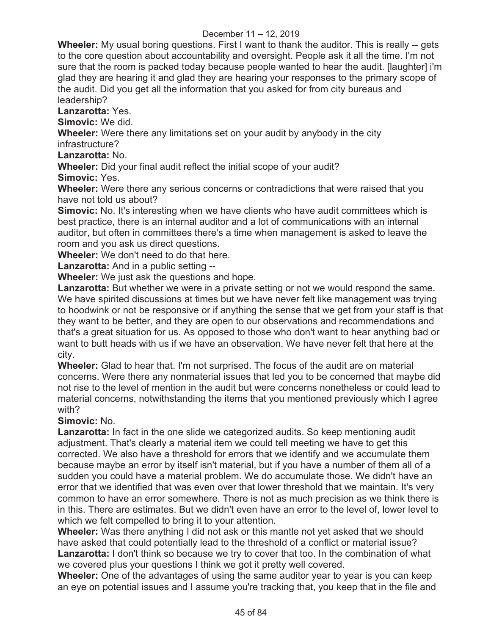**Wheeler:** My usual boring questions. First I want to thank the auditor. This is really -- gets to the core question about accountability and oversight. People ask it all the time. I'm not sure that the room is packed today because people wanted to hear the audit. [laughter] i'm glad they are hearing it and glad they are hearing your responses to the primary scope of the audit. Did you get all the information that you asked for from city bureaus and leadership?

#### **Lanzarotta:** Yes.

**Simovic:** We did.

**Wheeler:** Were there any limitations set on your audit by anybody in the city infrastructure?

**Lanzarotta:** No.

**Wheeler:** Did your final audit reflect the initial scope of your audit?

**Simovic:** Yes.

**Wheeler:** Were there any serious concerns or contradictions that were raised that you have not told us about?

**Simovic:** No. It's interesting when we have clients who have audit committees which is best practice, there is an internal auditor and a lot of communications with an internal auditor, but often in committees there's a time when management is asked to leave the room and you ask us direct questions.

**Wheeler:** We don't need to do that here.

**Lanzarotta:** And in a public setting --

**Wheeler:** We just ask the questions and hope.

Lanzarotta: But whether we were in a private setting or not we would respond the same. We have spirited discussions at times but we have never felt like management was trying to hoodwink or not be responsive or if anything the sense that we get from your staff is that they want to be better, and they are open to our observations and recommendations and that's a great situation for us. As opposed to those who don't want to hear anything bad or want to butt heads with us if we have an observation. We have never felt that here at the city.

**Wheeler:** Glad to hear that. I'm not surprised. The focus of the audit are on material concerns. Were there any nonmaterial issues that led you to be concerned that maybe did not rise to the level of mention in the audit but were concerns nonetheless or could lead to material concerns, notwithstanding the items that you mentioned previously which I agree with?

## **Simovic:** No.

**Lanzarotta:** In fact in the one slide we categorized audits. So keep mentioning audit adjustment. That's clearly a material item we could tell meeting we have to get this corrected. We also have a threshold for errors that we identify and we accumulate them because maybe an error by itself isn't material, but if you have a number of them all of a sudden you could have a material problem. We do accumulate those. We didn't have an error that we identified that was even over that lower threshold that we maintain. It's very common to have an error somewhere. There is not as much precision as we think there is in this. There are estimates. But we didn't even have an error to the level of, lower level to which we felt compelled to bring it to your attention.

**Wheeler:** Was there anything I did not ask or this mantle not yet asked that we should have asked that could potentially lead to the threshold of a conflict or material issue? **Lanzarotta:** I don't think so because we try to cover that too. In the combination of what we covered plus your questions I think we got it pretty well covered.

**Wheeler:** One of the advantages of using the same auditor year to year is you can keep an eye on potential issues and I assume you're tracking that, you keep that in the file and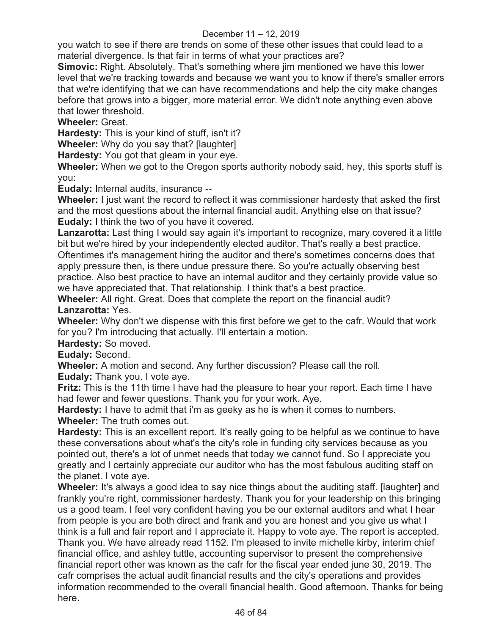you watch to see if there are trends on some of these other issues that could lead to a material divergence. Is that fair in terms of what your practices are?

**Simovic:** Right. Absolutely. That's something where jim mentioned we have this lower level that we're tracking towards and because we want you to know if there's smaller errors that we're identifying that we can have recommendations and help the city make changes before that grows into a bigger, more material error. We didn't note anything even above that lower threshold.

**Wheeler:** Great.

**Hardesty:** This is your kind of stuff, isn't it?

**Wheeler:** Why do you say that? [laughter]

**Hardesty:** You got that gleam in your eye.

**Wheeler:** When we got to the Oregon sports authority nobody said, hey, this sports stuff is you:

**Eudaly:** Internal audits, insurance --

**Wheeler:** I just want the record to reflect it was commissioner hardesty that asked the first and the most questions about the internal financial audit. Anything else on that issue? **Eudaly:** I think the two of you have it covered.

**Lanzarotta:** Last thing I would say again it's important to recognize, mary covered it a little bit but we're hired by your independently elected auditor. That's really a best practice.

Oftentimes it's management hiring the auditor and there's sometimes concerns does that apply pressure then, is there undue pressure there. So you're actually observing best practice. Also best practice to have an internal auditor and they certainly provide value so we have appreciated that. That relationship. I think that's a best practice.

**Wheeler:** All right. Great. Does that complete the report on the financial audit? **Lanzarotta:** Yes.

**Wheeler:** Why don't we dispense with this first before we get to the cafr. Would that work for you? I'm introducing that actually. I'll entertain a motion.

**Hardesty:** So moved.

**Eudaly:** Second.

**Wheeler:** A motion and second. Any further discussion? Please call the roll.

**Eudaly:** Thank you. I vote aye.

**Fritz:** This is the 11th time I have had the pleasure to hear your report. Each time I have had fewer and fewer questions. Thank you for your work. Aye.

**Hardesty:** I have to admit that i'm as geeky as he is when it comes to numbers.

**Wheeler:** The truth comes out.

**Hardesty:** This is an excellent report. It's really going to be helpful as we continue to have these conversations about what's the city's role in funding city services because as you pointed out, there's a lot of unmet needs that today we cannot fund. So I appreciate you greatly and I certainly appreciate our auditor who has the most fabulous auditing staff on the planet. I vote aye.

**Wheeler:** It's always a good idea to say nice things about the auditing staff. [laughter] and frankly you're right, commissioner hardesty. Thank you for your leadership on this bringing us a good team. I feel very confident having you be our external auditors and what I hear from people is you are both direct and frank and you are honest and you give us what I think is a full and fair report and I appreciate it. Happy to vote aye. The report is accepted. Thank you. We have already read 1152. I'm pleased to invite michelle kirby, interim chief financial office, and ashley tuttle, accounting supervisor to present the comprehensive financial report other was known as the cafr for the fiscal year ended june 30, 2019. The cafr comprises the actual audit financial results and the city's operations and provides information recommended to the overall financial health. Good afternoon. Thanks for being here.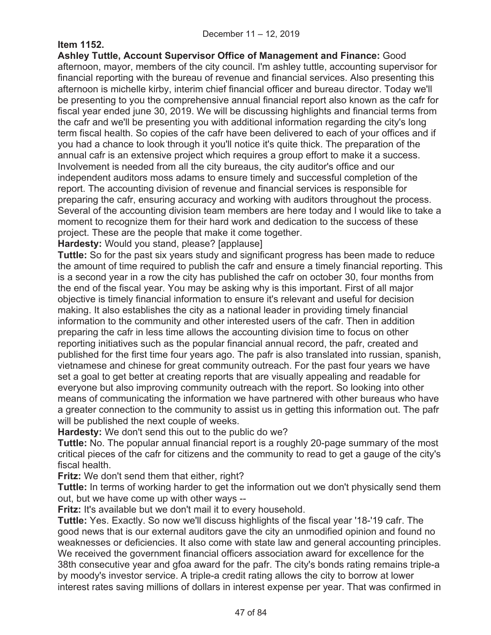## **Item 1152.**

**Ashley Tuttle, Account Supervisor Office of Management and Finance:** Good afternoon, mayor, members of the city council. I'm ashley tuttle, accounting supervisor for financial reporting with the bureau of revenue and financial services. Also presenting this afternoon is michelle kirby, interim chief financial officer and bureau director. Today we'll be presenting to you the comprehensive annual financial report also known as the cafr for fiscal year ended june 30, 2019. We will be discussing highlights and financial terms from the cafr and we'll be presenting you with additional information regarding the city's long term fiscal health. So copies of the cafr have been delivered to each of your offices and if you had a chance to look through it you'll notice it's quite thick. The preparation of the annual cafr is an extensive project which requires a group effort to make it a success. Involvement is needed from all the city bureaus, the city auditor's office and our independent auditors moss adams to ensure timely and successful completion of the report. The accounting division of revenue and financial services is responsible for preparing the cafr, ensuring accuracy and working with auditors throughout the process. Several of the accounting division team members are here today and I would like to take a moment to recognize them for their hard work and dedication to the success of these project. These are the people that make it come together.

**Hardesty:** Would you stand, please? [applause]

**Tuttle:** So for the past six years study and significant progress has been made to reduce the amount of time required to publish the cafr and ensure a timely financial reporting. This is a second year in a row the city has published the cafr on october 30, four months from the end of the fiscal year. You may be asking why is this important. First of all major objective is timely financial information to ensure it's relevant and useful for decision making. It also establishes the city as a national leader in providing timely financial information to the community and other interested users of the cafr. Then in addition preparing the cafr in less time allows the accounting division time to focus on other reporting initiatives such as the popular financial annual record, the pafr, created and published for the first time four years ago. The pafr is also translated into russian, spanish, vietnamese and chinese for great community outreach. For the past four years we have set a goal to get better at creating reports that are visually appealing and readable for everyone but also improving community outreach with the report. So looking into other means of communicating the information we have partnered with other bureaus who have a greater connection to the community to assist us in getting this information out. The pafr will be published the next couple of weeks.

**Hardesty:** We don't send this out to the public do we?

**Tuttle:** No. The popular annual financial report is a roughly 20-page summary of the most critical pieces of the cafr for citizens and the community to read to get a gauge of the city's fiscal health.

**Fritz:** We don't send them that either, right?

**Tuttle:** In terms of working harder to get the information out we don't physically send them out, but we have come up with other ways --

**Fritz:** It's available but we don't mail it to every household.

**Tuttle:** Yes. Exactly. So now we'll discuss highlights of the fiscal year '18-'19 cafr. The good news that is our external auditors gave the city an unmodified opinion and found no weaknesses or deficiencies. It also come with state law and general accounting principles. We received the government financial officers association award for excellence for the 38th consecutive year and gfoa award for the pafr. The city's bonds rating remains triple-a by moody's investor service. A triple-a credit rating allows the city to borrow at lower interest rates saving millions of dollars in interest expense per year. That was confirmed in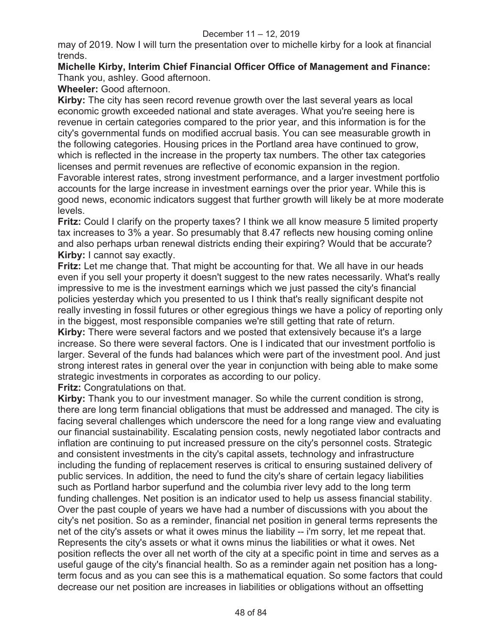may of 2019. Now I will turn the presentation over to michelle kirby for a look at financial trends.

#### **Michelle Kirby, Interim Chief Financial Officer Office of Management and Finance:**  Thank you, ashley. Good afternoon.

**Wheeler:** Good afternoon.

**Kirby:** The city has seen record revenue growth over the last several years as local economic growth exceeded national and state averages. What you're seeing here is revenue in certain categories compared to the prior year, and this information is for the city's governmental funds on modified accrual basis. You can see measurable growth in the following categories. Housing prices in the Portland area have continued to grow, which is reflected in the increase in the property tax numbers. The other tax categories licenses and permit revenues are reflective of economic expansion in the region. Favorable interest rates, strong investment performance, and a larger investment portfolio accounts for the large increase in investment earnings over the prior year. While this is good news, economic indicators suggest that further growth will likely be at more moderate levels.

**Fritz:** Could I clarify on the property taxes? I think we all know measure 5 limited property tax increases to 3% a year. So presumably that 8.47 reflects new housing coming online and also perhaps urban renewal districts ending their expiring? Would that be accurate? **Kirby:** I cannot say exactly.

**Fritz:** Let me change that. That might be accounting for that. We all have in our heads even if you sell your property it doesn't suggest to the new rates necessarily. What's really impressive to me is the investment earnings which we just passed the city's financial policies yesterday which you presented to us I think that's really significant despite not really investing in fossil futures or other egregious things we have a policy of reporting only in the biggest, most responsible companies we're still getting that rate of return.

**Kirby:** There were several factors and we posted that extensively because it's a large increase. So there were several factors. One is I indicated that our investment portfolio is larger. Several of the funds had balances which were part of the investment pool. And just strong interest rates in general over the year in conjunction with being able to make some strategic investments in corporates as according to our policy.

**Fritz:** Congratulations on that.

**Kirby:** Thank you to our investment manager. So while the current condition is strong, there are long term financial obligations that must be addressed and managed. The city is facing several challenges which underscore the need for a long range view and evaluating our financial sustainability. Escalating pension costs, newly negotiated labor contracts and inflation are continuing to put increased pressure on the city's personnel costs. Strategic and consistent investments in the city's capital assets, technology and infrastructure including the funding of replacement reserves is critical to ensuring sustained delivery of public services. In addition, the need to fund the city's share of certain legacy liabilities such as Portland harbor superfund and the columbia river levy add to the long term funding challenges. Net position is an indicator used to help us assess financial stability. Over the past couple of years we have had a number of discussions with you about the city's net position. So as a reminder, financial net position in general terms represents the net of the city's assets or what it owes minus the liability -- i'm sorry, let me repeat that. Represents the city's assets or what it owns minus the liabilities or what it owes. Net position reflects the over all net worth of the city at a specific point in time and serves as a useful gauge of the city's financial health. So as a reminder again net position has a longterm focus and as you can see this is a mathematical equation. So some factors that could decrease our net position are increases in liabilities or obligations without an offsetting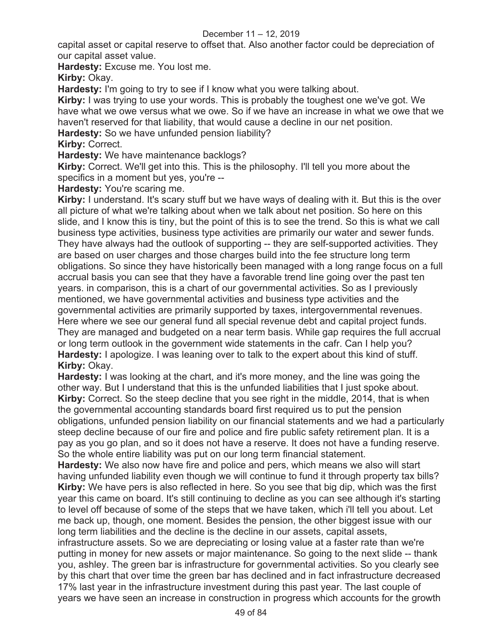capital asset or capital reserve to offset that. Also another factor could be depreciation of our capital asset value.

**Hardesty:** Excuse me. You lost me.

**Kirby: Okay.** 

**Hardesty:** I'm going to try to see if I know what you were talking about.

**Kirby:** I was trying to use your words. This is probably the toughest one we've got. We have what we owe versus what we owe. So if we have an increase in what we owe that we haven't reserved for that liability, that would cause a decline in our net position.

**Hardesty:** So we have unfunded pension liability?

**Kirby:** Correct.

**Hardesty:** We have maintenance backlogs?

**Kirby:** Correct. We'll get into this. This is the philosophy. I'll tell you more about the specifics in a moment but yes, you're --

**Hardesty:** You're scaring me.

**Kirby:** I understand. It's scary stuff but we have ways of dealing with it. But this is the over all picture of what we're talking about when we talk about net position. So here on this slide, and I know this is tiny, but the point of this is to see the trend. So this is what we call business type activities, business type activities are primarily our water and sewer funds. They have always had the outlook of supporting -- they are self-supported activities. They are based on user charges and those charges build into the fee structure long term obligations. So since they have historically been managed with a long range focus on a full accrual basis you can see that they have a favorable trend line going over the past ten years. in comparison, this is a chart of our governmental activities. So as I previously mentioned, we have governmental activities and business type activities and the governmental activities are primarily supported by taxes, intergovernmental revenues. Here where we see our general fund all special revenue debt and capital project funds. They are managed and budgeted on a near term basis. While gap requires the full accrual or long term outlook in the government wide statements in the cafr. Can I help you? **Hardesty:** I apologize. I was leaning over to talk to the expert about this kind of stuff. **Kirby:** Okay.

**Hardesty:** I was looking at the chart, and it's more money, and the line was going the other way. But I understand that this is the unfunded liabilities that I just spoke about. **Kirby:** Correct. So the steep decline that you see right in the middle, 2014, that is when the governmental accounting standards board first required us to put the pension obligations, unfunded pension liability on our financial statements and we had a particularly steep decline because of our fire and police and fire public safety retirement plan. It is a pay as you go plan, and so it does not have a reserve. It does not have a funding reserve. So the whole entire liability was put on our long term financial statement.

**Hardesty:** We also now have fire and police and pers, which means we also will start having unfunded liability even though we will continue to fund it through property tax bills? **Kirby:** We have pers is also reflected in here. So you see that big dip, which was the first year this came on board. It's still continuing to decline as you can see although it's starting to level off because of some of the steps that we have taken, which i'll tell you about. Let me back up, though, one moment. Besides the pension, the other biggest issue with our long term liabilities and the decline is the decline in our assets, capital assets,

infrastructure assets. So we are depreciating or losing value at a faster rate than we're putting in money for new assets or major maintenance. So going to the next slide -- thank you, ashley. The green bar is infrastructure for governmental activities. So you clearly see by this chart that over time the green bar has declined and in fact infrastructure decreased 17% last year in the infrastructure investment during this past year. The last couple of years we have seen an increase in construction in progress which accounts for the growth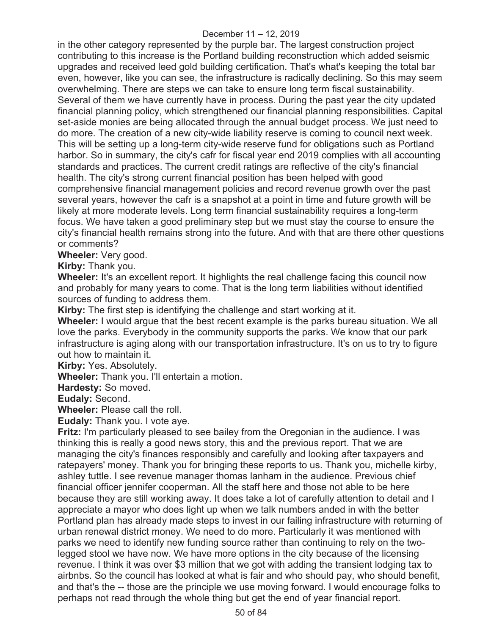in the other category represented by the purple bar. The largest construction project contributing to this increase is the Portland building reconstruction which added seismic upgrades and received leed gold building certification. That's what's keeping the total bar even, however, like you can see, the infrastructure is radically declining. So this may seem overwhelming. There are steps we can take to ensure long term fiscal sustainability. Several of them we have currently have in process. During the past year the city updated financial planning policy, which strengthened our financial planning responsibilities. Capital set-aside monies are being allocated through the annual budget process. We just need to do more. The creation of a new city-wide liability reserve is coming to council next week. This will be setting up a long-term city-wide reserve fund for obligations such as Portland harbor. So in summary, the city's cafr for fiscal year end 2019 complies with all accounting standards and practices. The current credit ratings are reflective of the city's financial health. The city's strong current financial position has been helped with good comprehensive financial management policies and record revenue growth over the past several years, however the cafr is a snapshot at a point in time and future growth will be likely at more moderate levels. Long term financial sustainability requires a long-term focus. We have taken a good preliminary step but we must stay the course to ensure the city's financial health remains strong into the future. And with that are there other questions or comments?

**Wheeler:** Very good.

**Kirby:** Thank you.

**Wheeler:** It's an excellent report. It highlights the real challenge facing this council now and probably for many years to come. That is the long term liabilities without identified sources of funding to address them.

**Kirby:** The first step is identifying the challenge and start working at it.

**Wheeler:** I would argue that the best recent example is the parks bureau situation. We all love the parks. Everybody in the community supports the parks. We know that our park infrastructure is aging along with our transportation infrastructure. It's on us to try to figure out how to maintain it.

**Kirby:** Yes. Absolutely.

**Wheeler:** Thank you. I'll entertain a motion.

**Hardesty:** So moved.

**Eudaly:** Second.

**Wheeler:** Please call the roll.

**Eudaly:** Thank you. I vote aye.

**Fritz:** I'm particularly pleased to see bailey from the Oregonian in the audience. I was thinking this is really a good news story, this and the previous report. That we are managing the city's finances responsibly and carefully and looking after taxpayers and ratepayers' money. Thank you for bringing these reports to us. Thank you, michelle kirby, ashley tuttle. I see revenue manager thomas lanham in the audience. Previous chief financial officer jennifer cooperman. All the staff here and those not able to be here because they are still working away. It does take a lot of carefully attention to detail and I appreciate a mayor who does light up when we talk numbers anded in with the better Portland plan has already made steps to invest in our failing infrastructure with returning of urban renewal district money. We need to do more. Particularly it was mentioned with parks we need to identify new funding source rather than continuing to rely on the twolegged stool we have now. We have more options in the city because of the licensing revenue. I think it was over \$3 million that we got with adding the transient lodging tax to airbnbs. So the council has looked at what is fair and who should pay, who should benefit, and that's the -- those are the principle we use moving forward. I would encourage folks to perhaps not read through the whole thing but get the end of year financial report.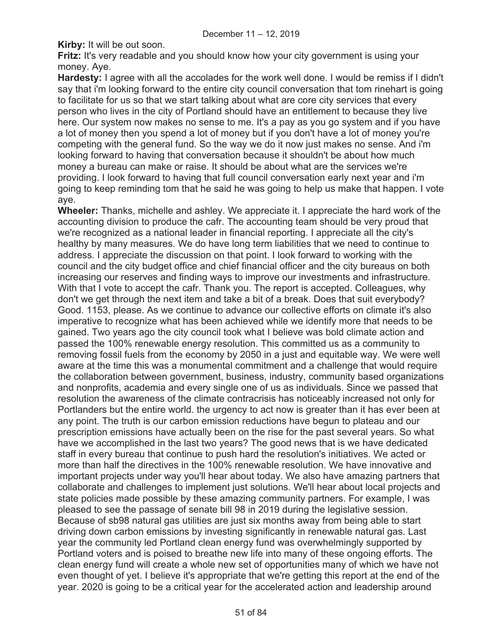**Kirby:** It will be out soon.

**Fritz:** It's very readable and you should know how your city government is using your money. Aye.

**Hardesty:** I agree with all the accolades for the work well done. I would be remiss if I didn't say that i'm looking forward to the entire city council conversation that tom rinehart is going to facilitate for us so that we start talking about what are core city services that every person who lives in the city of Portland should have an entitlement to because they live here. Our system now makes no sense to me. It's a pay as you go system and if you have a lot of money then you spend a lot of money but if you don't have a lot of money you're competing with the general fund. So the way we do it now just makes no sense. And i'm looking forward to having that conversation because it shouldn't be about how much money a bureau can make or raise. It should be about what are the services we're providing. I look forward to having that full council conversation early next year and i'm going to keep reminding tom that he said he was going to help us make that happen. I vote aye.

**Wheeler:** Thanks, michelle and ashley. We appreciate it. I appreciate the hard work of the accounting division to produce the cafr. The accounting team should be very proud that we're recognized as a national leader in financial reporting. I appreciate all the city's healthy by many measures. We do have long term liabilities that we need to continue to address. I appreciate the discussion on that point. I look forward to working with the council and the city budget office and chief financial officer and the city bureaus on both increasing our reserves and finding ways to improve our investments and infrastructure. With that I vote to accept the cafr. Thank you. The report is accepted. Colleagues, why don't we get through the next item and take a bit of a break. Does that suit everybody? Good. 1153, please. As we continue to advance our collective efforts on climate it's also imperative to recognize what has been achieved while we identify more that needs to be gained. Two years ago the city council took what I believe was bold climate action and passed the 100% renewable energy resolution. This committed us as a community to removing fossil fuels from the economy by 2050 in a just and equitable way. We were well aware at the time this was a monumental commitment and a challenge that would require the collaboration between government, business, industry, community based organizations and nonprofits, academia and every single one of us as individuals. Since we passed that resolution the awareness of the climate contracrisis has noticeably increased not only for Portlanders but the entire world. the urgency to act now is greater than it has ever been at any point. The truth is our carbon emission reductions have begun to plateau and our prescription emissions have actually been on the rise for the past several years. So what have we accomplished in the last two years? The good news that is we have dedicated staff in every bureau that continue to push hard the resolution's initiatives. We acted or more than half the directives in the 100% renewable resolution. We have innovative and important projects under way you'll hear about today. We also have amazing partners that collaborate and challenges to implement just solutions. We'll hear about local projects and state policies made possible by these amazing community partners. For example, I was pleased to see the passage of senate bill 98 in 2019 during the legislative session. Because of sb98 natural gas utilities are just six months away from being able to start driving down carbon emissions by investing significantly in renewable natural gas. Last year the community led Portland clean energy fund was overwhelmingly supported by Portland voters and is poised to breathe new life into many of these ongoing efforts. The clean energy fund will create a whole new set of opportunities many of which we have not even thought of yet. I believe it's appropriate that we're getting this report at the end of the year. 2020 is going to be a critical year for the accelerated action and leadership around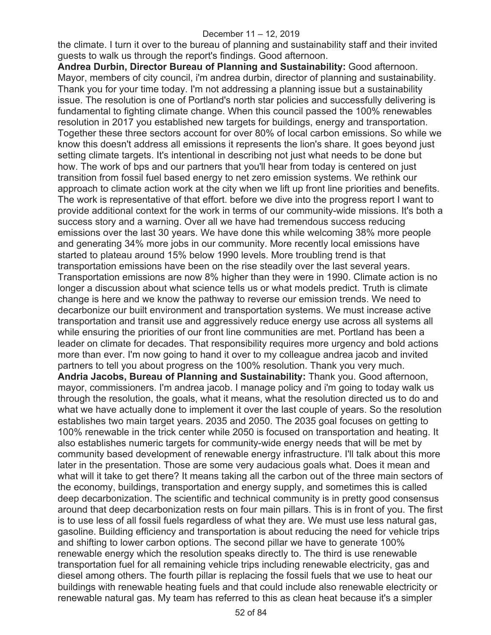the climate. I turn it over to the bureau of planning and sustainability staff and their invited guests to walk us through the report's findings. Good afternoon.

**Andrea Durbin, Director Bureau of Planning and Sustainability:** Good afternoon. Mayor, members of city council, i'm andrea durbin, director of planning and sustainability. Thank you for your time today. I'm not addressing a planning issue but a sustainability issue. The resolution is one of Portland's north star policies and successfully delivering is fundamental to fighting climate change. When this council passed the 100% renewables resolution in 2017 you established new targets for buildings, energy and transportation. Together these three sectors account for over 80% of local carbon emissions. So while we know this doesn't address all emissions it represents the lion's share. It goes beyond just setting climate targets. It's intentional in describing not just what needs to be done but how. The work of bps and our partners that you'll hear from today is centered on just transition from fossil fuel based energy to net zero emission systems. We rethink our approach to climate action work at the city when we lift up front line priorities and benefits. The work is representative of that effort. before we dive into the progress report I want to provide additional context for the work in terms of our community-wide missions. It's both a success story and a warning. Over all we have had tremendous success reducing emissions over the last 30 years. We have done this while welcoming 38% more people and generating 34% more jobs in our community. More recently local emissions have started to plateau around 15% below 1990 levels. More troubling trend is that transportation emissions have been on the rise steadily over the last several years. Transportation emissions are now 8% higher than they were in 1990. Climate action is no longer a discussion about what science tells us or what models predict. Truth is climate change is here and we know the pathway to reverse our emission trends. We need to decarbonize our built environment and transportation systems. We must increase active transportation and transit use and aggressively reduce energy use across all systems all while ensuring the priorities of our front line communities are met. Portland has been a leader on climate for decades. That responsibility requires more urgency and bold actions more than ever. I'm now going to hand it over to my colleague andrea jacob and invited partners to tell you about progress on the 100% resolution. Thank you very much. **Andria Jacobs, Bureau of Planning and Sustainability:** Thank you. Good afternoon, mayor, commissioners. I'm andrea jacob. I manage policy and i'm going to today walk us through the resolution, the goals, what it means, what the resolution directed us to do and what we have actually done to implement it over the last couple of years. So the resolution establishes two main target years. 2035 and 2050. The 2035 goal focuses on getting to 100% renewable in the trick center while 2050 is focused on transportation and heating. It also establishes numeric targets for community-wide energy needs that will be met by community based development of renewable energy infrastructure. I'll talk about this more later in the presentation. Those are some very audacious goals what. Does it mean and what will it take to get there? It means taking all the carbon out of the three main sectors of the economy, buildings, transportation and energy supply, and sometimes this is called deep decarbonization. The scientific and technical community is in pretty good consensus around that deep decarbonization rests on four main pillars. This is in front of you. The first is to use less of all fossil fuels regardless of what they are. We must use less natural gas, gasoline. Building efficiency and transportation is about reducing the need for vehicle trips and shifting to lower carbon options. The second pillar we have to generate 100% renewable energy which the resolution speaks directly to. The third is use renewable transportation fuel for all remaining vehicle trips including renewable electricity, gas and diesel among others. The fourth pillar is replacing the fossil fuels that we use to heat our buildings with renewable heating fuels and that could include also renewable electricity or renewable natural gas. My team has referred to this as clean heat because it's a simpler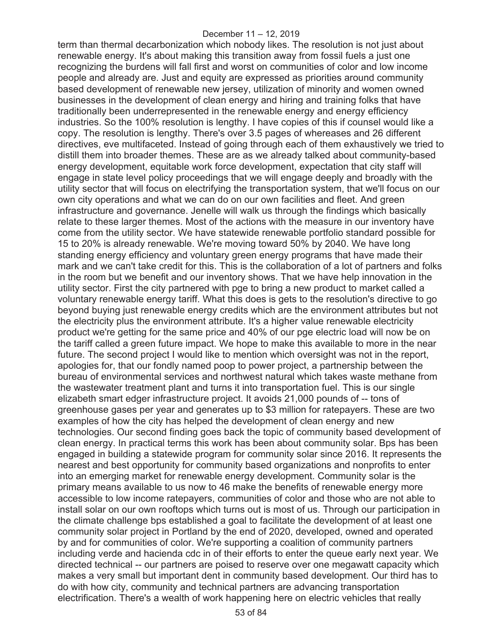term than thermal decarbonization which nobody likes. The resolution is not just about renewable energy. It's about making this transition away from fossil fuels a just one recognizing the burdens will fall first and worst on communities of color and low income people and already are. Just and equity are expressed as priorities around community based development of renewable new jersey, utilization of minority and women owned businesses in the development of clean energy and hiring and training folks that have traditionally been underrepresented in the renewable energy and energy efficiency industries. So the 100% resolution is lengthy. I have copies of this if counsel would like a copy. The resolution is lengthy. There's over 3.5 pages of whereases and 26 different directives, eve multifaceted. Instead of going through each of them exhaustively we tried to distill them into broader themes. These are as we already talked about community-based energy development, equitable work force development, expectation that city staff will engage in state level policy proceedings that we will engage deeply and broadly with the utility sector that will focus on electrifying the transportation system, that we'll focus on our own city operations and what we can do on our own facilities and fleet. And green infrastructure and governance. Jenelle will walk us through the findings which basically relate to these larger themes. Most of the actions with the measure in our inventory have come from the utility sector. We have statewide renewable portfolio standard possible for 15 to 20% is already renewable. We're moving toward 50% by 2040. We have long standing energy efficiency and voluntary green energy programs that have made their mark and we can't take credit for this. This is the collaboration of a lot of partners and folks in the room but we benefit and our inventory shows. That we have help innovation in the utility sector. First the city partnered with pge to bring a new product to market called a voluntary renewable energy tariff. What this does is gets to the resolution's directive to go beyond buying just renewable energy credits which are the environment attributes but not the electricity plus the environment attribute. It's a higher value renewable electricity product we're getting for the same price and 40% of our pge electric load will now be on the tariff called a green future impact. We hope to make this available to more in the near future. The second project I would like to mention which oversight was not in the report, apologies for, that our fondly named poop to power project, a partnership between the bureau of environmental services and northwest natural which takes waste methane from the wastewater treatment plant and turns it into transportation fuel. This is our single elizabeth smart edger infrastructure project. It avoids 21,000 pounds of -- tons of greenhouse gases per year and generates up to \$3 million for ratepayers. These are two examples of how the city has helped the development of clean energy and new technologies. Our second finding goes back the topic of community based development of clean energy. In practical terms this work has been about community solar. Bps has been engaged in building a statewide program for community solar since 2016. It represents the nearest and best opportunity for community based organizations and nonprofits to enter into an emerging market for renewable energy development. Community solar is the primary means available to us now to 46 make the benefits of renewable energy more accessible to low income ratepayers, communities of color and those who are not able to install solar on our own rooftops which turns out is most of us. Through our participation in the climate challenge bps established a goal to facilitate the development of at least one community solar project in Portland by the end of 2020, developed, owned and operated by and for communities of color. We're supporting a coalition of community partners including verde and hacienda cdc in of their efforts to enter the queue early next year. We directed technical -- our partners are poised to reserve over one megawatt capacity which makes a very small but important dent in community based development. Our third has to do with how city, community and technical partners are advancing transportation electrification. There's a wealth of work happening here on electric vehicles that really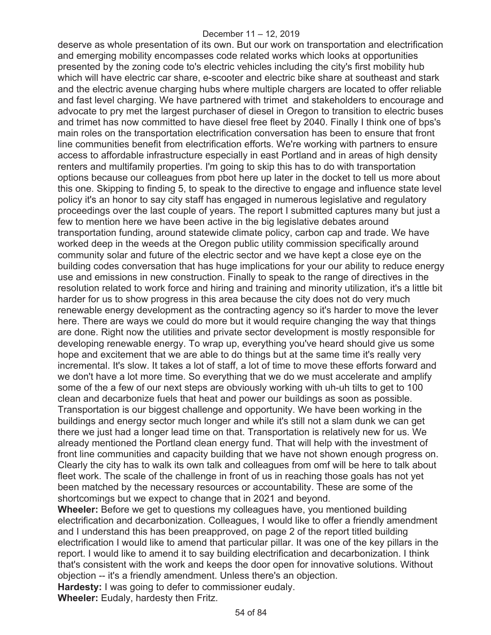deserve as whole presentation of its own. But our work on transportation and electrification and emerging mobility encompasses code related works which looks at opportunities presented by the zoning code to's electric vehicles including the city's first mobility hub which will have electric car share, e-scooter and electric bike share at southeast and stark and the electric avenue charging hubs where multiple chargers are located to offer reliable and fast level charging. We have partnered with trimet and stakeholders to encourage and advocate to pry met the largest purchaser of diesel in Oregon to transition to electric buses and trimet has now committed to have diesel free fleet by 2040. Finally I think one of bps's main roles on the transportation electrification conversation has been to ensure that front line communities benefit from electrification efforts. We're working with partners to ensure access to affordable infrastructure especially in east Portland and in areas of high density renters and multifamily properties. I'm going to skip this has to do with transportation options because our colleagues from pbot here up later in the docket to tell us more about this one. Skipping to finding 5, to speak to the directive to engage and influence state level policy it's an honor to say city staff has engaged in numerous legislative and regulatory proceedings over the last couple of years. The report I submitted captures many but just a few to mention here we have been active in the big legislative debates around transportation funding, around statewide climate policy, carbon cap and trade. We have worked deep in the weeds at the Oregon public utility commission specifically around community solar and future of the electric sector and we have kept a close eye on the building codes conversation that has huge implications for your our ability to reduce energy use and emissions in new construction. Finally to speak to the range of directives in the resolution related to work force and hiring and training and minority utilization, it's a little bit harder for us to show progress in this area because the city does not do very much renewable energy development as the contracting agency so it's harder to move the lever here. There are ways we could do more but it would require changing the way that things are done. Right now the utilities and private sector development is mostly responsible for developing renewable energy. To wrap up, everything you've heard should give us some hope and excitement that we are able to do things but at the same time it's really very incremental. It's slow. It takes a lot of staff, a lot of time to move these efforts forward and we don't have a lot more time. So everything that we do we must accelerate and amplify some of the a few of our next steps are obviously working with uh-uh tilts to get to 100 clean and decarbonize fuels that heat and power our buildings as soon as possible. Transportation is our biggest challenge and opportunity. We have been working in the buildings and energy sector much longer and while it's still not a slam dunk we can get there we just had a longer lead time on that. Transportation is relatively new for us. We already mentioned the Portland clean energy fund. That will help with the investment of front line communities and capacity building that we have not shown enough progress on. Clearly the city has to walk its own talk and colleagues from omf will be here to talk about fleet work. The scale of the challenge in front of us in reaching those goals has not yet been matched by the necessary resources or accountability. These are some of the shortcomings but we expect to change that in 2021 and beyond.

**Wheeler:** Before we get to questions my colleagues have, you mentioned building electrification and decarbonization. Colleagues, I would like to offer a friendly amendment and I understand this has been preapproved, on page 2 of the report titled building electrification I would like to amend that particular pillar. It was one of the key pillars in the report. I would like to amend it to say building electrification and decarbonization. I think that's consistent with the work and keeps the door open for innovative solutions. Without objection -- it's a friendly amendment. Unless there's an objection.

**Hardesty:** I was going to defer to commissioner eudaly. **Wheeler:** Eudaly, hardesty then Fritz.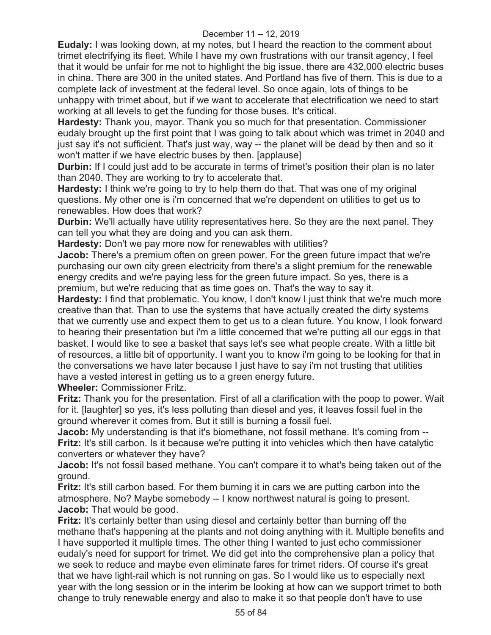**Eudaly:** I was looking down, at my notes, but I heard the reaction to the comment about trimet electrifying its fleet. While I have my own frustrations with our transit agency, I feel that it would be unfair for me not to highlight the big issue. there are 432,000 electric buses in china. There are 300 in the united states. And Portland has five of them. This is due to a complete lack of investment at the federal level. So once again, lots of things to be unhappy with trimet about, but if we want to accelerate that electrification we need to start working at all levels to get the funding for those buses. It's critical.

**Hardesty:** Thank you, mayor. Thank you so much for that presentation. Commissioner eudaly brought up the first point that I was going to talk about which was trimet in 2040 and just say it's not sufficient. That's just way, way -- the planet will be dead by then and so it won't matter if we have electric buses by then. [applause]

**Durbin:** If I could just add to be accurate in terms of trimet's position their plan is no later than 2040. They are working to try to accelerate that.

**Hardesty:** I think we're going to try to help them do that. That was one of my original questions. My other one is i'm concerned that we're dependent on utilities to get us to renewables. How does that work?

**Durbin:** We'll actually have utility representatives here. So they are the next panel. They can tell you what they are doing and you can ask them.

**Hardesty:** Don't we pay more now for renewables with utilities?

**Jacob:** There's a premium often on green power. For the green future impact that we're purchasing our own city green electricity from there's a slight premium for the renewable energy credits and we're paying less for the green future impact. So yes, there is a premium, but we're reducing that as time goes on. That's the way to say it.

**Hardesty:** I find that problematic. You know, I don't know I just think that we're much more creative than that. Than to use the systems that have actually created the dirty systems that we currently use and expect them to get us to a clean future. You know, I look forward to hearing their presentation but i'm a little concerned that we're putting all our eggs in that basket. I would like to see a basket that says let's see what people create. With a little bit of resources, a little bit of opportunity. I want you to know i'm going to be looking for that in the conversations we have later because I just have to say i'm not trusting that utilities have a vested interest in getting us to a green energy future.

**Wheeler:** Commissioner Fritz.

**Fritz:** Thank you for the presentation. First of all a clarification with the poop to power. Wait for it. [laughter] so yes, it's less polluting than diesel and yes, it leaves fossil fuel in the ground wherever it comes from. But it still is burning a fossil fuel.

**Jacob:** My understanding is that it's biomethane, not fossil methane. It's coming from --**Fritz:** It's still carbon. Is it because we're putting it into vehicles which then have catalytic converters or whatever they have?

**Jacob:** It's not fossil based methane. You can't compare it to what's being taken out of the ground.

**Fritz:** It's still carbon based. For them burning it in cars we are putting carbon into the atmosphere. No? Maybe somebody -- I know northwest natural is going to present. **Jacob:** That would be good.

**Fritz:** It's certainly better than using diesel and certainly better than burning off the methane that's happening at the plants and not doing anything with it. Multiple benefits and I have supported it multiple times. The other thing I wanted to just echo commissioner eudaly's need for support for trimet. We did get into the comprehensive plan a policy that we seek to reduce and maybe even eliminate fares for trimet riders. Of course it's great that we have light-rail which is not running on gas. So I would like us to especially next year with the long session or in the interim be looking at how can we support trimet to both change to truly renewable energy and also to make it so that people don't have to use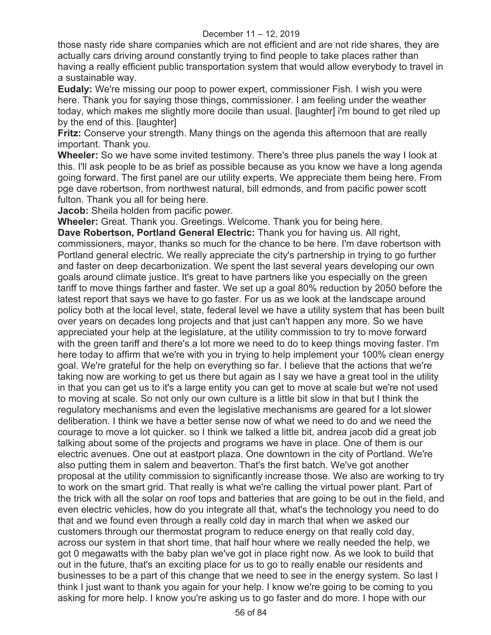those nasty ride share companies which are not efficient and are not ride shares, they are actually cars driving around constantly trying to find people to take places rather than having a really efficient public transportation system that would allow everybody to travel in a sustainable way.

**Eudaly:** We're missing our poop to power expert, commissioner Fish. I wish you were here. Thank you for saying those things, commissioner. I am feeling under the weather today, which makes me slightly more docile than usual. [laughter] i'm bound to get riled up by the end of this. [laughter]

**Fritz:** Conserve your strength. Many things on the agenda this afternoon that are really important. Thank you.

**Wheeler:** So we have some invited testimony. There's three plus panels the way I look at this. I'll ask people to be as brief as possible because as you know we have a long agenda going forward. The first panel are our utility experts. We appreciate them being here. From pge dave robertson, from northwest natural, bill edmonds, and from pacific power scott fulton. Thank you all for being here.

**Jacob:** Sheila holden from pacific power.

**Wheeler:** Great. Thank you. Greetings. Welcome. Thank you for being here.

**Dave Robertson, Portland General Electric:** Thank you for having us. All right, commissioners, mayor, thanks so much for the chance to be here. I'm dave robertson with Portland general electric. We really appreciate the city's partnership in trying to go further and faster on deep decarbonization. We spent the last several years developing our own goals around climate justice. It's great to have partners like you especially on the green tariff to move things farther and faster. We set up a goal 80% reduction by 2050 before the latest report that says we have to go faster. For us as we look at the landscape around policy both at the local level, state, federal level we have a utility system that has been built over years on decades long projects and that just can't happen any more. So we have appreciated your help at the legislature, at the utility commission to try to move forward with the green tariff and there's a lot more we need to do to keep things moving faster. I'm here today to affirm that we're with you in trying to help implement your 100% clean energy goal. We're grateful for the help on everything so far. I believe that the actions that we're taking now are working to get us there but again as I say we have a great tool in the utility in that you can get us to it's a large entity you can get to move at scale but we're not used to moving at scale. So not only our own culture is a little bit slow in that but I think the regulatory mechanisms and even the legislative mechanisms are geared for a lot slower deliberation. I think we have a better sense now of what we need to do and we need the courage to move a lot quicker. so I think we talked a little bit, andrea jacob did a great job talking about some of the projects and programs we have in place. One of them is our electric avenues. One out at eastport plaza. One downtown in the city of Portland. We're also putting them in salem and beaverton. That's the first batch. We've got another proposal at the utility commission to significantly increase those. We also are working to try to work on the smart grid. That really is what we're calling the virtual power plant. Part of the trick with all the solar on roof tops and batteries that are going to be out in the field, and even electric vehicles, how do you integrate all that, what's the technology you need to do that and we found even through a really cold day in march that when we asked our customers through our thermostat program to reduce energy on that really cold day, across our system in that short time, that half hour where we really needed the help, we got 0 megawatts with the baby plan we've got in place right now. As we look to build that out in the future, that's an exciting place for us to go to really enable our residents and businesses to be a part of this change that we need to see in the energy system. So last I think I just want to thank you again for your help. I know we're going to be coming to you asking for more help. I know you're asking us to go faster and do more. I hope with our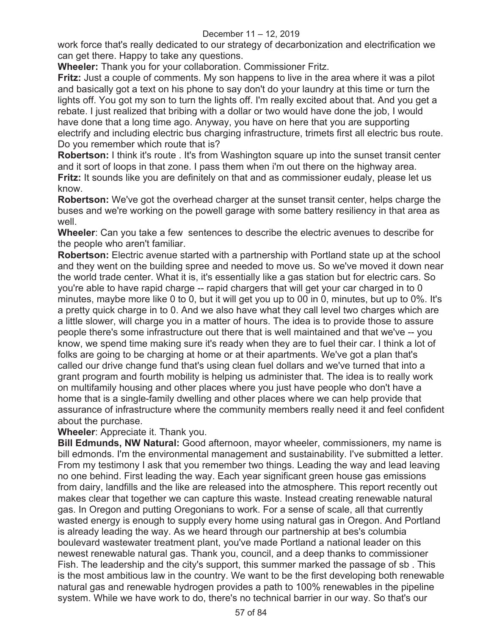work force that's really dedicated to our strategy of decarbonization and electrification we can get there. Happy to take any questions.

**Wheeler:** Thank you for your collaboration. Commissioner Fritz.

**Fritz:** Just a couple of comments. My son happens to live in the area where it was a pilot and basically got a text on his phone to say don't do your laundry at this time or turn the lights off. You got my son to turn the lights off. I'm really excited about that. And you get a rebate. I just realized that bribing with a dollar or two would have done the job, I would have done that a long time ago. Anyway, you have on here that you are supporting electrify and including electric bus charging infrastructure, trimets first all electric bus route. Do you remember which route that is?

**Robertson:** I think it's route . It's from Washington square up into the sunset transit center and it sort of loops in that zone. I pass them when i'm out there on the highway area. **Fritz:** It sounds like you are definitely on that and as commissioner eudaly, please let us know.

**Robertson:** We've got the overhead charger at the sunset transit center, helps charge the buses and we're working on the powell garage with some battery resiliency in that area as well.

**Wheeler**: Can you take a few sentences to describe the electric avenues to describe for the people who aren't familiar.

**Robertson:** Electric avenue started with a partnership with Portland state up at the school and they went on the building spree and needed to move us. So we've moved it down near the world trade center. What it is, it's essentially like a gas station but for electric cars. So you're able to have rapid charge -- rapid chargers that will get your car charged in to 0 minutes, maybe more like 0 to 0, but it will get you up to 00 in 0, minutes, but up to 0%. It's a pretty quick charge in to 0. And we also have what they call level two charges which are a little slower, will charge you in a matter of hours. The idea is to provide those to assure people there's some infrastructure out there that is well maintained and that we've -- you know, we spend time making sure it's ready when they are to fuel their car. I think a lot of folks are going to be charging at home or at their apartments. We've got a plan that's called our drive change fund that's using clean fuel dollars and we've turned that into a grant program and fourth mobility is helping us administer that. The idea is to really work on multifamily housing and other places where you just have people who don't have a home that is a single-family dwelling and other places where we can help provide that assurance of infrastructure where the community members really need it and feel confident about the purchase.

**Wheeler**: Appreciate it. Thank you.

**Bill Edmunds, NW Natural:** Good afternoon, mayor wheeler, commissioners, my name is bill edmonds. I'm the environmental management and sustainability. I've submitted a letter. From my testimony I ask that you remember two things. Leading the way and lead leaving no one behind. First leading the way. Each year significant green house gas emissions from dairy, landfills and the like are released into the atmosphere. This report recently out makes clear that together we can capture this waste. Instead creating renewable natural gas. In Oregon and putting Oregonians to work. For a sense of scale, all that currently wasted energy is enough to supply every home using natural gas in Oregon. And Portland is already leading the way. As we heard through our partnership at bes's columbia boulevard wastewater treatment plant, you've made Portland a national leader on this newest renewable natural gas. Thank you, council, and a deep thanks to commissioner Fish. The leadership and the city's support, this summer marked the passage of sb . This is the most ambitious law in the country. We want to be the first developing both renewable natural gas and renewable hydrogen provides a path to 100% renewables in the pipeline system. While we have work to do, there's no technical barrier in our way. So that's our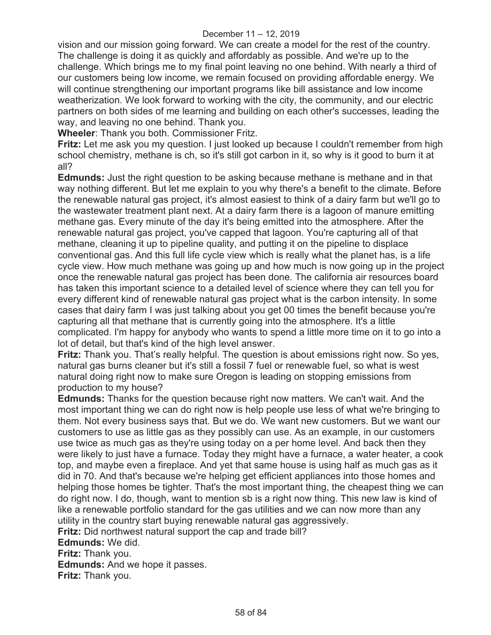vision and our mission going forward. We can create a model for the rest of the country. The challenge is doing it as quickly and affordably as possible. And we're up to the challenge. Which brings me to my final point leaving no one behind. With nearly a third of our customers being low income, we remain focused on providing affordable energy. We will continue strengthening our important programs like bill assistance and low income weatherization. We look forward to working with the city, the community, and our electric partners on both sides of me learning and building on each other's successes, leading the way, and leaving no one behind. Thank you.

**Wheeler**: Thank you both. Commissioner Fritz.

**Fritz:** Let me ask you my question. I just looked up because I couldn't remember from high school chemistry, methane is ch, so it's still got carbon in it, so why is it good to burn it at all?

**Edmunds:** Just the right question to be asking because methane is methane and in that way nothing different. But let me explain to you why there's a benefit to the climate. Before the renewable natural gas project, it's almost easiest to think of a dairy farm but we'll go to the wastewater treatment plant next. At a dairy farm there is a lagoon of manure emitting methane gas. Every minute of the day it's being emitted into the atmosphere. After the renewable natural gas project, you've capped that lagoon. You're capturing all of that methane, cleaning it up to pipeline quality, and putting it on the pipeline to displace conventional gas. And this full life cycle view which is really what the planet has, is a life cycle view. How much methane was going up and how much is now going up in the project once the renewable natural gas project has been done. The california air resources board has taken this important science to a detailed level of science where they can tell you for every different kind of renewable natural gas project what is the carbon intensity. In some cases that dairy farm I was just talking about you get 00 times the benefit because you're capturing all that methane that is currently going into the atmosphere. It's a little complicated. I'm happy for anybody who wants to spend a little more time on it to go into a lot of detail, but that's kind of the high level answer.

**Fritz:** Thank you. That's really helpful. The question is about emissions right now. So yes, natural gas burns cleaner but it's still a fossil 7 fuel or renewable fuel, so what is west natural doing right now to make sure Oregon is leading on stopping emissions from production to my house?

**Edmunds:** Thanks for the question because right now matters. We can't wait. And the most important thing we can do right now is help people use less of what we're bringing to them. Not every business says that. But we do. We want new customers. But we want our customers to use as little gas as they possibly can use. As an example, in our customers use twice as much gas as they're using today on a per home level. And back then they were likely to just have a furnace. Today they might have a furnace, a water heater, a cook top, and maybe even a fireplace. And yet that same house is using half as much gas as it did in 70. And that's because we're helping get efficient appliances into those homes and helping those homes be tighter. That's the most important thing, the cheapest thing we can do right now. I do, though, want to mention sb is a right now thing. This new law is kind of like a renewable portfolio standard for the gas utilities and we can now more than any utility in the country start buying renewable natural gas aggressively. **Fritz:** Did northwest natural support the cap and trade bill?

**Edmunds:** We did.

**Fritz:** Thank you.

**Edmunds:** And we hope it passes.

**Fritz:** Thank you.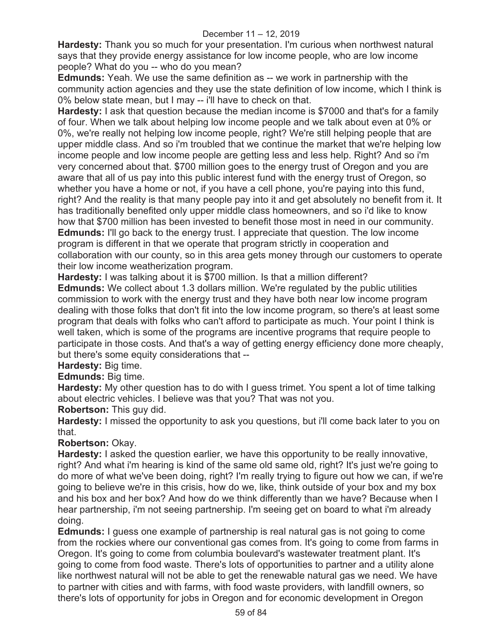**Hardesty:** Thank you so much for your presentation. I'm curious when northwest natural says that they provide energy assistance for low income people, who are low income people? What do you -- who do you mean?

**Edmunds:** Yeah. We use the same definition as -- we work in partnership with the community action agencies and they use the state definition of low income, which I think is 0% below state mean, but I may -- i'll have to check on that.

**Hardesty:** I ask that question because the median income is \$7000 and that's for a family of four. When we talk about helping low income people and we talk about even at 0% or 0%, we're really not helping low income people, right? We're still helping people that are upper middle class. And so i'm troubled that we continue the market that we're helping low income people and low income people are getting less and less help. Right? And so i'm very concerned about that. \$700 million goes to the energy trust of Oregon and you are aware that all of us pay into this public interest fund with the energy trust of Oregon, so whether you have a home or not, if you have a cell phone, you're paying into this fund, right? And the reality is that many people pay into it and get absolutely no benefit from it. It has traditionally benefited only upper middle class homeowners, and so i'd like to know how that \$700 million has been invested to benefit those most in need in our community. **Edmunds:** I'll go back to the energy trust. I appreciate that question. The low income program is different in that we operate that program strictly in cooperation and collaboration with our county, so in this area gets money through our customers to operate their low income weatherization program.

**Hardesty:** I was talking about it is \$700 million. Is that a million different? **Edmunds:** We collect about 1.3 dollars million. We're regulated by the public utilities commission to work with the energy trust and they have both near low income program dealing with those folks that don't fit into the low income program, so there's at least some program that deals with folks who can't afford to participate as much. Your point I think is well taken, which is some of the programs are incentive programs that require people to participate in those costs. And that's a way of getting energy efficiency done more cheaply, but there's some equity considerations that --

**Hardesty:** Big time.

**Edmunds:** Big time.

**Hardesty:** My other question has to do with I guess trimet. You spent a lot of time talking about electric vehicles. I believe was that you? That was not you.

**Robertson:** This guy did.

**Hardesty:** I missed the opportunity to ask you questions, but i'll come back later to you on that.

**Robertson:** Okay.

**Hardesty:** I asked the question earlier, we have this opportunity to be really innovative, right? And what i'm hearing is kind of the same old same old, right? It's just we're going to do more of what we've been doing, right? I'm really trying to figure out how we can, if we're going to believe we're in this crisis, how do we, like, think outside of your box and my box and his box and her box? And how do we think differently than we have? Because when I hear partnership, i'm not seeing partnership. I'm seeing get on board to what i'm already doing.

**Edmunds:** I guess one example of partnership is real natural gas is not going to come from the rockies where our conventional gas comes from. It's going to come from farms in Oregon. It's going to come from columbia boulevard's wastewater treatment plant. It's going to come from food waste. There's lots of opportunities to partner and a utility alone like northwest natural will not be able to get the renewable natural gas we need. We have to partner with cities and with farms, with food waste providers, with landfill owners, so there's lots of opportunity for jobs in Oregon and for economic development in Oregon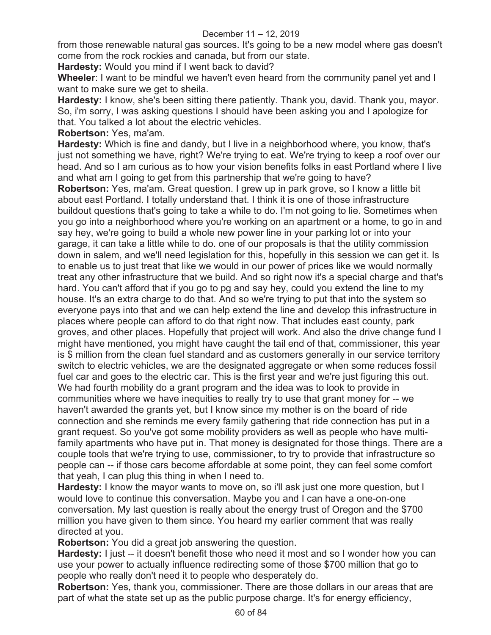from those renewable natural gas sources. It's going to be a new model where gas doesn't come from the rock rockies and canada, but from our state.

**Hardesty:** Would you mind if I went back to david?

**Wheeler**: I want to be mindful we haven't even heard from the community panel yet and I want to make sure we get to sheila.

**Hardesty:** I know, she's been sitting there patiently. Thank you, david. Thank you, mayor. So, i'm sorry, I was asking questions I should have been asking you and I apologize for that. You talked a lot about the electric vehicles.

**Robertson:** Yes, ma'am.

**Hardesty:** Which is fine and dandy, but I live in a neighborhood where, you know, that's just not something we have, right? We're trying to eat. We're trying to keep a roof over our head. And so I am curious as to how your vision benefits folks in east Portland where I live and what am I going to get from this partnership that we're going to have?

**Robertson:** Yes, ma'am. Great question. I grew up in park grove, so I know a little bit about east Portland. I totally understand that. I think it is one of those infrastructure buildout questions that's going to take a while to do. I'm not going to lie. Sometimes when you go into a neighborhood where you're working on an apartment or a home, to go in and say hey, we're going to build a whole new power line in your parking lot or into your garage, it can take a little while to do. one of our proposals is that the utility commission down in salem, and we'll need legislation for this, hopefully in this session we can get it. Is to enable us to just treat that like we would in our power of prices like we would normally treat any other infrastructure that we build. And so right now it's a special charge and that's hard. You can't afford that if you go to pg and say hey, could you extend the line to my house. It's an extra charge to do that. And so we're trying to put that into the system so everyone pays into that and we can help extend the line and develop this infrastructure in places where people can afford to do that right now. That includes east county, park groves, and other places. Hopefully that project will work. And also the drive change fund I might have mentioned, you might have caught the tail end of that, commissioner, this year is \$ million from the clean fuel standard and as customers generally in our service territory switch to electric vehicles, we are the designated aggregate or when some reduces fossil fuel car and goes to the electric car. This is the first year and we're just figuring this out. We had fourth mobility do a grant program and the idea was to look to provide in communities where we have inequities to really try to use that grant money for -- we haven't awarded the grants yet, but I know since my mother is on the board of ride connection and she reminds me every family gathering that ride connection has put in a grant request. So you've got some mobility providers as well as people who have multifamily apartments who have put in. That money is designated for those things. There are a couple tools that we're trying to use, commissioner, to try to provide that infrastructure so people can -- if those cars become affordable at some point, they can feel some comfort that yeah, I can plug this thing in when I need to.

**Hardesty:** I know the mayor wants to move on, so i'll ask just one more question, but I would love to continue this conversation. Maybe you and I can have a one-on-one conversation. My last question is really about the energy trust of Oregon and the \$700 million you have given to them since. You heard my earlier comment that was really directed at you.

**Robertson:** You did a great job answering the question.

**Hardesty:** I just -- it doesn't benefit those who need it most and so I wonder how you can use your power to actually influence redirecting some of those \$700 million that go to people who really don't need it to people who desperately do.

**Robertson:** Yes, thank you, commissioner. There are those dollars in our areas that are part of what the state set up as the public purpose charge. It's for energy efficiency,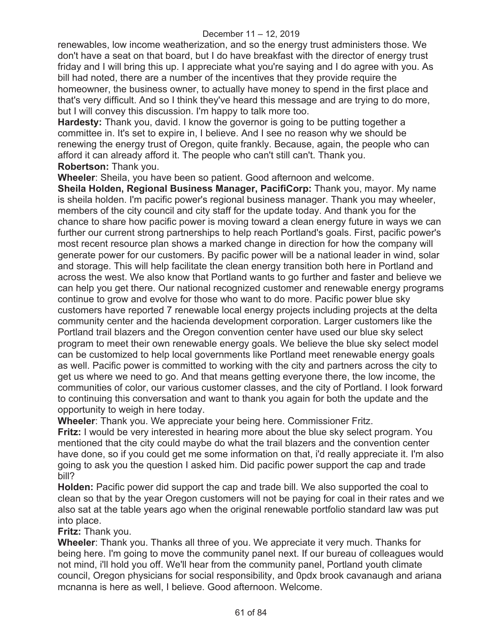renewables, low income weatherization, and so the energy trust administers those. We don't have a seat on that board, but I do have breakfast with the director of energy trust friday and I will bring this up. I appreciate what you're saying and I do agree with you. As bill had noted, there are a number of the incentives that they provide require the homeowner, the business owner, to actually have money to spend in the first place and that's very difficult. And so I think they've heard this message and are trying to do more, but I will convey this discussion. I'm happy to talk more too.

**Hardesty:** Thank you, david. I know the governor is going to be putting together a committee in. It's set to expire in, I believe. And I see no reason why we should be renewing the energy trust of Oregon, quite frankly. Because, again, the people who can afford it can already afford it. The people who can't still can't. Thank you. **Robertson:** Thank you.

**Wheeler**: Sheila, you have been so patient. Good afternoon and welcome.

**Sheila Holden, Regional Business Manager, PacifiCorp:** Thank you, mayor. My name is sheila holden. I'm pacific power's regional business manager. Thank you may wheeler, members of the city council and city staff for the update today. And thank you for the chance to share how pacific power is moving toward a clean energy future in ways we can further our current strong partnerships to help reach Portland's goals. First, pacific power's most recent resource plan shows a marked change in direction for how the company will generate power for our customers. By pacific power will be a national leader in wind, solar and storage. This will help facilitate the clean energy transition both here in Portland and across the west. We also know that Portland wants to go further and faster and believe we can help you get there. Our national recognized customer and renewable energy programs continue to grow and evolve for those who want to do more. Pacific power blue sky customers have reported 7 renewable local energy projects including projects at the delta community center and the hacienda development corporation. Larger customers like the Portland trail blazers and the Oregon convention center have used our blue sky select program to meet their own renewable energy goals. We believe the blue sky select model can be customized to help local governments like Portland meet renewable energy goals as well. Pacific power is committed to working with the city and partners across the city to get us where we need to go. And that means getting everyone there, the low income, the communities of color, our various customer classes, and the city of Portland. I look forward to continuing this conversation and want to thank you again for both the update and the opportunity to weigh in here today.

**Wheeler**: Thank you. We appreciate your being here. Commissioner Fritz.

**Fritz:** I would be very interested in hearing more about the blue sky select program. You mentioned that the city could maybe do what the trail blazers and the convention center have done, so if you could get me some information on that, i'd really appreciate it. I'm also going to ask you the question I asked him. Did pacific power support the cap and trade bill?

**Holden:** Pacific power did support the cap and trade bill. We also supported the coal to clean so that by the year Oregon customers will not be paying for coal in their rates and we also sat at the table years ago when the original renewable portfolio standard law was put into place.

**Fritz:** Thank you.

**Wheeler**: Thank you. Thanks all three of you. We appreciate it very much. Thanks for being here. I'm going to move the community panel next. If our bureau of colleagues would not mind, i'll hold you off. We'll hear from the community panel, Portland youth climate council, Oregon physicians for social responsibility, and 0pdx brook cavanaugh and ariana mcnanna is here as well, I believe. Good afternoon. Welcome.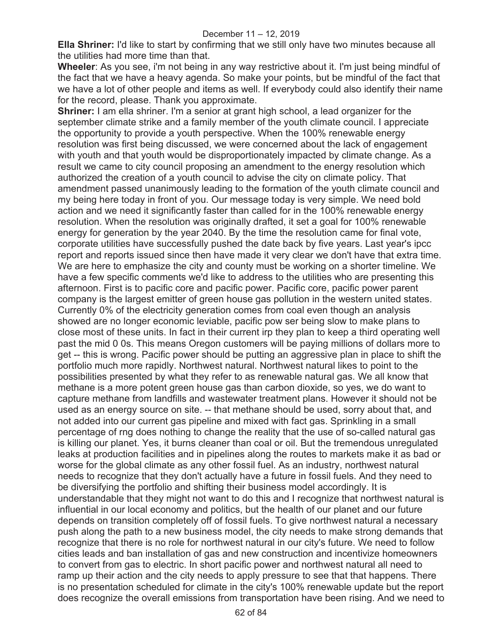**Ella Shriner:** I'd like to start by confirming that we still only have two minutes because all the utilities had more time than that.

**Wheeler**: As you see, i'm not being in any way restrictive about it. I'm just being mindful of the fact that we have a heavy agenda. So make your points, but be mindful of the fact that we have a lot of other people and items as well. If everybody could also identify their name for the record, please. Thank you approximate.

**Shriner:** I am ella shriner. I'm a senior at grant high school, a lead organizer for the september climate strike and a family member of the youth climate council. I appreciate the opportunity to provide a youth perspective. When the 100% renewable energy resolution was first being discussed, we were concerned about the lack of engagement with youth and that youth would be disproportionately impacted by climate change. As a result we came to city council proposing an amendment to the energy resolution which authorized the creation of a youth council to advise the city on climate policy. That amendment passed unanimously leading to the formation of the youth climate council and my being here today in front of you. Our message today is very simple. We need bold action and we need it significantly faster than called for in the 100% renewable energy resolution. When the resolution was originally drafted, it set a goal for 100% renewable energy for generation by the year 2040. By the time the resolution came for final vote, corporate utilities have successfully pushed the date back by five years. Last year's ipcc report and reports issued since then have made it very clear we don't have that extra time. We are here to emphasize the city and county must be working on a shorter timeline. We have a few specific comments we'd like to address to the utilities who are presenting this afternoon. First is to pacific core and pacific power. Pacific core, pacific power parent company is the largest emitter of green house gas pollution in the western united states. Currently 0% of the electricity generation comes from coal even though an analysis showed are no longer economic leviable, pacific pow ser being slow to make plans to close most of these units. In fact in their current irp they plan to keep a third operating well past the mid 0 0s. This means Oregon customers will be paying millions of dollars more to get -- this is wrong. Pacific power should be putting an aggressive plan in place to shift the portfolio much more rapidly. Northwest natural. Northwest natural likes to point to the possibilities presented by what they refer to as renewable natural gas. We all know that methane is a more potent green house gas than carbon dioxide, so yes, we do want to capture methane from landfills and wastewater treatment plans. However it should not be used as an energy source on site. -- that methane should be used, sorry about that, and not added into our current gas pipeline and mixed with fact gas. Sprinkling in a small percentage of rng does nothing to change the reality that the use of so-called natural gas is killing our planet. Yes, it burns cleaner than coal or oil. But the tremendous unregulated leaks at production facilities and in pipelines along the routes to markets make it as bad or worse for the global climate as any other fossil fuel. As an industry, northwest natural needs to recognize that they don't actually have a future in fossil fuels. And they need to be diversifying the portfolio and shifting their business model accordingly. It is understandable that they might not want to do this and I recognize that northwest natural is influential in our local economy and politics, but the health of our planet and our future depends on transition completely off of fossil fuels. To give northwest natural a necessary push along the path to a new business model, the city needs to make strong demands that recognize that there is no role for northwest natural in our city's future. We need to follow cities leads and ban installation of gas and new construction and incentivize homeowners to convert from gas to electric. In short pacific power and northwest natural all need to ramp up their action and the city needs to apply pressure to see that that happens. There is no presentation scheduled for climate in the city's 100% renewable update but the report does recognize the overall emissions from transportation have been rising. And we need to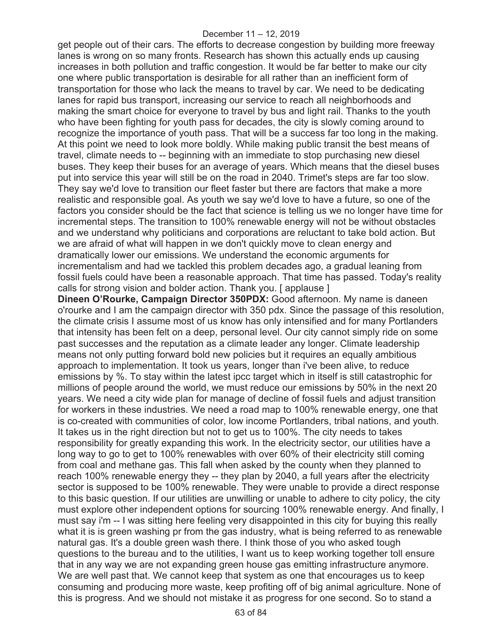get people out of their cars. The efforts to decrease congestion by building more freeway lanes is wrong on so many fronts. Research has shown this actually ends up causing increases in both pollution and traffic congestion. It would be far better to make our city one where public transportation is desirable for all rather than an inefficient form of transportation for those who lack the means to travel by car. We need to be dedicating lanes for rapid bus transport, increasing our service to reach all neighborhoods and making the smart choice for everyone to travel by bus and light rail. Thanks to the youth who have been fighting for youth pass for decades, the city is slowly coming around to recognize the importance of youth pass. That will be a success far too long in the making. At this point we need to look more boldly. While making public transit the best means of travel, climate needs to -- beginning with an immediate to stop purchasing new diesel buses. They keep their buses for an average of years. Which means that the diesel buses put into service this year will still be on the road in 2040. Trimet's steps are far too slow. They say we'd love to transition our fleet faster but there are factors that make a more realistic and responsible goal. As youth we say we'd love to have a future, so one of the factors you consider should be the fact that science is telling us we no longer have time for incremental steps. The transition to 100% renewable energy will not be without obstacles and we understand why politicians and corporations are reluctant to take bold action. But we are afraid of what will happen in we don't quickly move to clean energy and dramatically lower our emissions. We understand the economic arguments for incrementalism and had we tackled this problem decades ago, a gradual leaning from fossil fuels could have been a reasonable approach. That time has passed. Today's reality calls for strong vision and bolder action. Thank you. [ applause ]

**Dineen O'Rourke, Campaign Director 350PDX:** Good afternoon. My name is daneen o'rourke and I am the campaign director with 350 pdx. Since the passage of this resolution, the climate crisis I assume most of us know has only intensified and for many Portlanders that intensity has been felt on a deep, personal level. Our city cannot simply ride on some past successes and the reputation as a climate leader any longer. Climate leadership means not only putting forward bold new policies but it requires an equally ambitious approach to implementation. It took us years, longer than i've been alive, to reduce emissions by %. To stay within the latest ipcc target which in itself is still catastrophic for millions of people around the world, we must reduce our emissions by 50% in the next 20 years. We need a city wide plan for manage of decline of fossil fuels and adjust transition for workers in these industries. We need a road map to 100% renewable energy, one that is co-created with communities of color, low income Portlanders, tribal nations, and youth. It takes us in the right direction but not to get us to 100%. The city needs to takes responsibility for greatly expanding this work. In the electricity sector, our utilities have a long way to go to get to 100% renewables with over 60% of their electricity still coming from coal and methane gas. This fall when asked by the county when they planned to reach 100% renewable energy they -- they plan by 2040, a full years after the electricity sector is supposed to be 100% renewable. They were unable to provide a direct response to this basic question. If our utilities are unwilling or unable to adhere to city policy, the city must explore other independent options for sourcing 100% renewable energy. And finally, I must say i'm -- I was sitting here feeling very disappointed in this city for buying this really what it is is green washing pr from the gas industry, what is being referred to as renewable natural gas. It's a double green wash there. I think those of you who asked tough questions to the bureau and to the utilities, I want us to keep working together toll ensure that in any way we are not expanding green house gas emitting infrastructure anymore. We are well past that. We cannot keep that system as one that encourages us to keep consuming and producing more waste, keep profiting off of big animal agriculture. None of this is progress. And we should not mistake it as progress for one second. So to stand a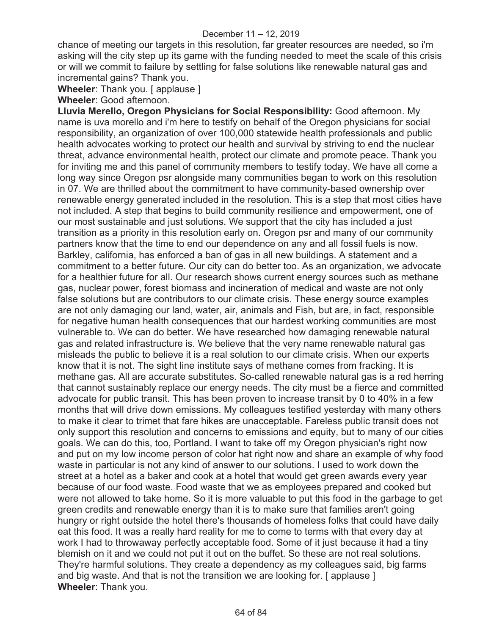chance of meeting our targets in this resolution, far greater resources are needed, so i'm asking will the city step up its game with the funding needed to meet the scale of this crisis or will we commit to failure by settling for false solutions like renewable natural gas and incremental gains? Thank you.

**Wheeler**: Thank you. [ applause ]

**Wheeler**: Good afternoon.

**Lluvia Merello, Oregon Physicians for Social Responsibility:** Good afternoon. My name is uva morello and i'm here to testify on behalf of the Oregon physicians for social responsibility, an organization of over 100,000 statewide health professionals and public health advocates working to protect our health and survival by striving to end the nuclear threat, advance environmental health, protect our climate and promote peace. Thank you for inviting me and this panel of community members to testify today. We have all come a long way since Oregon psr alongside many communities began to work on this resolution in 07. We are thrilled about the commitment to have community-based ownership over renewable energy generated included in the resolution. This is a step that most cities have not included. A step that begins to build community resilience and empowerment, one of our most sustainable and just solutions. We support that the city has included a just transition as a priority in this resolution early on. Oregon psr and many of our community partners know that the time to end our dependence on any and all fossil fuels is now. Barkley, california, has enforced a ban of gas in all new buildings. A statement and a commitment to a better future. Our city can do better too. As an organization, we advocate for a healthier future for all. Our research shows current energy sources such as methane gas, nuclear power, forest biomass and incineration of medical and waste are not only false solutions but are contributors to our climate crisis. These energy source examples are not only damaging our land, water, air, animals and Fish, but are, in fact, responsible for negative human health consequences that our hardest working communities are most vulnerable to. We can do better. We have researched how damaging renewable natural gas and related infrastructure is. We believe that the very name renewable natural gas misleads the public to believe it is a real solution to our climate crisis. When our experts know that it is not. The sight line institute says of methane comes from fracking. It is methane gas. All are accurate substitutes. So-called renewable natural gas is a red herring that cannot sustainably replace our energy needs. The city must be a fierce and committed advocate for public transit. This has been proven to increase transit by 0 to 40% in a few months that will drive down emissions. My colleagues testified yesterday with many others to make it clear to trimet that fare hikes are unacceptable. Fareless public transit does not only support this resolution and concerns to emissions and equity, but to many of our cities goals. We can do this, too, Portland. I want to take off my Oregon physician's right now and put on my low income person of color hat right now and share an example of why food waste in particular is not any kind of answer to our solutions. I used to work down the street at a hotel as a baker and cook at a hotel that would get green awards every year because of our food waste. Food waste that we as employees prepared and cooked but were not allowed to take home. So it is more valuable to put this food in the garbage to get green credits and renewable energy than it is to make sure that families aren't going hungry or right outside the hotel there's thousands of homeless folks that could have daily eat this food. It was a really hard reality for me to come to terms with that every day at work I had to throwaway perfectly acceptable food. Some of it just because it had a tiny blemish on it and we could not put it out on the buffet. So these are not real solutions. They're harmful solutions. They create a dependency as my colleagues said, big farms and big waste. And that is not the transition we are looking for. [ applause ] **Wheeler**: Thank you.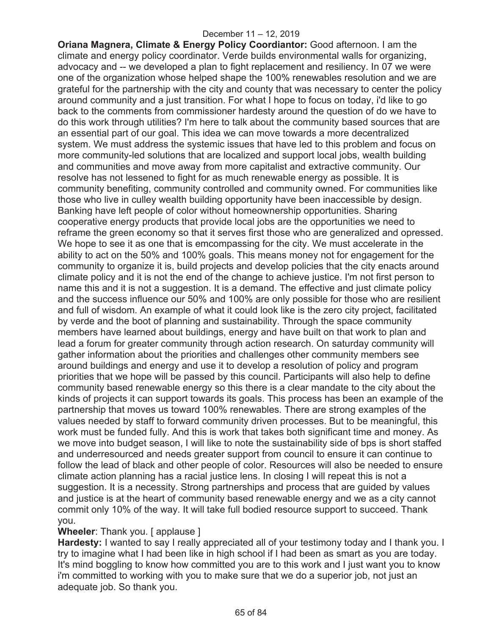**Oriana Magnera, Climate & Energy Policy Coordiantor:** Good afternoon. I am the climate and energy policy coordinator. Verde builds environmental walls for organizing, advocacy and -- we developed a plan to fight replacement and resiliency. In 07 we were one of the organization whose helped shape the 100% renewables resolution and we are grateful for the partnership with the city and county that was necessary to center the policy around community and a just transition. For what I hope to focus on today, i'd like to go back to the comments from commissioner hardesty around the question of do we have to do this work through utilities? I'm here to talk about the community based sources that are an essential part of our goal. This idea we can move towards a more decentralized system. We must address the systemic issues that have led to this problem and focus on more community-led solutions that are localized and support local jobs, wealth building and communities and move away from more capitalist and extractive community. Our resolve has not lessened to fight for as much renewable energy as possible. It is community benefiting, community controlled and community owned. For communities like those who live in culley wealth building opportunity have been inaccessible by design. Banking have left people of color without homeownership opportunities. Sharing cooperative energy products that provide local jobs are the opportunities we need to reframe the green economy so that it serves first those who are generalized and opressed. We hope to see it as one that is emcompassing for the city. We must accelerate in the ability to act on the 50% and 100% goals. This means money not for engagement for the community to organize it is, build projects and develop policies that the city enacts around climate policy and it is not the end of the change to achieve justice. I'm not first person to name this and it is not a suggestion. It is a demand. The effective and just climate policy and the success influence our 50% and 100% are only possible for those who are resilient and full of wisdom. An example of what it could look like is the zero city project, facilitated by verde and the boot of planning and sustainability. Through the space community members have learned about buildings, energy and have built on that work to plan and lead a forum for greater community through action research. On saturday community will gather information about the priorities and challenges other community members see around buildings and energy and use it to develop a resolution of policy and program priorities that we hope will be passed by this council. Participants will also help to define community based renewable energy so this there is a clear mandate to the city about the kinds of projects it can support towards its goals. This process has been an example of the partnership that moves us toward 100% renewables. There are strong examples of the values needed by staff to forward community driven processes. But to be meaningful, this work must be funded fully. And this is work that takes both significant time and money. As we move into budget season, I will like to note the sustainability side of bps is short staffed and underresourced and needs greater support from council to ensure it can continue to follow the lead of black and other people of color. Resources will also be needed to ensure climate action planning has a racial justice lens. In closing I will repeat this is not a suggestion. It is a necessity. Strong partnerships and process that are guided by values and justice is at the heart of community based renewable energy and we as a city cannot commit only 10% of the way. It will take full bodied resource support to succeed. Thank you.

## **Wheeler: Thank you. [ applause ]**

**Hardesty:** I wanted to say I really appreciated all of your testimony today and I thank you. I try to imagine what I had been like in high school if I had been as smart as you are today. It's mind boggling to know how committed you are to this work and I just want you to know i'm committed to working with you to make sure that we do a superior job, not just an adequate job. So thank you.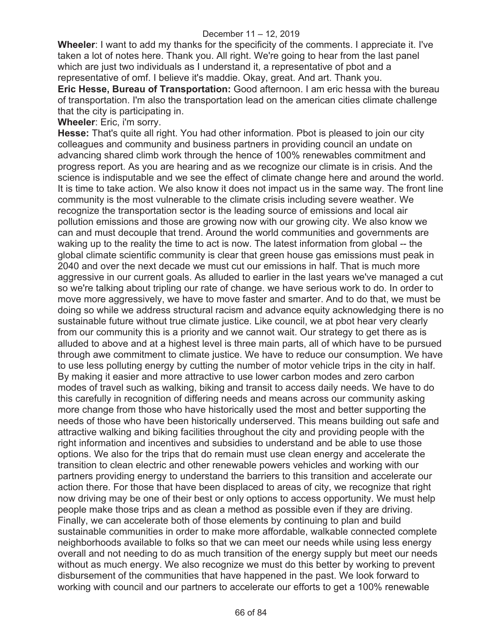**Wheeler**: I want to add my thanks for the specificity of the comments. I appreciate it. I've taken a lot of notes here. Thank you. All right. We're going to hear from the last panel which are just two individuals as I understand it, a representative of pbot and a representative of omf. I believe it's maddie. Okay, great. And art. Thank you.

**Eric Hesse, Bureau of Transportation:** Good afternoon. I am eric hessa with the bureau of transportation. I'm also the transportation lead on the american cities climate challenge that the city is participating in.

**Wheeler**: Eric, i'm sorry.

**Hesse:** That's quite all right. You had other information. Pbot is pleased to join our city colleagues and community and business partners in providing council an undate on advancing shared climb work through the hence of 100% renewables commitment and progress report. As you are hearing and as we recognize our climate is in crisis. And the science is indisputable and we see the effect of climate change here and around the world. It is time to take action. We also know it does not impact us in the same way. The front line community is the most vulnerable to the climate crisis including severe weather. We recognize the transportation sector is the leading source of emissions and local air pollution emissions and those are growing now with our growing city. We also know we can and must decouple that trend. Around the world communities and governments are waking up to the reality the time to act is now. The latest information from global -- the global climate scientific community is clear that green house gas emissions must peak in 2040 and over the next decade we must cut our emissions in half. That is much more aggressive in our current goals. As alluded to earlier in the last years we've managed a cut so we're talking about tripling our rate of change. we have serious work to do. In order to move more aggressively, we have to move faster and smarter. And to do that, we must be doing so while we address structural racism and advance equity acknowledging there is no sustainable future without true climate justice. Like council, we at pbot hear very clearly from our community this is a priority and we cannot wait. Our strategy to get there as is alluded to above and at a highest level is three main parts, all of which have to be pursued through awe commitment to climate justice. We have to reduce our consumption. We have to use less polluting energy by cutting the number of motor vehicle trips in the city in half. By making it easier and more attractive to use lower carbon modes and zero carbon modes of travel such as walking, biking and transit to access daily needs. We have to do this carefully in recognition of differing needs and means across our community asking more change from those who have historically used the most and better supporting the needs of those who have been historically underserved. This means building out safe and attractive walking and biking facilities throughout the city and providing people with the right information and incentives and subsidies to understand and be able to use those options. We also for the trips that do remain must use clean energy and accelerate the transition to clean electric and other renewable powers vehicles and working with our partners providing energy to understand the barriers to this transition and accelerate our action there. For those that have been displaced to areas of city, we recognize that right now driving may be one of their best or only options to access opportunity. We must help people make those trips and as clean a method as possible even if they are driving. Finally, we can accelerate both of those elements by continuing to plan and build sustainable communities in order to make more affordable, walkable connected complete neighborhoods available to folks so that we can meet our needs while using less energy overall and not needing to do as much transition of the energy supply but meet our needs without as much energy. We also recognize we must do this better by working to prevent disbursement of the communities that have happened in the past. We look forward to working with council and our partners to accelerate our efforts to get a 100% renewable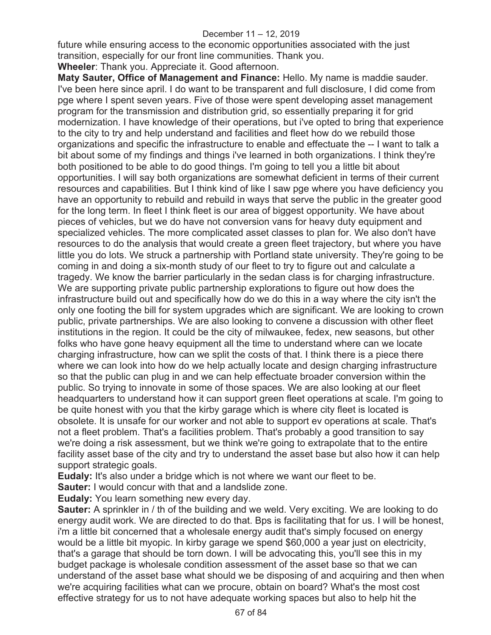future while ensuring access to the economic opportunities associated with the just transition, especially for our front line communities. Thank you.

**Wheeler**: Thank you. Appreciate it. Good afternoon.

**Maty Sauter, Office of Management and Finance:** Hello. My name is maddie sauder. I've been here since april. I do want to be transparent and full disclosure, I did come from pge where I spent seven years. Five of those were spent developing asset management program for the transmission and distribution grid, so essentially preparing it for grid modernization. I have knowledge of their operations, but i've opted to bring that experience to the city to try and help understand and facilities and fleet how do we rebuild those organizations and specific the infrastructure to enable and effectuate the -- I want to talk a bit about some of my findings and things i've learned in both organizations. I think they're both positioned to be able to do good things. I'm going to tell you a little bit about opportunities. I will say both organizations are somewhat deficient in terms of their current resources and capabilities. But I think kind of like I saw pge where you have deficiency you have an opportunity to rebuild and rebuild in ways that serve the public in the greater good for the long term. In fleet I think fleet is our area of biggest opportunity. We have about pieces of vehicles, but we do have not conversion vans for heavy duty equipment and specialized vehicles. The more complicated asset classes to plan for. We also don't have resources to do the analysis that would create a green fleet trajectory, but where you have little you do lots. We struck a partnership with Portland state university. They're going to be coming in and doing a six-month study of our fleet to try to figure out and calculate a tragedy. We know the barrier particularly in the sedan class is for charging infrastructure. We are supporting private public partnership explorations to figure out how does the infrastructure build out and specifically how do we do this in a way where the city isn't the only one footing the bill for system upgrades which are significant. We are looking to crown public, private partnerships. We are also looking to convene a discussion with other fleet institutions in the region. It could be the city of milwaukee, fedex, new seasons, but other folks who have gone heavy equipment all the time to understand where can we locate charging infrastructure, how can we split the costs of that. I think there is a piece there where we can look into how do we help actually locate and design charging infrastructure so that the public can plug in and we can help effectuate broader conversion within the public. So trying to innovate in some of those spaces. We are also looking at our fleet headquarters to understand how it can support green fleet operations at scale. I'm going to be quite honest with you that the kirby garage which is where city fleet is located is obsolete. It is unsafe for our worker and not able to support ev operations at scale. That's not a fleet problem. That's a facilities problem. That's probably a good transition to say we're doing a risk assessment, but we think we're going to extrapolate that to the entire facility asset base of the city and try to understand the asset base but also how it can help support strategic goals.

**Eudaly:** It's also under a bridge which is not where we want our fleet to be.

**Sauter:** I would concur with that and a landslide zone.

**Eudaly:** You learn something new every day.

**Sauter:** A sprinkler in / th of the building and we weld. Very exciting. We are looking to do energy audit work. We are directed to do that. Bps is facilitating that for us. I will be honest, i'm a little bit concerned that a wholesale energy audit that's simply focused on energy would be a little bit myopic. In kirby garage we spend \$60,000 a year just on electricity, that's a garage that should be torn down. I will be advocating this, you'll see this in my budget package is wholesale condition assessment of the asset base so that we can understand of the asset base what should we be disposing of and acquiring and then when we're acquiring facilities what can we procure, obtain on board? What's the most cost effective strategy for us to not have adequate working spaces but also to help hit the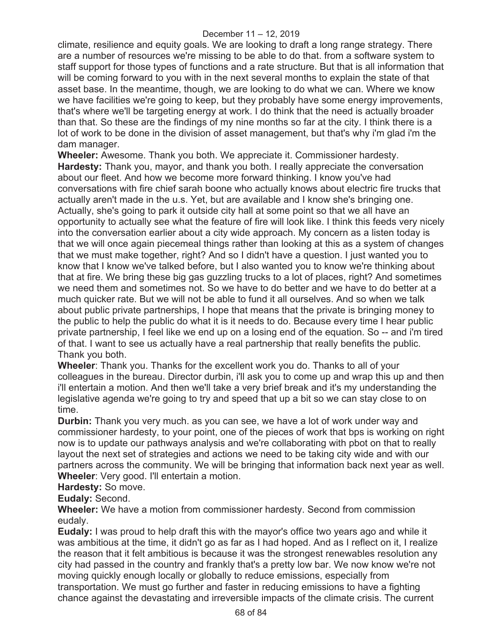climate, resilience and equity goals. We are looking to draft a long range strategy. There are a number of resources we're missing to be able to do that. from a software system to staff support for those types of functions and a rate structure. But that is all information that will be coming forward to you with in the next several months to explain the state of that asset base. In the meantime, though, we are looking to do what we can. Where we know we have facilities we're going to keep, but they probably have some energy improvements, that's where we'll be targeting energy at work. I do think that the need is actually broader than that. So these are the findings of my nine months so far at the city. I think there is a lot of work to be done in the division of asset management, but that's why i'm glad i'm the dam manager.

**Wheeler:** Awesome. Thank you both. We appreciate it. Commissioner hardesty. **Hardesty:** Thank you, mayor, and thank you both. I really appreciate the conversation about our fleet. And how we become more forward thinking. I know you've had conversations with fire chief sarah boone who actually knows about electric fire trucks that actually aren't made in the u.s. Yet, but are available and I know she's bringing one. Actually, she's going to park it outside city hall at some point so that we all have an opportunity to actually see what the feature of fire will look like. I think this feeds very nicely into the conversation earlier about a city wide approach. My concern as a listen today is that we will once again piecemeal things rather than looking at this as a system of changes that we must make together, right? And so I didn't have a question. I just wanted you to know that I know we've talked before, but I also wanted you to know we're thinking about that at fire. We bring these big gas guzzling trucks to a lot of places, right? And sometimes we need them and sometimes not. So we have to do better and we have to do better at a much quicker rate. But we will not be able to fund it all ourselves. And so when we talk about public private partnerships, I hope that means that the private is bringing money to the public to help the public do what it is it needs to do. Because every time I hear public private partnership, I feel like we end up on a losing end of the equation. So -- and i'm tired of that. I want to see us actually have a real partnership that really benefits the public. Thank you both.

**Wheeler**: Thank you. Thanks for the excellent work you do. Thanks to all of your colleagues in the bureau. Director durbin, i'll ask you to come up and wrap this up and then i'll entertain a motion. And then we'll take a very brief break and it's my understanding the legislative agenda we're going to try and speed that up a bit so we can stay close to on time.

**Durbin:** Thank you very much. as you can see, we have a lot of work under way and commissioner hardesty, to your point, one of the pieces of work that bps is working on right now is to update our pathways analysis and we're collaborating with pbot on that to really layout the next set of strategies and actions we need to be taking city wide and with our partners across the community. We will be bringing that information back next year as well. **Wheeler**: Very good. I'll entertain a motion.

**Hardesty:** So move.

**Eudaly:** Second.

**Wheeler:** We have a motion from commissioner hardesty. Second from commission eudaly.

**Eudaly:** I was proud to help draft this with the mayor's office two years ago and while it was ambitious at the time, it didn't go as far as I had hoped. And as I reflect on it, I realize the reason that it felt ambitious is because it was the strongest renewables resolution any city had passed in the country and frankly that's a pretty low bar. We now know we're not moving quickly enough locally or globally to reduce emissions, especially from transportation. We must go further and faster in reducing emissions to have a fighting chance against the devastating and irreversible impacts of the climate crisis. The current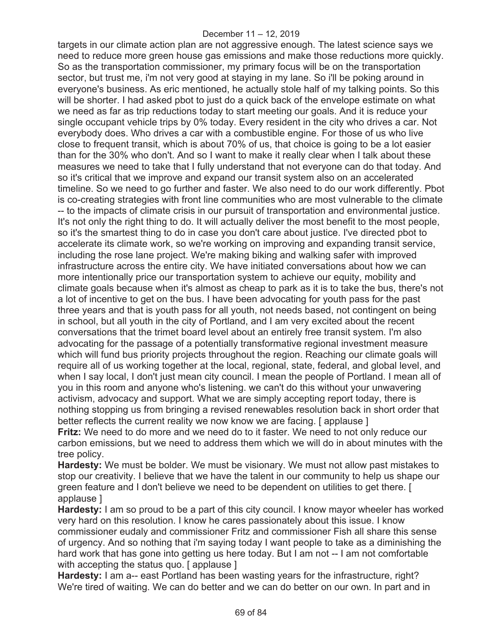targets in our climate action plan are not aggressive enough. The latest science says we need to reduce more green house gas emissions and make those reductions more quickly. So as the transportation commissioner, my primary focus will be on the transportation sector, but trust me, i'm not very good at staying in my lane. So i'll be poking around in everyone's business. As eric mentioned, he actually stole half of my talking points. So this will be shorter. I had asked pbot to just do a quick back of the envelope estimate on what we need as far as trip reductions today to start meeting our goals. And it is reduce your single occupant vehicle trips by 0% today. Every resident in the city who drives a car. Not everybody does. Who drives a car with a combustible engine. For those of us who live close to frequent transit, which is about 70% of us, that choice is going to be a lot easier than for the 30% who don't. And so I want to make it really clear when I talk about these measures we need to take that I fully understand that not everyone can do that today. And so it's critical that we improve and expand our transit system also on an accelerated timeline. So we need to go further and faster. We also need to do our work differently. Pbot is co-creating strategies with front line communities who are most vulnerable to the climate -- to the impacts of climate crisis in our pursuit of transportation and environmental justice. It's not only the right thing to do. It will actually deliver the most benefit to the most people, so it's the smartest thing to do in case you don't care about justice. I've directed pbot to accelerate its climate work, so we're working on improving and expanding transit service, including the rose lane project. We're making biking and walking safer with improved infrastructure across the entire city. We have initiated conversations about how we can more intentionally price our transportation system to achieve our equity, mobility and climate goals because when it's almost as cheap to park as it is to take the bus, there's not a lot of incentive to get on the bus. I have been advocating for youth pass for the past three years and that is youth pass for all youth, not needs based, not contingent on being in school, but all youth in the city of Portland, and I am very excited about the recent conversations that the trimet board level about an entirely free transit system. I'm also advocating for the passage of a potentially transformative regional investment measure which will fund bus priority projects throughout the region. Reaching our climate goals will require all of us working together at the local, regional, state, federal, and global level, and when I say local, I don't just mean city council. I mean the people of Portland. I mean all of you in this room and anyone who's listening. we can't do this without your unwavering activism, advocacy and support. What we are simply accepting report today, there is nothing stopping us from bringing a revised renewables resolution back in short order that better reflects the current reality we now know we are facing. [ applause ]

**Fritz:** We need to do more and we need do to it faster. We need to not only reduce our carbon emissions, but we need to address them which we will do in about minutes with the tree policy.

**Hardesty:** We must be bolder. We must be visionary. We must not allow past mistakes to stop our creativity. I believe that we have the talent in our community to help us shape our green feature and I don't believe we need to be dependent on utilities to get there. [ applause ]

**Hardesty:** I am so proud to be a part of this city council. I know mayor wheeler has worked very hard on this resolution. I know he cares passionately about this issue. I know commissioner eudaly and commissioner Fritz and commissioner Fish all share this sense of urgency. And so nothing that i'm saying today I want people to take as a diminishing the hard work that has gone into getting us here today. But I am not -- I am not comfortable with accepting the status quo. [ applause ]

Hardesty: I am a-- east Portland has been wasting years for the infrastructure, right? We're tired of waiting. We can do better and we can do better on our own. In part and in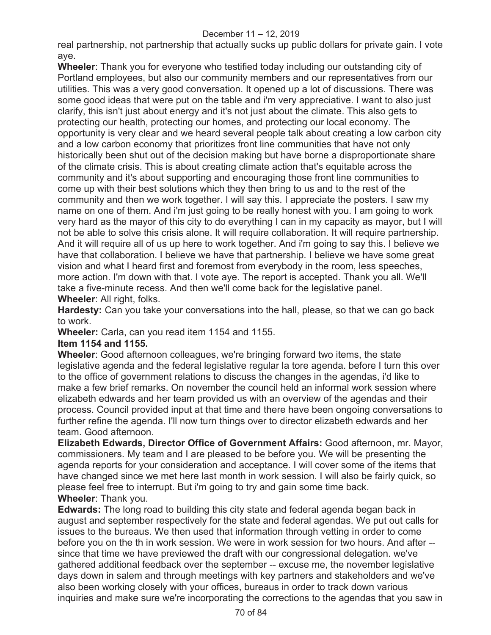real partnership, not partnership that actually sucks up public dollars for private gain. I vote aye.

**Wheeler**: Thank you for everyone who testified today including our outstanding city of Portland employees, but also our community members and our representatives from our utilities. This was a very good conversation. It opened up a lot of discussions. There was some good ideas that were put on the table and i'm very appreciative. I want to also just clarify, this isn't just about energy and it's not just about the climate. This also gets to protecting our health, protecting our homes, and protecting our local economy. The opportunity is very clear and we heard several people talk about creating a low carbon city and a low carbon economy that prioritizes front line communities that have not only historically been shut out of the decision making but have borne a disproportionate share of the climate crisis. This is about creating climate action that's equitable across the community and it's about supporting and encouraging those front line communities to come up with their best solutions which they then bring to us and to the rest of the community and then we work together. I will say this. I appreciate the posters. I saw my name on one of them. And i'm just going to be really honest with you. I am going to work very hard as the mayor of this city to do everything I can in my capacity as mayor, but I will not be able to solve this crisis alone. It will require collaboration. It will require partnership. And it will require all of us up here to work together. And i'm going to say this. I believe we have that collaboration. I believe we have that partnership. I believe we have some great vision and what I heard first and foremost from everybody in the room, less speeches, more action. I'm down with that. I vote aye. The report is accepted. Thank you all. We'll take a five-minute recess. And then we'll come back for the legislative panel. **Wheeler**: All right, folks.

**Hardesty:** Can you take your conversations into the hall, please, so that we can go back to work.

**Wheeler:** Carla, can you read item 1154 and 1155.

#### **Item 1154 and 1155.**

**Wheeler**: Good afternoon colleagues, we're bringing forward two items, the state legislative agenda and the federal legislative regular la tore agenda. before I turn this over to the office of government relations to discuss the changes in the agendas, i'd like to make a few brief remarks. On november the council held an informal work session where elizabeth edwards and her team provided us with an overview of the agendas and their process. Council provided input at that time and there have been ongoing conversations to further refine the agenda. I'll now turn things over to director elizabeth edwards and her team. Good afternoon.

**Elizabeth Edwards, Director Office of Government Affairs:** Good afternoon, mr. Mayor, commissioners. My team and I are pleased to be before you. We will be presenting the agenda reports for your consideration and acceptance. I will cover some of the items that have changed since we met here last month in work session. I will also be fairly quick, so please feel free to interrupt. But i'm going to try and gain some time back. **Wheeler**: Thank you.

**Edwards:** The long road to building this city state and federal agenda began back in august and september respectively for the state and federal agendas. We put out calls for issues to the bureaus. We then used that information through vetting in order to come before you on the th in work session. We were in work session for two hours. And after - since that time we have previewed the draft with our congressional delegation. we've gathered additional feedback over the september -- excuse me, the november legislative days down in salem and through meetings with key partners and stakeholders and we've also been working closely with your offices, bureaus in order to track down various inquiries and make sure we're incorporating the corrections to the agendas that you saw in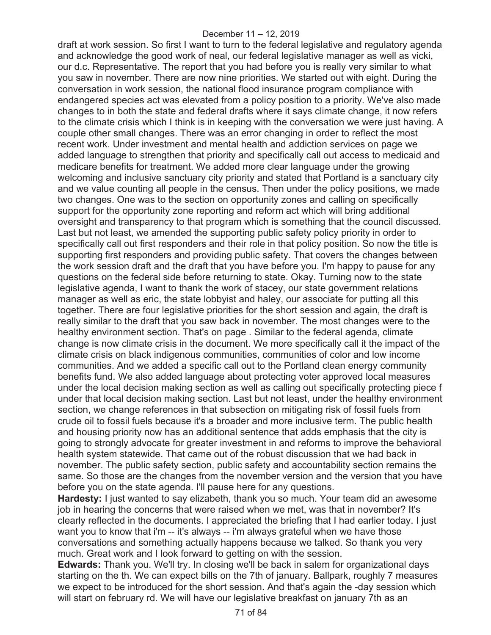draft at work session. So first I want to turn to the federal legislative and regulatory agenda and acknowledge the good work of neal, our federal legislative manager as well as vicki, our d.c. Representative. The report that you had before you is really very similar to what you saw in november. There are now nine priorities. We started out with eight. During the conversation in work session, the national flood insurance program compliance with endangered species act was elevated from a policy position to a priority. We've also made changes to in both the state and federal drafts where it says climate change, it now refers to the climate crisis which I think is in keeping with the conversation we were just having. A couple other small changes. There was an error changing in order to reflect the most recent work. Under investment and mental health and addiction services on page we added language to strengthen that priority and specifically call out access to medicaid and medicare benefits for treatment. We added more clear language under the growing welcoming and inclusive sanctuary city priority and stated that Portland is a sanctuary city and we value counting all people in the census. Then under the policy positions, we made two changes. One was to the section on opportunity zones and calling on specifically support for the opportunity zone reporting and reform act which will bring additional oversight and transparency to that program which is something that the council discussed. Last but not least, we amended the supporting public safety policy priority in order to specifically call out first responders and their role in that policy position. So now the title is supporting first responders and providing public safety. That covers the changes between the work session draft and the draft that you have before you. I'm happy to pause for any questions on the federal side before returning to state. Okay. Turning now to the state legislative agenda, I want to thank the work of stacey, our state government relations manager as well as eric, the state lobbyist and haley, our associate for putting all this together. There are four legislative priorities for the short session and again, the draft is really similar to the draft that you saw back in november. The most changes were to the healthy environment section. That's on page . Similar to the federal agenda, climate change is now climate crisis in the document. We more specifically call it the impact of the climate crisis on black indigenous communities, communities of color and low income communities. And we added a specific call out to the Portland clean energy community benefits fund. We also added language about protecting voter approved local measures under the local decision making section as well as calling out specifically protecting piece f under that local decision making section. Last but not least, under the healthy environment section, we change references in that subsection on mitigating risk of fossil fuels from crude oil to fossil fuels because it's a broader and more inclusive term. The public health and housing priority now has an additional sentence that adds emphasis that the city is going to strongly advocate for greater investment in and reforms to improve the behavioral health system statewide. That came out of the robust discussion that we had back in november. The public safety section, public safety and accountability section remains the same. So those are the changes from the november version and the version that you have before you on the state agenda. I'll pause here for any questions.

**Hardesty:** I just wanted to say elizabeth, thank you so much. Your team did an awesome job in hearing the concerns that were raised when we met, was that in november? It's clearly reflected in the documents. I appreciated the briefing that I had earlier today. I just want you to know that i'm -- it's always -- i'm always grateful when we have those conversations and something actually happens because we talked. So thank you very much. Great work and I look forward to getting on with the session.

**Edwards:** Thank you. We'll try. In closing we'll be back in salem for organizational days starting on the th. We can expect bills on the 7th of january. Ballpark, roughly 7 measures we expect to be introduced for the short session. And that's again the -day session which will start on february rd. We will have our legislative breakfast on january 7th as an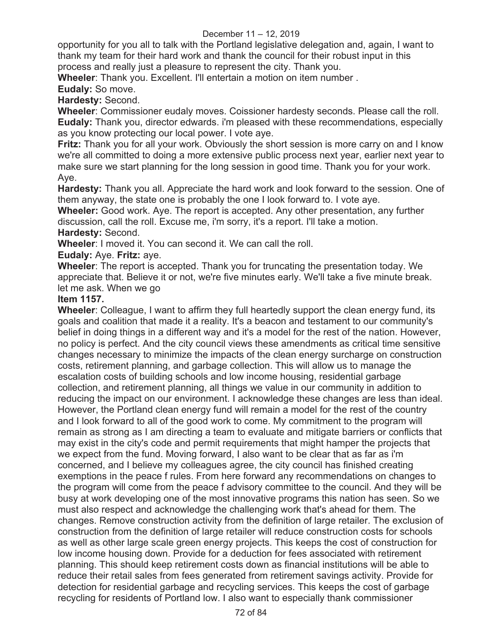opportunity for you all to talk with the Portland legislative delegation and, again, I want to thank my team for their hard work and thank the council for their robust input in this process and really just a pleasure to represent the city. Thank you.

**Wheeler**: Thank you. Excellent. I'll entertain a motion on item number .

**Eudaly:** So move.

**Hardesty:** Second.

**Wheeler**: Commissioner eudaly moves. Coissioner hardesty seconds. Please call the roll. **Eudaly:** Thank you, director edwards. i'm pleased with these recommendations, especially as you know protecting our local power. I vote aye.

**Fritz:** Thank you for all your work. Obviously the short session is more carry on and I know we're all committed to doing a more extensive public process next year, earlier next year to make sure we start planning for the long session in good time. Thank you for your work. Aye.

**Hardesty:** Thank you all. Appreciate the hard work and look forward to the session. One of them anyway, the state one is probably the one I look forward to. I vote aye.

**Wheeler:** Good work. Aye. The report is accepted. Any other presentation, any further discussion, call the roll. Excuse me, i'm sorry, it's a report. I'll take a motion. **Hardesty:** Second.

**Wheeler**: I moved it. You can second it. We can call the roll.

**Eudaly:** Aye. **Fritz:** aye.

**Wheeler**: The report is accepted. Thank you for truncating the presentation today. We appreciate that. Believe it or not, we're five minutes early. We'll take a five minute break. let me ask. When we go

## **Item 1157.**

**Wheeler**: Colleague, I want to affirm they full heartedly support the clean energy fund, its goals and coalition that made it a reality. It's a beacon and testament to our community's belief in doing things in a different way and it's a model for the rest of the nation. However, no policy is perfect. And the city council views these amendments as critical time sensitive changes necessary to minimize the impacts of the clean energy surcharge on construction costs, retirement planning, and garbage collection. This will allow us to manage the escalation costs of building schools and low income housing, residential garbage collection, and retirement planning, all things we value in our community in addition to reducing the impact on our environment. I acknowledge these changes are less than ideal. However, the Portland clean energy fund will remain a model for the rest of the country and I look forward to all of the good work to come. My commitment to the program will remain as strong as I am directing a team to evaluate and mitigate barriers or conflicts that may exist in the city's code and permit requirements that might hamper the projects that we expect from the fund. Moving forward, I also want to be clear that as far as i'm concerned, and I believe my colleagues agree, the city council has finished creating exemptions in the peace f rules. From here forward any recommendations on changes to the program will come from the peace f advisory committee to the council. And they will be busy at work developing one of the most innovative programs this nation has seen. So we must also respect and acknowledge the challenging work that's ahead for them. The changes. Remove construction activity from the definition of large retailer. The exclusion of construction from the definition of large retailer will reduce construction costs for schools as well as other large scale green energy projects. This keeps the cost of construction for low income housing down. Provide for a deduction for fees associated with retirement planning. This should keep retirement costs down as financial institutions will be able to reduce their retail sales from fees generated from retirement savings activity. Provide for detection for residential garbage and recycling services. This keeps the cost of garbage recycling for residents of Portland low. I also want to especially thank commissioner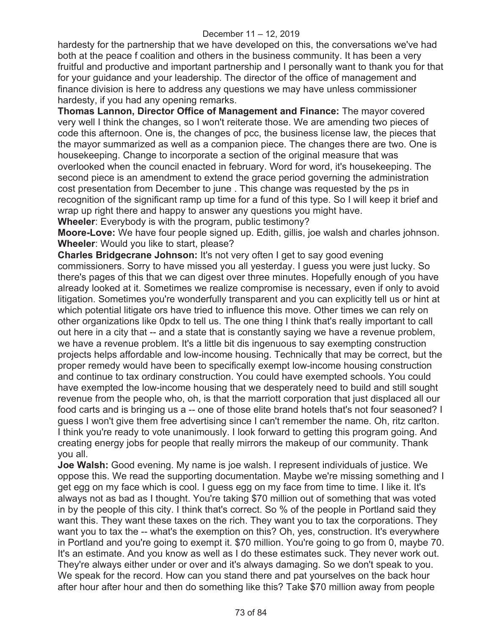hardesty for the partnership that we have developed on this, the conversations we've had both at the peace f coalition and others in the business community. It has been a very fruitful and productive and important partnership and I personally want to thank you for that for your guidance and your leadership. The director of the office of management and finance division is here to address any questions we may have unless commissioner hardesty, if you had any opening remarks.

**Thomas Lannon, Director Office of Management and Finance:** The mayor covered very well I think the changes, so I won't reiterate those. We are amending two pieces of code this afternoon. One is, the changes of pcc, the business license law, the pieces that the mayor summarized as well as a companion piece. The changes there are two. One is housekeeping. Change to incorporate a section of the original measure that was overlooked when the council enacted in february. Word for word, it's housekeeping. The second piece is an amendment to extend the grace period governing the administration cost presentation from December to june . This change was requested by the ps in recognition of the significant ramp up time for a fund of this type. So I will keep it brief and wrap up right there and happy to answer any questions you might have. **Wheeler**: Everybody is with the program, public testimony?

**Moore-Love:** We have four people signed up. Edith, gillis, joe walsh and charles johnson. **Wheeler**: Would you like to start, please?

**Charles Bridgecrane Johnson:** It's not very often I get to say good evening commissioners. Sorry to have missed you all yesterday. I guess you were just lucky. So there's pages of this that we can digest over three minutes. Hopefully enough of you have already looked at it. Sometimes we realize compromise is necessary, even if only to avoid litigation. Sometimes you're wonderfully transparent and you can explicitly tell us or hint at which potential litigate ors have tried to influence this move. Other times we can rely on other organizations like 0pdx to tell us. The one thing I think that's really important to call out here in a city that -- and a state that is constantly saying we have a revenue problem, we have a revenue problem. It's a little bit dis ingenuous to say exempting construction projects helps affordable and low-income housing. Technically that may be correct, but the proper remedy would have been to specifically exempt low-income housing construction and continue to tax ordinary construction. You could have exempted schools. You could have exempted the low-income housing that we desperately need to build and still sought revenue from the people who, oh, is that the marriott corporation that just displaced all our food carts and is bringing us a -- one of those elite brand hotels that's not four seasoned? I guess I won't give them free advertising since I can't remember the name. Oh, ritz carlton. I think you're ready to vote unanimously. I look forward to getting this program going. And creating energy jobs for people that really mirrors the makeup of our community. Thank you all.

**Joe Walsh:** Good evening. My name is joe walsh. I represent individuals of justice. We oppose this. We read the supporting documentation. Maybe we're missing something and I get egg on my face which is cool. I guess egg on my face from time to time. I like it. It's always not as bad as I thought. You're taking \$70 million out of something that was voted in by the people of this city. I think that's correct. So % of the people in Portland said they want this. They want these taxes on the rich. They want you to tax the corporations. They want you to tax the -- what's the exemption on this? Oh, yes, construction. It's everywhere in Portland and you're going to exempt it. \$70 million. You're going to go from 0, maybe 70. It's an estimate. And you know as well as I do these estimates suck. They never work out. They're always either under or over and it's always damaging. So we don't speak to you. We speak for the record. How can you stand there and pat yourselves on the back hour after hour after hour and then do something like this? Take \$70 million away from people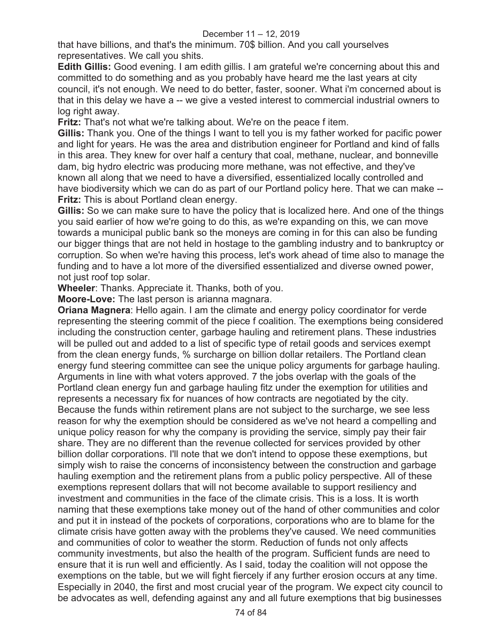that have billions, and that's the minimum. 70\$ billion. And you call yourselves representatives. We call you shits.

**Edith Gillis:** Good evening. I am edith gillis. I am grateful we're concerning about this and committed to do something and as you probably have heard me the last years at city council, it's not enough. We need to do better, faster, sooner. What i'm concerned about is that in this delay we have a -- we give a vested interest to commercial industrial owners to log right away.

**Fritz:** That's not what we're talking about. We're on the peace f item.

**Gillis:** Thank you. One of the things I want to tell you is my father worked for pacific power and light for years. He was the area and distribution engineer for Portland and kind of falls in this area. They knew for over half a century that coal, methane, nuclear, and bonneville dam, big hydro electric was producing more methane, was not effective, and they've known all along that we need to have a diversified, essentialized locally controlled and have biodiversity which we can do as part of our Portland policy here. That we can make -- **Fritz:** This is about Portland clean energy.

**Gillis:** So we can make sure to have the policy that is localized here. And one of the things you said earlier of how we're going to do this, as we're expanding on this, we can move towards a municipal public bank so the moneys are coming in for this can also be funding our bigger things that are not held in hostage to the gambling industry and to bankruptcy or corruption. So when we're having this process, let's work ahead of time also to manage the funding and to have a lot more of the diversified essentialized and diverse owned power, not just roof top solar.

**Wheeler**: Thanks. Appreciate it. Thanks, both of you.

**Moore-Love:** The last person is arianna magnara.

**Oriana Magnera**: Hello again. I am the climate and energy policy coordinator for verde representing the steering commit of the piece f coalition. The exemptions being considered including the construction center, garbage hauling and retirement plans. These industries will be pulled out and added to a list of specific type of retail goods and services exempt from the clean energy funds, % surcharge on billion dollar retailers. The Portland clean energy fund steering committee can see the unique policy arguments for garbage hauling. Arguments in line with what voters approved. 7 the jobs overlap with the goals of the Portland clean energy fun and garbage hauling fitz under the exemption for utilities and represents a necessary fix for nuances of how contracts are negotiated by the city. Because the funds within retirement plans are not subject to the surcharge, we see less reason for why the exemption should be considered as we've not heard a compelling and unique policy reason for why the company is providing the service, simply pay their fair share. They are no different than the revenue collected for services provided by other billion dollar corporations. I'll note that we don't intend to oppose these exemptions, but simply wish to raise the concerns of inconsistency between the construction and garbage hauling exemption and the retirement plans from a public policy perspective. All of these exemptions represent dollars that will not become available to support resiliency and investment and communities in the face of the climate crisis. This is a loss. It is worth naming that these exemptions take money out of the hand of other communities and color and put it in instead of the pockets of corporations, corporations who are to blame for the climate crisis have gotten away with the problems they've caused. We need communities and communities of color to weather the storm. Reduction of funds not only affects community investments, but also the health of the program. Sufficient funds are need to ensure that it is run well and efficiently. As I said, today the coalition will not oppose the exemptions on the table, but we will fight fiercely if any further erosion occurs at any time. Especially in 2040, the first and most crucial year of the program. We expect city council to be advocates as well, defending against any and all future exemptions that big businesses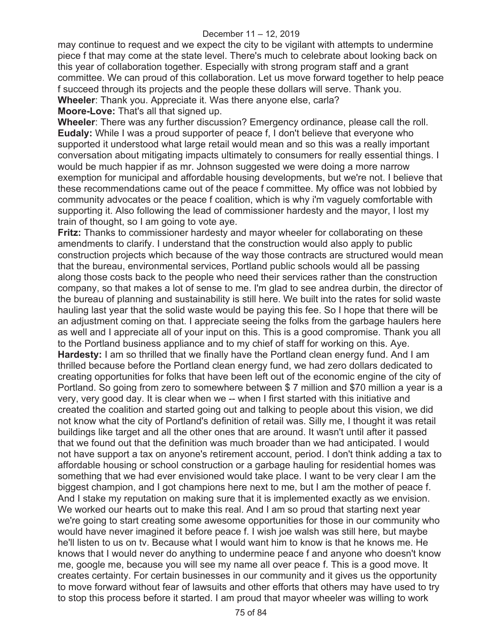may continue to request and we expect the city to be vigilant with attempts to undermine piece f that may come at the state level. There's much to celebrate about looking back on this year of collaboration together. Especially with strong program staff and a grant committee. We can proud of this collaboration. Let us move forward together to help peace f succeed through its projects and the people these dollars will serve. Thank you. **Wheeler**: Thank you. Appreciate it. Was there anyone else, carla?

**Moore-Love:** That's all that signed up.

**Wheeler**: There was any further discussion? Emergency ordinance, please call the roll. **Eudaly:** While I was a proud supporter of peace f, I don't believe that everyone who supported it understood what large retail would mean and so this was a really important conversation about mitigating impacts ultimately to consumers for really essential things. I would be much happier if as mr. Johnson suggested we were doing a more narrow exemption for municipal and affordable housing developments, but we're not. I believe that these recommendations came out of the peace f committee. My office was not lobbied by community advocates or the peace f coalition, which is why i'm vaguely comfortable with supporting it. Also following the lead of commissioner hardesty and the mayor, I lost my train of thought, so I am going to vote aye.

**Fritz:** Thanks to commissioner hardesty and mayor wheeler for collaborating on these amendments to clarify. I understand that the construction would also apply to public construction projects which because of the way those contracts are structured would mean that the bureau, environmental services, Portland public schools would all be passing along those costs back to the people who need their services rather than the construction company, so that makes a lot of sense to me. I'm glad to see andrea durbin, the director of the bureau of planning and sustainability is still here. We built into the rates for solid waste hauling last year that the solid waste would be paying this fee. So I hope that there will be an adjustment coming on that. I appreciate seeing the folks from the garbage haulers here as well and I appreciate all of your input on this. This is a good compromise. Thank you all to the Portland business appliance and to my chief of staff for working on this. Aye. **Hardesty:** I am so thrilled that we finally have the Portland clean energy fund. And I am thrilled because before the Portland clean energy fund, we had zero dollars dedicated to creating opportunities for folks that have been left out of the economic engine of the city of Portland. So going from zero to somewhere between \$ 7 million and \$70 million a year is a very, very good day. It is clear when we -- when I first started with this initiative and created the coalition and started going out and talking to people about this vision, we did not know what the city of Portland's definition of retail was. Silly me, I thought it was retail buildings like target and all the other ones that are around. It wasn't until after it passed that we found out that the definition was much broader than we had anticipated. I would not have support a tax on anyone's retirement account, period. I don't think adding a tax to affordable housing or school construction or a garbage hauling for residential homes was something that we had ever envisioned would take place. I want to be very clear I am the biggest champion, and I got champions here next to me, but I am the mother of peace f. And I stake my reputation on making sure that it is implemented exactly as we envision. We worked our hearts out to make this real. And I am so proud that starting next year we're going to start creating some awesome opportunities for those in our community who would have never imagined it before peace f. I wish joe walsh was still here, but maybe he'll listen to us on tv. Because what I would want him to know is that he knows me. He knows that I would never do anything to undermine peace f and anyone who doesn't know me, google me, because you will see my name all over peace f. This is a good move. It creates certainty. For certain businesses in our community and it gives us the opportunity to move forward without fear of lawsuits and other efforts that others may have used to try to stop this process before it started. I am proud that mayor wheeler was willing to work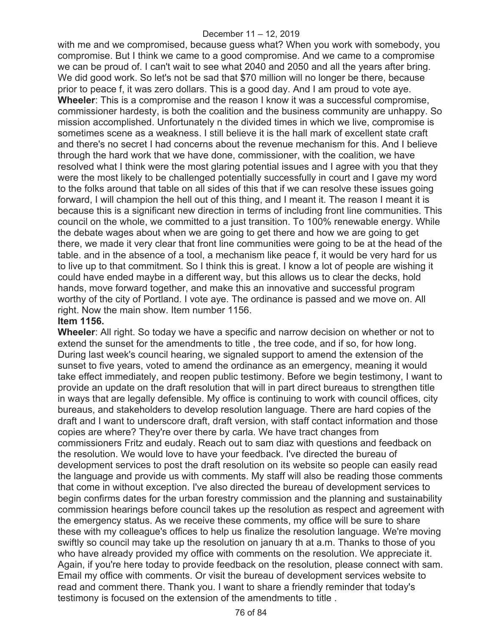with me and we compromised, because guess what? When you work with somebody, you compromise. But I think we came to a good compromise. And we came to a compromise we can be proud of. I can't wait to see what 2040 and 2050 and all the years after bring. We did good work. So let's not be sad that \$70 million will no longer be there, because prior to peace f, it was zero dollars. This is a good day. And I am proud to vote aye. **Wheeler**: This is a compromise and the reason I know it was a successful compromise, commissioner hardesty, is both the coalition and the business community are unhappy. So mission accomplished. Unfortunately n the divided times in which we live, compromise is sometimes scene as a weakness. I still believe it is the hall mark of excellent state craft and there's no secret I had concerns about the revenue mechanism for this. And I believe through the hard work that we have done, commissioner, with the coalition, we have resolved what I think were the most glaring potential issues and I agree with you that they were the most likely to be challenged potentially successfully in court and I gave my word to the folks around that table on all sides of this that if we can resolve these issues going forward, I will champion the hell out of this thing, and I meant it. The reason I meant it is because this is a significant new direction in terms of including front line communities. This council on the whole, we committed to a just transition. To 100% renewable energy. While the debate wages about when we are going to get there and how we are going to get there, we made it very clear that front line communities were going to be at the head of the table. and in the absence of a tool, a mechanism like peace f, it would be very hard for us to live up to that commitment. So I think this is great. I know a lot of people are wishing it could have ended maybe in a different way, but this allows us to clear the decks, hold hands, move forward together, and make this an innovative and successful program worthy of the city of Portland. I vote aye. The ordinance is passed and we move on. All right. Now the main show. Item number 1156.

### **Item 1156.**

**Wheeler**: All right. So today we have a specific and narrow decision on whether or not to extend the sunset for the amendments to title , the tree code, and if so, for how long. During last week's council hearing, we signaled support to amend the extension of the sunset to five years, voted to amend the ordinance as an emergency, meaning it would take effect immediately, and reopen public testimony. Before we begin testimony, I want to provide an update on the draft resolution that will in part direct bureaus to strengthen title in ways that are legally defensible. My office is continuing to work with council offices, city bureaus, and stakeholders to develop resolution language. There are hard copies of the draft and I want to underscore draft, draft version, with staff contact information and those copies are where? They're over there by carla. We have tract changes from commissioners Fritz and eudaly. Reach out to sam diaz with questions and feedback on the resolution. We would love to have your feedback. I've directed the bureau of development services to post the draft resolution on its website so people can easily read the language and provide us with comments. My staff will also be reading those comments that come in without exception. I've also directed the bureau of development services to begin confirms dates for the urban forestry commission and the planning and sustainability commission hearings before council takes up the resolution as respect and agreement with the emergency status. As we receive these comments, my office will be sure to share these with my colleague's offices to help us finalize the resolution language. We're moving swiftly so council may take up the resolution on january th at a.m. Thanks to those of you who have already provided my office with comments on the resolution. We appreciate it. Again, if you're here today to provide feedback on the resolution, please connect with sam. Email my office with comments. Or visit the bureau of development services website to read and comment there. Thank you. I want to share a friendly reminder that today's testimony is focused on the extension of the amendments to title .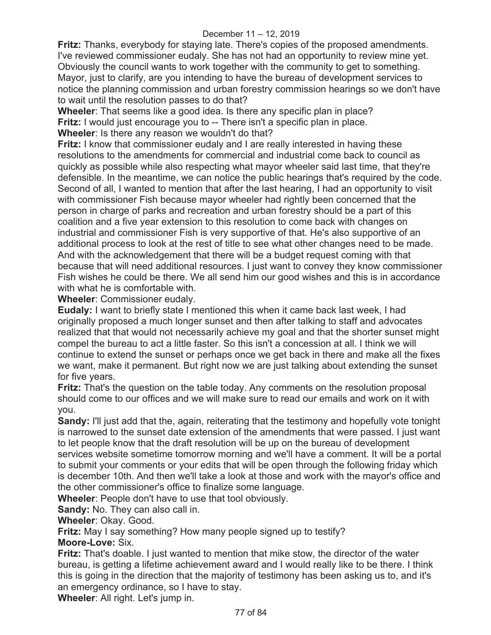**Fritz:** Thanks, everybody for staying late. There's copies of the proposed amendments. I've reviewed commissioner eudaly. She has not had an opportunity to review mine yet. Obviously the council wants to work together with the community to get to something. Mayor, just to clarify, are you intending to have the bureau of development services to notice the planning commission and urban forestry commission hearings so we don't have to wait until the resolution passes to do that?

**Wheeler**: That seems like a good idea. Is there any specific plan in place?

**Fritz:** I would just encourage you to -- There isn't a specific plan in place.

**Wheeler**: Is there any reason we wouldn't do that?

**Fritz:** I know that commissioner eudaly and I are really interested in having these resolutions to the amendments for commercial and industrial come back to council as quickly as possible while also respecting what mayor wheeler said last time, that they're defensible. In the meantime, we can notice the public hearings that's required by the code. Second of all, I wanted to mention that after the last hearing, I had an opportunity to visit with commissioner Fish because mayor wheeler had rightly been concerned that the person in charge of parks and recreation and urban forestry should be a part of this coalition and a five year extension to this resolution to come back with changes on industrial and commissioner Fish is very supportive of that. He's also supportive of an additional process to look at the rest of title to see what other changes need to be made. And with the acknowledgement that there will be a budget request coming with that because that will need additional resources. I just want to convey they know commissioner Fish wishes he could be there. We all send him our good wishes and this is in accordance with what he is comfortable with.

**Wheeler**: Commissioner eudaly.

**Eudaly:** I want to briefly state I mentioned this when it came back last week, I had originally proposed a much longer sunset and then after talking to staff and advocates realized that that would not necessarily achieve my goal and that the shorter sunset might compel the bureau to act a little faster. So this isn't a concession at all. I think we will continue to extend the sunset or perhaps once we get back in there and make all the fixes we want, make it permanent. But right now we are just talking about extending the sunset for five years.

**Fritz:** That's the question on the table today. Any comments on the resolution proposal should come to our offices and we will make sure to read our emails and work on it with you.

**Sandy:** I'll just add that the, again, reiterating that the testimony and hopefully vote tonight is narrowed to the sunset date extension of the amendments that were passed. I just want to let people know that the draft resolution will be up on the bureau of development services website sometime tomorrow morning and we'll have a comment. It will be a portal to submit your comments or your edits that will be open through the following friday which is december 10th. And then we'll take a look at those and work with the mayor's office and

the other commissioner's office to finalize some language.

**Wheeler**: People don't have to use that tool obviously.

**Sandy:** No. They can also call in.

**Wheeler**: Okay. Good.

**Fritz:** May I say something? How many people signed up to testify? **Moore-Love:** Six.

**Fritz:** That's doable. I just wanted to mention that mike stow, the director of the water bureau, is getting a lifetime achievement award and I would really like to be there. I think this is going in the direction that the majority of testimony has been asking us to, and it's an emergency ordinance, so I have to stay.

**Wheeler**: All right. Let's jump in.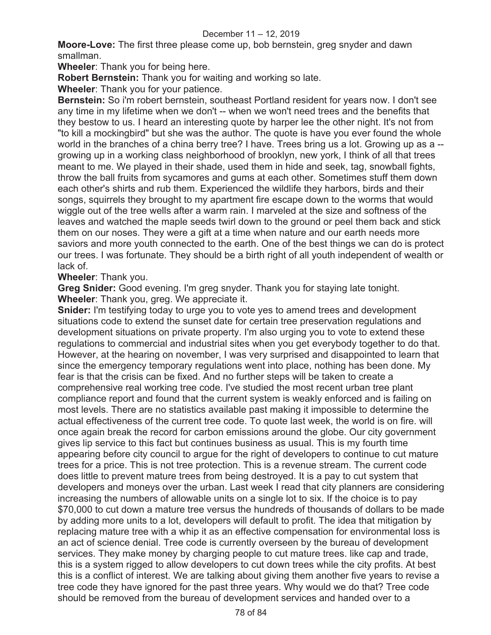**Moore-Love:** The first three please come up, bob bernstein, greg snyder and dawn smallman.

**Wheeler**: Thank you for being here.

**Robert Bernstein:** Thank you for waiting and working so late.

**Wheeler**: Thank you for your patience.

**Bernstein:** So i'm robert bernstein, southeast Portland resident for years now. I don't see any time in my lifetime when we don't -- when we won't need trees and the benefits that they bestow to us. I heard an interesting quote by harper lee the other night. It's not from "to kill a mockingbird" but she was the author. The quote is have you ever found the whole world in the branches of a china berry tree? I have. Trees bring us a lot. Growing up as a - growing up in a working class neighborhood of brooklyn, new york, I think of all that trees meant to me. We played in their shade, used them in hide and seek, tag, snowball fights, throw the ball fruits from sycamores and gums at each other. Sometimes stuff them down each other's shirts and rub them. Experienced the wildlife they harbors, birds and their songs, squirrels they brought to my apartment fire escape down to the worms that would wiggle out of the tree wells after a warm rain. I marveled at the size and softness of the leaves and watched the maple seeds twirl down to the ground or peel them back and stick them on our noses. They were a gift at a time when nature and our earth needs more saviors and more youth connected to the earth. One of the best things we can do is protect our trees. I was fortunate. They should be a birth right of all youth independent of wealth or lack of.

**Wheeler**: Thank you.

**Greg Snider:** Good evening. I'm greg snyder. Thank you for staying late tonight. **Wheeler**: Thank you, greg. We appreciate it.

**Snider:** I'm testifying today to urge you to vote yes to amend trees and development situations code to extend the sunset date for certain tree preservation regulations and development situations on private property. I'm also urging you to vote to extend these regulations to commercial and industrial sites when you get everybody together to do that. However, at the hearing on november, I was very surprised and disappointed to learn that since the emergency temporary regulations went into place, nothing has been done. My fear is that the crisis can be fixed. And no further steps will be taken to create a comprehensive real working tree code. I've studied the most recent urban tree plant compliance report and found that the current system is weakly enforced and is failing on most levels. There are no statistics available past making it impossible to determine the actual effectiveness of the current tree code. To quote last week, the world is on fire. will once again break the record for carbon emissions around the globe. Our city government gives lip service to this fact but continues business as usual. This is my fourth time appearing before city council to argue for the right of developers to continue to cut mature trees for a price. This is not tree protection. This is a revenue stream. The current code does little to prevent mature trees from being destroyed. It is a pay to cut system that developers and moneys over the urban. Last week I read that city planners are considering increasing the numbers of allowable units on a single lot to six. If the choice is to pay \$70,000 to cut down a mature tree versus the hundreds of thousands of dollars to be made by adding more units to a lot, developers will default to profit. The idea that mitigation by replacing mature tree with a whip it as an effective compensation for environmental loss is an act of science denial. Tree code is currently overseen by the bureau of development services. They make money by charging people to cut mature trees. like cap and trade, this is a system rigged to allow developers to cut down trees while the city profits. At best this is a conflict of interest. We are talking about giving them another five years to revise a tree code they have ignored for the past three years. Why would we do that? Tree code should be removed from the bureau of development services and handed over to a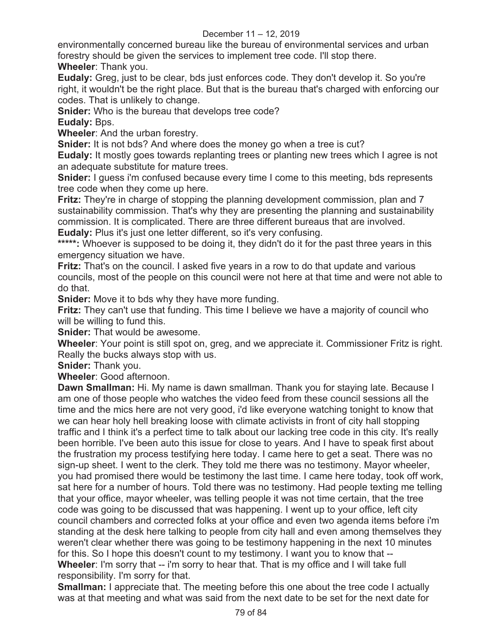environmentally concerned bureau like the bureau of environmental services and urban forestry should be given the services to implement tree code. I'll stop there.

**Wheeler**: Thank you.

**Eudaly:** Greg, just to be clear, bds just enforces code. They don't develop it. So you're right, it wouldn't be the right place. But that is the bureau that's charged with enforcing our codes. That is unlikely to change.

**Snider:** Who is the bureau that develops tree code?

**Eudaly:** Bps.

**Wheeler**: And the urban forestry.

**Snider:** It is not bds? And where does the money go when a tree is cut?

**Eudaly:** It mostly goes towards replanting trees or planting new trees which I agree is not an adequate substitute for mature trees.

**Snider:** I guess i'm confused because every time I come to this meeting, bds represents tree code when they come up here.

**Fritz:** They're in charge of stopping the planning development commission, plan and 7 sustainability commission. That's why they are presenting the planning and sustainability commission. It is complicated. There are three different bureaus that are involved. **Eudaly:** Plus it's just one letter different, so it's very confusing.

**\*\*\*\*\*:** Whoever is supposed to be doing it, they didn't do it for the past three years in this

emergency situation we have.

**Fritz:** That's on the council. I asked five years in a row to do that update and various councils, most of the people on this council were not here at that time and were not able to do that.

**Snider:** Move it to bds why they have more funding.

**Fritz:** They can't use that funding. This time I believe we have a majority of council who will be willing to fund this.

**Snider:** That would be awesome.

**Wheeler**: Your point is still spot on, greg, and we appreciate it. Commissioner Fritz is right. Really the bucks always stop with us.

**Snider:** Thank you.

**Wheeler**: Good afternoon.

**Dawn Smallman:** Hi. My name is dawn smallman. Thank you for staying late. Because I am one of those people who watches the video feed from these council sessions all the time and the mics here are not very good, i'd like everyone watching tonight to know that we can hear holy hell breaking loose with climate activists in front of city hall stopping traffic and I think it's a perfect time to talk about our lacking tree code in this city. It's really been horrible. I've been auto this issue for close to years. And I have to speak first about the frustration my process testifying here today. I came here to get a seat. There was no sign-up sheet. I went to the clerk. They told me there was no testimony. Mayor wheeler, you had promised there would be testimony the last time. I came here today, took off work, sat here for a number of hours. Told there was no testimony. Had people texting me telling that your office, mayor wheeler, was telling people it was not time certain, that the tree code was going to be discussed that was happening. I went up to your office, left city council chambers and corrected folks at your office and even two agenda items before i'm standing at the desk here talking to people from city hall and even among themselves they weren't clear whether there was going to be testimony happening in the next 10 minutes for this. So I hope this doesn't count to my testimony. I want you to know that -- **Wheeler**: I'm sorry that -- i'm sorry to hear that. That is my office and I will take full responsibility. I'm sorry for that.

**Smallman:** I appreciate that. The meeting before this one about the tree code I actually was at that meeting and what was said from the next date to be set for the next date for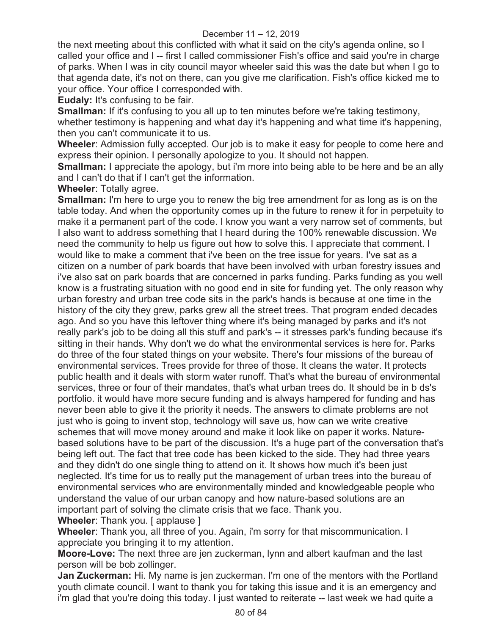the next meeting about this conflicted with what it said on the city's agenda online, so I called your office and I -- first I called commissioner Fish's office and said you're in charge of parks. When I was in city council mayor wheeler said this was the date but when I go to that agenda date, it's not on there, can you give me clarification. Fish's office kicked me to your office. Your office I corresponded with.

**Eudaly:** It's confusing to be fair.

**Smallman:** If it's confusing to you all up to ten minutes before we're taking testimony, whether testimony is happening and what day it's happening and what time it's happening, then you can't communicate it to us.

**Wheeler**: Admission fully accepted. Our job is to make it easy for people to come here and express their opinion. I personally apologize to you. It should not happen.

**Smallman:** I appreciate the apology, but i'm more into being able to be here and be an ally and I can't do that if I can't get the information.

**Wheeler**: Totally agree.

**Smallman:** I'm here to urge you to renew the big tree amendment for as long as is on the table today. And when the opportunity comes up in the future to renew it for in perpetuity to make it a permanent part of the code. I know you want a very narrow set of comments, but I also want to address something that I heard during the 100% renewable discussion. We need the community to help us figure out how to solve this. I appreciate that comment. I would like to make a comment that i've been on the tree issue for years. I've sat as a citizen on a number of park boards that have been involved with urban forestry issues and i've also sat on park boards that are concerned in parks funding. Parks funding as you well know is a frustrating situation with no good end in site for funding yet. The only reason why urban forestry and urban tree code sits in the park's hands is because at one time in the history of the city they grew, parks grew all the street trees. That program ended decades ago. And so you have this leftover thing where it's being managed by parks and it's not really park's job to be doing all this stuff and park's -- it stresses park's funding because it's sitting in their hands. Why don't we do what the environmental services is here for. Parks do three of the four stated things on your website. There's four missions of the bureau of environmental services. Trees provide for three of those. It cleans the water. It protects public health and it deals with storm water runoff. That's what the bureau of environmental services, three or four of their mandates, that's what urban trees do. It should be in b ds's portfolio. it would have more secure funding and is always hampered for funding and has never been able to give it the priority it needs. The answers to climate problems are not just who is going to invent stop, technology will save us, how can we write creative schemes that will move money around and make it look like on paper it works. Naturebased solutions have to be part of the discussion. It's a huge part of the conversation that's being left out. The fact that tree code has been kicked to the side. They had three years and they didn't do one single thing to attend on it. It shows how much it's been just neglected. It's time for us to really put the management of urban trees into the bureau of environmental services who are environmentally minded and knowledgeable people who understand the value of our urban canopy and how nature-based solutions are an important part of solving the climate crisis that we face. Thank you.

**Wheeler**: Thank you. [ applause ]

**Wheeler**: Thank you, all three of you. Again, i'm sorry for that miscommunication. I appreciate you bringing it to my attention.

**Moore-Love:** The next three are jen zuckerman, lynn and albert kaufman and the last person will be bob zollinger.

**Jan Zuckerman:** Hi. My name is jen zuckerman. I'm one of the mentors with the Portland youth climate council. I want to thank you for taking this issue and it is an emergency and i'm glad that you're doing this today. I just wanted to reiterate -- last week we had quite a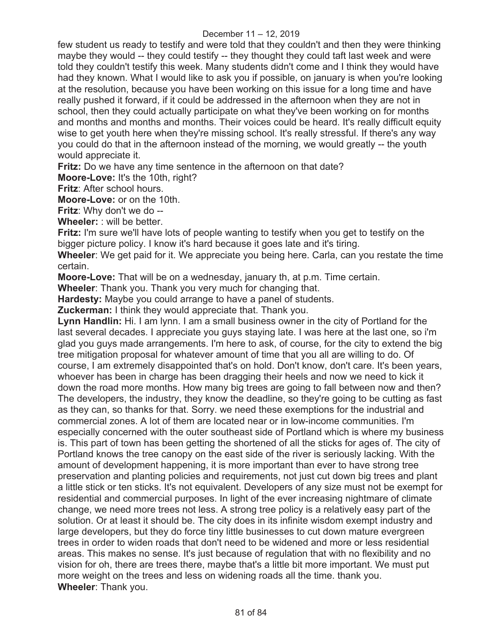few student us ready to testify and were told that they couldn't and then they were thinking maybe they would -- they could testify -- they thought they could taft last week and were told they couldn't testify this week. Many students didn't come and I think they would have had they known. What I would like to ask you if possible, on january is when you're looking at the resolution, because you have been working on this issue for a long time and have really pushed it forward, if it could be addressed in the afternoon when they are not in school, then they could actually participate on what they've been working on for months and months and months and months. Their voices could be heard. It's really difficult equity wise to get youth here when they're missing school. It's really stressful. If there's any way you could do that in the afternoon instead of the morning, we would greatly -- the youth would appreciate it.

**Fritz:** Do we have any time sentence in the afternoon on that date?

**Moore-Love:** It's the 10th, right?

**Fritz**: After school hours.

**Moore-Love:** or on the 10th.

**Fritz**: Why don't we do --

**Wheeler:** : will be better.

**Fritz:** I'm sure we'll have lots of people wanting to testify when you get to testify on the bigger picture policy. I know it's hard because it goes late and it's tiring.

**Wheeler**: We get paid for it. We appreciate you being here. Carla, can you restate the time certain.

**Moore-Love:** That will be on a wednesday, january th, at p.m. Time certain.

**Wheeler**: Thank you. Thank you very much for changing that.

**Hardesty:** Maybe you could arrange to have a panel of students.

**Zuckerman:** I think they would appreciate that. Thank you.

**Lynn Handlin:** Hi. I am lynn. I am a small business owner in the city of Portland for the last several decades. I appreciate you guys staying late. I was here at the last one, so i'm glad you guys made arrangements. I'm here to ask, of course, for the city to extend the big tree mitigation proposal for whatever amount of time that you all are willing to do. Of course, I am extremely disappointed that's on hold. Don't know, don't care. It's been years, whoever has been in charge has been dragging their heels and now we need to kick it down the road more months. How many big trees are going to fall between now and then? The developers, the industry, they know the deadline, so they're going to be cutting as fast as they can, so thanks for that. Sorry. we need these exemptions for the industrial and commercial zones. A lot of them are located near or in low-income communities. I'm especially concerned with the outer southeast side of Portland which is where my business is. This part of town has been getting the shortened of all the sticks for ages of. The city of Portland knows the tree canopy on the east side of the river is seriously lacking. With the amount of development happening, it is more important than ever to have strong tree preservation and planting policies and requirements, not just cut down big trees and plant a little stick or ten sticks. It's not equivalent. Developers of any size must not be exempt for residential and commercial purposes. In light of the ever increasing nightmare of climate change, we need more trees not less. A strong tree policy is a relatively easy part of the solution. Or at least it should be. The city does in its infinite wisdom exempt industry and large developers, but they do force tiny little businesses to cut down mature evergreen trees in order to widen roads that don't need to be widened and more or less residential areas. This makes no sense. It's just because of regulation that with no flexibility and no vision for oh, there are trees there, maybe that's a little bit more important. We must put more weight on the trees and less on widening roads all the time. thank you. **Wheeler**: Thank you.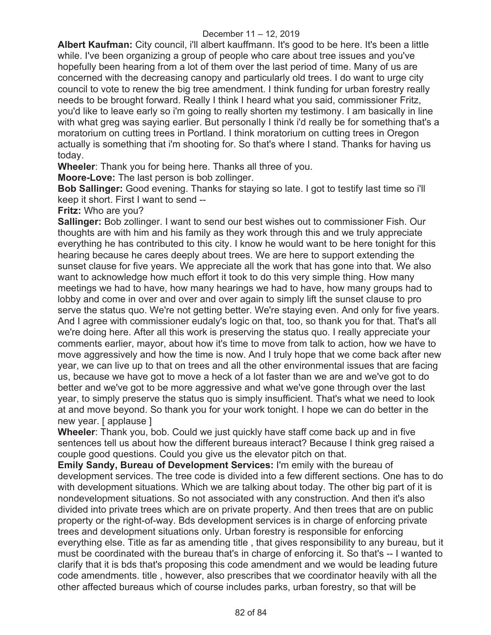**Albert Kaufman:** City council, i'll albert kauffmann. It's good to be here. It's been a little while. I've been organizing a group of people who care about tree issues and you've hopefully been hearing from a lot of them over the last period of time. Many of us are concerned with the decreasing canopy and particularly old trees. I do want to urge city council to vote to renew the big tree amendment. I think funding for urban forestry really needs to be brought forward. Really I think I heard what you said, commissioner Fritz, you'd like to leave early so i'm going to really shorten my testimony. I am basically in line with what greg was saying earlier. But personally I think i'd really be for something that's a moratorium on cutting trees in Portland. I think moratorium on cutting trees in Oregon actually is something that i'm shooting for. So that's where I stand. Thanks for having us today.

**Wheeler**: Thank you for being here. Thanks all three of you.

**Moore-Love:** The last person is bob zollinger.

**Bob Sallinger:** Good evening. Thanks for staying so late. I got to testify last time so i'll keep it short. First I want to send --

**Fritz:** Who are you?

**Sallinger:** Bob zollinger. I want to send our best wishes out to commissioner Fish. Our thoughts are with him and his family as they work through this and we truly appreciate everything he has contributed to this city. I know he would want to be here tonight for this hearing because he cares deeply about trees. We are here to support extending the sunset clause for five years. We appreciate all the work that has gone into that. We also want to acknowledge how much effort it took to do this very simple thing. How many meetings we had to have, how many hearings we had to have, how many groups had to lobby and come in over and over and over again to simply lift the sunset clause to pro serve the status quo. We're not getting better. We're staying even. And only for five years. And I agree with commissioner eudaly's logic on that, too, so thank you for that. That's all we're doing here. After all this work is preserving the status quo. I really appreciate your comments earlier, mayor, about how it's time to move from talk to action, how we have to move aggressively and how the time is now. And I truly hope that we come back after new year, we can live up to that on trees and all the other environmental issues that are facing us, because we have got to move a heck of a lot faster than we are and we've got to do better and we've got to be more aggressive and what we've gone through over the last year, to simply preserve the status quo is simply insufficient. That's what we need to look at and move beyond. So thank you for your work tonight. I hope we can do better in the new year. [ applause ]

**Wheeler**: Thank you, bob. Could we just quickly have staff come back up and in five sentences tell us about how the different bureaus interact? Because I think greg raised a couple good questions. Could you give us the elevator pitch on that.

**Emily Sandy, Bureau of Development Services:** I'm emily with the bureau of development services. The tree code is divided into a few different sections. One has to do with development situations. Which we are talking about today. The other big part of it is nondevelopment situations. So not associated with any construction. And then it's also divided into private trees which are on private property. And then trees that are on public property or the right-of-way. Bds development services is in charge of enforcing private trees and development situations only. Urban forestry is responsible for enforcing everything else. Title as far as amending title , that gives responsibility to any bureau, but it must be coordinated with the bureau that's in charge of enforcing it. So that's -- I wanted to clarify that it is bds that's proposing this code amendment and we would be leading future code amendments. title , however, also prescribes that we coordinator heavily with all the other affected bureaus which of course includes parks, urban forestry, so that will be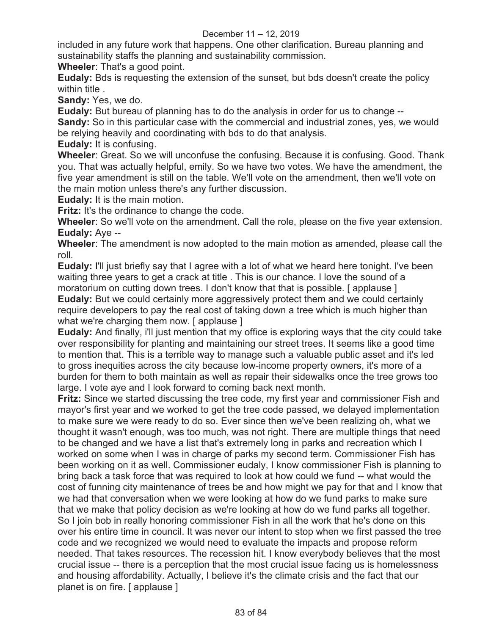included in any future work that happens. One other clarification. Bureau planning and sustainability staffs the planning and sustainability commission.

**Wheeler**: That's a good point.

**Eudaly:** Bds is requesting the extension of the sunset, but bds doesn't create the policy within title .

**Sandy:** Yes, we do.

**Eudaly:** But bureau of planning has to do the analysis in order for us to change --

**Sandy:** So in this particular case with the commercial and industrial zones, yes, we would be relying heavily and coordinating with bds to do that analysis.

**Eudaly:** It is confusing.

**Wheeler**: Great. So we will unconfuse the confusing. Because it is confusing. Good. Thank you. That was actually helpful, emily. So we have two votes. We have the amendment, the five year amendment is still on the table. We'll vote on the amendment, then we'll vote on the main motion unless there's any further discussion.

**Eudaly:** It is the main motion.

**Fritz:** It's the ordinance to change the code.

**Wheeler**: So we'll vote on the amendment. Call the role, please on the five year extension. **Eudaly:** Aye --

**Wheeler**: The amendment is now adopted to the main motion as amended, please call the roll.

**Eudaly:** I'll just briefly say that I agree with a lot of what we heard here tonight. I've been waiting three years to get a crack at title . This is our chance. I love the sound of a moratorium on cutting down trees. I don't know that that is possible. [ applause ] **Eudaly:** But we could certainly more aggressively protect them and we could certainly require developers to pay the real cost of taking down a tree which is much higher than what we're charging them now. [ applause ]

**Eudaly:** And finally, i'll just mention that my office is exploring ways that the city could take over responsibility for planting and maintaining our street trees. It seems like a good time to mention that. This is a terrible way to manage such a valuable public asset and it's led to gross inequities across the city because low-income property owners, it's more of a burden for them to both maintain as well as repair their sidewalks once the tree grows too large. I vote aye and I look forward to coming back next month.

**Fritz:** Since we started discussing the tree code, my first year and commissioner Fish and mayor's first year and we worked to get the tree code passed, we delayed implementation to make sure we were ready to do so. Ever since then we've been realizing oh, what we thought it wasn't enough, was too much, was not right. There are multiple things that need to be changed and we have a list that's extremely long in parks and recreation which I worked on some when I was in charge of parks my second term. Commissioner Fish has been working on it as well. Commissioner eudaly, I know commissioner Fish is planning to bring back a task force that was required to look at how could we fund -- what would the cost of funning city maintenance of trees be and how might we pay for that and I know that we had that conversation when we were looking at how do we fund parks to make sure that we make that policy decision as we're looking at how do we fund parks all together. So I join bob in really honoring commissioner Fish in all the work that he's done on this over his entire time in council. It was never our intent to stop when we first passed the tree code and we recognized we would need to evaluate the impacts and propose reform needed. That takes resources. The recession hit. I know everybody believes that the most crucial issue -- there is a perception that the most crucial issue facing us is homelessness and housing affordability. Actually, I believe it's the climate crisis and the fact that our planet is on fire. [ applause ]